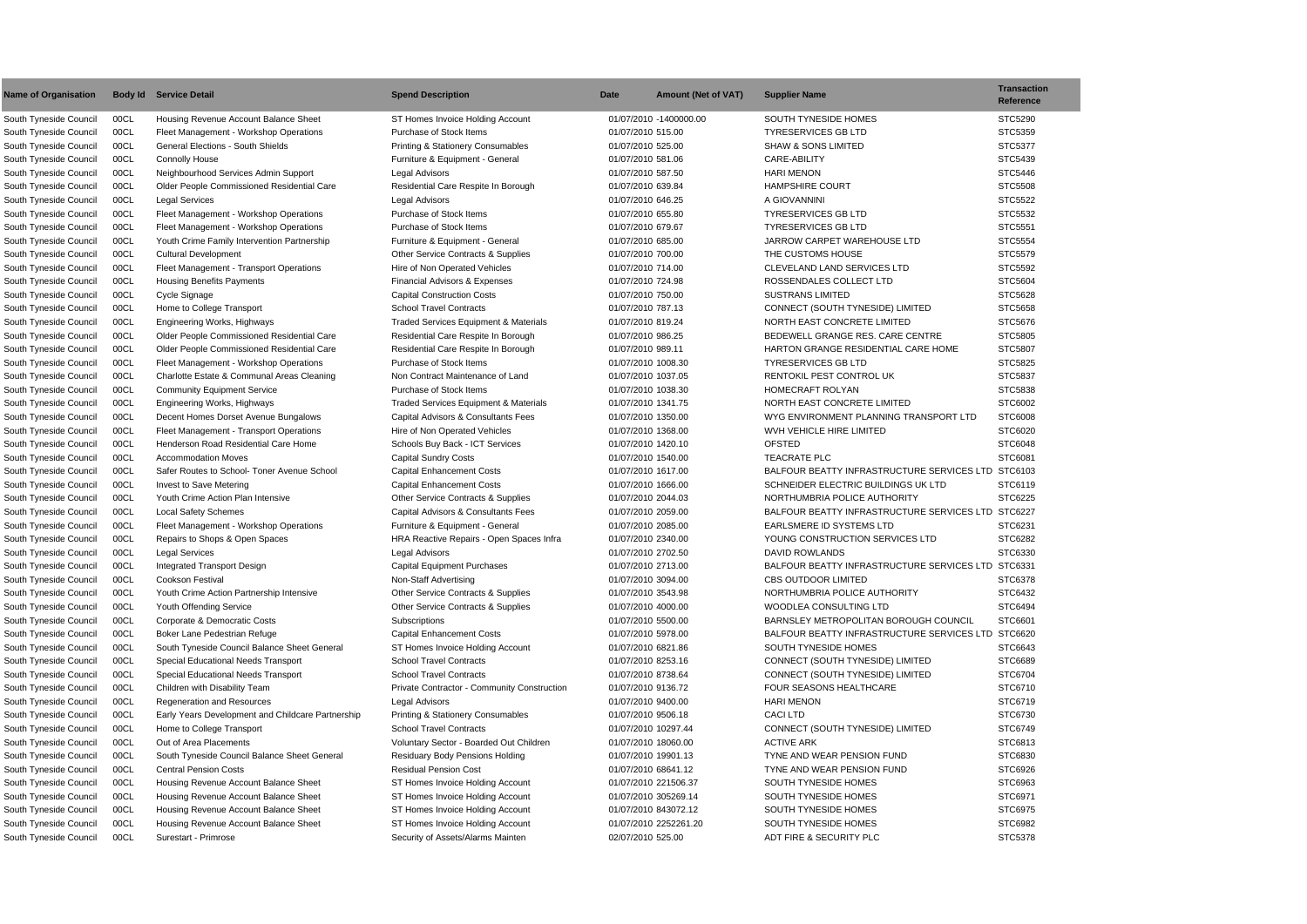|                | Transaction<br>Reference |
|----------------|--------------------------|
|                |                          |
|                | STC5290                  |
|                | STC5359                  |
|                | STC5377                  |
|                | STC5439                  |
|                | STC5446                  |
|                | STC5508                  |
|                | STC5522                  |
|                | STC5532                  |
|                | STC5551                  |
|                | STC5554                  |
|                | STC5579                  |
|                | STC5592                  |
|                | STC5604                  |
|                | STC5628                  |
|                | STC5658                  |
|                | STC5676                  |
|                | STC5805                  |
|                | STC5807                  |
|                | STC5825                  |
|                | STC5837                  |
|                | STC5838                  |
|                | STC6002                  |
| )              | STC6008                  |
|                | STC6020                  |
|                | STC6048                  |
|                | STC6081                  |
|                | LTD STC6103              |
|                | STC6119                  |
|                | STC6225                  |
| LTD            | STC6227                  |
|                | STC6231                  |
|                | STC6282                  |
|                | STC6330                  |
| <b>TD</b><br>L | STC6331                  |
|                | STC6378                  |
|                | STC6432                  |
|                | STC6494                  |
|                | STC6601                  |
| LTD            | STC6620                  |
|                | STC6643                  |
|                | STC6689                  |
|                | STC6704                  |
|                | STC6710                  |
|                | STC6719                  |
|                | STC6730                  |
|                | STC6749                  |
|                | STC6813                  |
|                | STC6830                  |
|                | STC6926                  |
|                | STC6963                  |
|                | STC6971                  |
|                | STC6975                  |
|                | STC6982                  |
|                | STC5378                  |

| <b>Name of Organisation</b> |      | <b>Body Id Service Detail</b>                     | <b>Spend Description</b>                         | Date               | <b>Amount (Net of VAT)</b> | <b>Supplier Name</b>                                                  | <b>Transaction</b><br><b>Reference</b> |
|-----------------------------|------|---------------------------------------------------|--------------------------------------------------|--------------------|----------------------------|-----------------------------------------------------------------------|----------------------------------------|
| South Tyneside Council      | 00CL | Housing Revenue Account Balance Sheet             | ST Homes Invoice Holding Account                 |                    | 01/07/2010 -1400000.00     | SOUTH TYNESIDE HOMES                                                  | STC5290                                |
| South Tyneside Council      | 00CL | Fleet Management - Workshop Operations            | Purchase of Stock Items                          | 01/07/2010 515.00  |                            | <b>TYRESERVICES GB LTD</b>                                            | STC5359                                |
| South Tyneside Council      | 00CL | <b>General Elections - South Shields</b>          | <b>Printing &amp; Stationery Consumables</b>     | 01/07/2010 525.00  |                            | <b>SHAW &amp; SONS LIMITED</b>                                        | STC5377                                |
| South Tyneside Council      | 00CL | <b>Connolly House</b>                             | Furniture & Equipment - General                  | 01/07/2010 581.06  |                            | CARE-ABILITY                                                          | STC5439                                |
| South Tyneside Council      | 00CL | Neighbourhood Services Admin Support              | <b>Legal Advisors</b>                            | 01/07/2010 587.50  |                            | <b>HARI MENON</b>                                                     | STC5446                                |
| South Tyneside Council      | 00CL | Older People Commissioned Residential Care        | Residential Care Respite In Borough              | 01/07/2010 639.84  |                            | <b>HAMPSHIRE COURT</b>                                                | <b>STC5508</b>                         |
| South Tyneside Council      | 00CL | <b>Legal Services</b>                             | <b>Legal Advisors</b>                            | 01/07/2010 646.25  |                            | A GIOVANNINI                                                          | STC5522                                |
| South Tyneside Council      | 00CL | Fleet Management - Workshop Operations            | Purchase of Stock Items                          | 01/07/2010 655.80  |                            | <b>TYRESERVICES GB LTD</b>                                            | STC5532                                |
| South Tyneside Council      | 00CL | Fleet Management - Workshop Operations            | Purchase of Stock Items                          | 01/07/2010 679.67  |                            | <b>TYRESERVICES GB LTD</b>                                            | STC5551                                |
| South Tyneside Council      | 00CL | Youth Crime Family Intervention Partnership       | Furniture & Equipment - General                  | 01/07/2010 685.00  |                            | JARROW CARPET WAREHOUSE LTD                                           | STC5554                                |
| South Tyneside Council      | 00CL | <b>Cultural Development</b>                       | Other Service Contracts & Supplies               | 01/07/2010 700.00  |                            | THE CUSTOMS HOUSE                                                     | STC5579                                |
| South Tyneside Council      | 00CL | Fleet Management - Transport Operations           | Hire of Non Operated Vehicles                    | 01/07/2010 714.00  |                            | CLEVELAND LAND SERVICES LTD                                           | STC5592                                |
| South Tyneside Council      | 00CL | <b>Housing Benefits Payments</b>                  | <b>Financial Advisors &amp; Expenses</b>         | 01/07/2010 724.98  |                            | ROSSENDALES COLLECT LTD                                               | STC5604                                |
| South Tyneside Council      | 00CL | Cycle Signage                                     | <b>Capital Construction Costs</b>                | 01/07/2010 750.00  |                            | <b>SUSTRANS LIMITED</b>                                               | STC5628                                |
| South Tyneside Council      | 00CL | Home to College Transport                         | <b>School Travel Contracts</b>                   | 01/07/2010 787.13  |                            | CONNECT (SOUTH TYNESIDE) LIMITED                                      | STC5658                                |
| South Tyneside Council      | 00CL | Engineering Works, Highways                       | <b>Traded Services Equipment &amp; Materials</b> | 01/07/2010 819.24  |                            | NORTH EAST CONCRETE LIMITED                                           | STC5676                                |
| South Tyneside Council      | 00CL | Older People Commissioned Residential Care        | Residential Care Respite In Borough              | 01/07/2010 986.25  |                            | BEDEWELL GRANGE RES. CARE CENTRE                                      | STC5805                                |
| South Tyneside Council      | 00CL | Older People Commissioned Residential Care        | Residential Care Respite In Borough              | 01/07/2010 989.11  |                            | HARTON GRANGE RESIDENTIAL CARE HOME                                   | STC5807                                |
| South Tyneside Council      | 00CL | Fleet Management - Workshop Operations            | Purchase of Stock Items                          | 01/07/2010 1008.30 |                            | <b>TYRESERVICES GB LTD</b>                                            | STC5825                                |
| South Tyneside Council      | 00CL | Charlotte Estate & Communal Areas Cleaning        | Non Contract Maintenance of Land                 | 01/07/2010 1037.05 |                            | RENTOKIL PEST CONTROL UK                                              | STC5837                                |
|                             | 00CL |                                                   | Purchase of Stock Items                          | 01/07/2010 1038.30 |                            | HOMECRAFT ROLYAN                                                      | STC5838                                |
| South Tyneside Council      |      | <b>Community Equipment Service</b>                |                                                  |                    |                            |                                                                       |                                        |
| South Tyneside Council      | 00CL | Engineering Works, Highways                       | Traded Services Equipment & Materials            | 01/07/2010 1341.75 |                            | NORTH EAST CONCRETE LIMITED<br>WYG ENVIRONMENT PLANNING TRANSPORT LTD | STC6002<br>STC6008                     |
| South Tyneside Council      | 00CL | Decent Homes Dorset Avenue Bungalows              | Capital Advisors & Consultants Fees              | 01/07/2010 1350.00 |                            |                                                                       | STC6020                                |
| South Tyneside Council      | 00CL | Fleet Management - Transport Operations           | Hire of Non Operated Vehicles                    | 01/07/2010 1368.00 |                            | WVH VEHICLE HIRE LIMITED                                              |                                        |
| South Tyneside Council      | 00CL | Henderson Road Residential Care Home              | Schools Buy Back - ICT Services                  | 01/07/2010 1420.10 |                            | <b>OFSTED</b>                                                         | STC6048                                |
| South Tyneside Council      | 00CL | <b>Accommodation Moves</b>                        | <b>Capital Sundry Costs</b>                      | 01/07/2010 1540.00 |                            | <b>TEACRATE PLC</b>                                                   | STC6081                                |
| South Tyneside Council      | 00CL | Safer Routes to School- Toner Avenue School       | <b>Capital Enhancement Costs</b>                 | 01/07/2010 1617.00 |                            | BALFOUR BEATTY INFRASTRUCTURE SERVICES LTD STC6103                    |                                        |
| South Tyneside Council      | 00CL | Invest to Save Metering                           | <b>Capital Enhancement Costs</b>                 | 01/07/2010 1666.00 |                            | SCHNEIDER ELECTRIC BUILDINGS UK LTD                                   | STC6119                                |
| South Tyneside Council      | 00CL | Youth Crime Action Plan Intensive                 | Other Service Contracts & Supplies               | 01/07/2010 2044.03 |                            | NORTHUMBRIA POLICE AUTHORITY                                          | STC6225                                |
| South Tyneside Council      | 00CL | <b>Local Safety Schemes</b>                       | Capital Advisors & Consultants Fees              | 01/07/2010 2059.00 |                            | BALFOUR BEATTY INFRASTRUCTURE SERVICES LTD STC6227                    |                                        |
| South Tyneside Council      | 00CL | Fleet Management - Workshop Operations            | Furniture & Equipment - General                  | 01/07/2010 2085.00 |                            | EARLSMERE ID SYSTEMS LTD                                              | STC6231                                |
| South Tyneside Council      | 00CL | Repairs to Shops & Open Spaces                    | HRA Reactive Repairs - Open Spaces Infra         | 01/07/2010 2340.00 |                            | YOUNG CONSTRUCTION SERVICES LTD                                       | STC6282                                |
| South Tyneside Council      | 00CL | <b>Legal Services</b>                             | Legal Advisors                                   | 01/07/2010 2702.50 |                            | DAVID ROWLANDS                                                        | STC6330                                |
| South Tyneside Council      | 00CL | <b>Integrated Transport Design</b>                | <b>Capital Equipment Purchases</b>               | 01/07/2010 2713.00 |                            | BALFOUR BEATTY INFRASTRUCTURE SERVICES LTD STC6331                    |                                        |
| South Tyneside Council      | 00CL | <b>Cookson Festival</b>                           | Non-Staff Advertising                            | 01/07/2010 3094.00 |                            | <b>CBS OUTDOOR LIMITED</b>                                            | STC6378                                |
| South Tyneside Council      | 00CL | Youth Crime Action Partnership Intensive          | Other Service Contracts & Supplies               | 01/07/2010 3543.98 |                            | NORTHUMBRIA POLICE AUTHORITY                                          | STC6432                                |
| South Tyneside Council      | 00CL | Youth Offending Service                           | Other Service Contracts & Supplies               | 01/07/2010 4000.00 |                            | WOODLEA CONSULTING LTD                                                | STC6494                                |
| South Tyneside Council      | 00CL | Corporate & Democratic Costs                      | Subscriptions                                    | 01/07/2010 5500.00 |                            | BARNSLEY METROPOLITAN BOROUGH COUNCIL                                 | STC6601                                |
| South Tyneside Council      | 00CL | Boker Lane Pedestrian Refuge                      | <b>Capital Enhancement Costs</b>                 | 01/07/2010 5978.00 |                            | BALFOUR BEATTY INFRASTRUCTURE SERVICES LTD STC6620                    |                                        |
| South Tyneside Council      | 00CL | South Tyneside Council Balance Sheet General      | ST Homes Invoice Holding Account                 | 01/07/2010 6821.86 |                            | SOUTH TYNESIDE HOMES                                                  | STC6643                                |
| South Tyneside Council      | 00CL | Special Educational Needs Transport               | <b>School Travel Contracts</b>                   | 01/07/2010 8253.16 |                            | CONNECT (SOUTH TYNESIDE) LIMITED                                      | STC6689                                |
| South Tyneside Council      | 00CL | Special Educational Needs Transport               | <b>School Travel Contracts</b>                   | 01/07/2010 8738.64 |                            | CONNECT (SOUTH TYNESIDE) LIMITED                                      | STC6704                                |
| South Tyneside Council      | 00CL | Children with Disability Team                     | Private Contractor - Community Construction      | 01/07/2010 9136.72 |                            | <b>FOUR SEASONS HEALTHCARE</b>                                        | STC6710                                |
| South Tyneside Council      | 00CL | Regeneration and Resources                        | Legal Advisors                                   | 01/07/2010 9400.00 |                            | <b>HARI MENON</b>                                                     | STC6719                                |
| South Tyneside Council      | 00CL | Early Years Development and Childcare Partnership | <b>Printing &amp; Stationery Consumables</b>     | 01/07/2010 9506.18 |                            | <b>CACI LTD</b>                                                       | STC6730                                |
| South Tyneside Council      | 00CL | Home to College Transport                         | <b>School Travel Contracts</b>                   |                    | 01/07/2010 10297.44        | CONNECT (SOUTH TYNESIDE) LIMITED                                      | STC6749                                |
| South Tyneside Council      | 00CL | Out of Area Placements                            | Voluntary Sector - Boarded Out Children          |                    | 01/07/2010 18060.00        | <b>ACTIVE ARK</b>                                                     | STC6813                                |
| South Tyneside Council      | 00CL | South Tyneside Council Balance Sheet General      | Residuary Body Pensions Holding                  |                    | 01/07/2010 19901.13        | TYNE AND WEAR PENSION FUND                                            | STC6830                                |
| South Tyneside Council      | 00CL | <b>Central Pension Costs</b>                      | <b>Residual Pension Cost</b>                     |                    | 01/07/2010 68641.12        | TYNE AND WEAR PENSION FUND                                            | STC6926                                |
| South Tyneside Council      | 00CL | Housing Revenue Account Balance Sheet             | ST Homes Invoice Holding Account                 |                    | 01/07/2010 221506.37       | SOUTH TYNESIDE HOMES                                                  | STC6963                                |
| South Tyneside Council      | 00CL | Housing Revenue Account Balance Sheet             | ST Homes Invoice Holding Account                 |                    | 01/07/2010 305269.14       | SOUTH TYNESIDE HOMES                                                  | STC6971                                |
| South Tyneside Council      | 00CL | Housing Revenue Account Balance Sheet             | ST Homes Invoice Holding Account                 |                    | 01/07/2010 843072.12       | SOUTH TYNESIDE HOMES                                                  | STC6975                                |
| South Tyneside Council      | 00CL | Housing Revenue Account Balance Sheet             | ST Homes Invoice Holding Account                 |                    | 01/07/2010 2252261.20      | SOUTH TYNESIDE HOMES                                                  | STC6982                                |
| South Tyneside Council      | 00CL | Surestart - Primrose                              | Security of Assets/Alarms Mainten                | 02/07/2010 525.00  |                            | ADT FIRE & SECURITY PLC                                               | STC5378                                |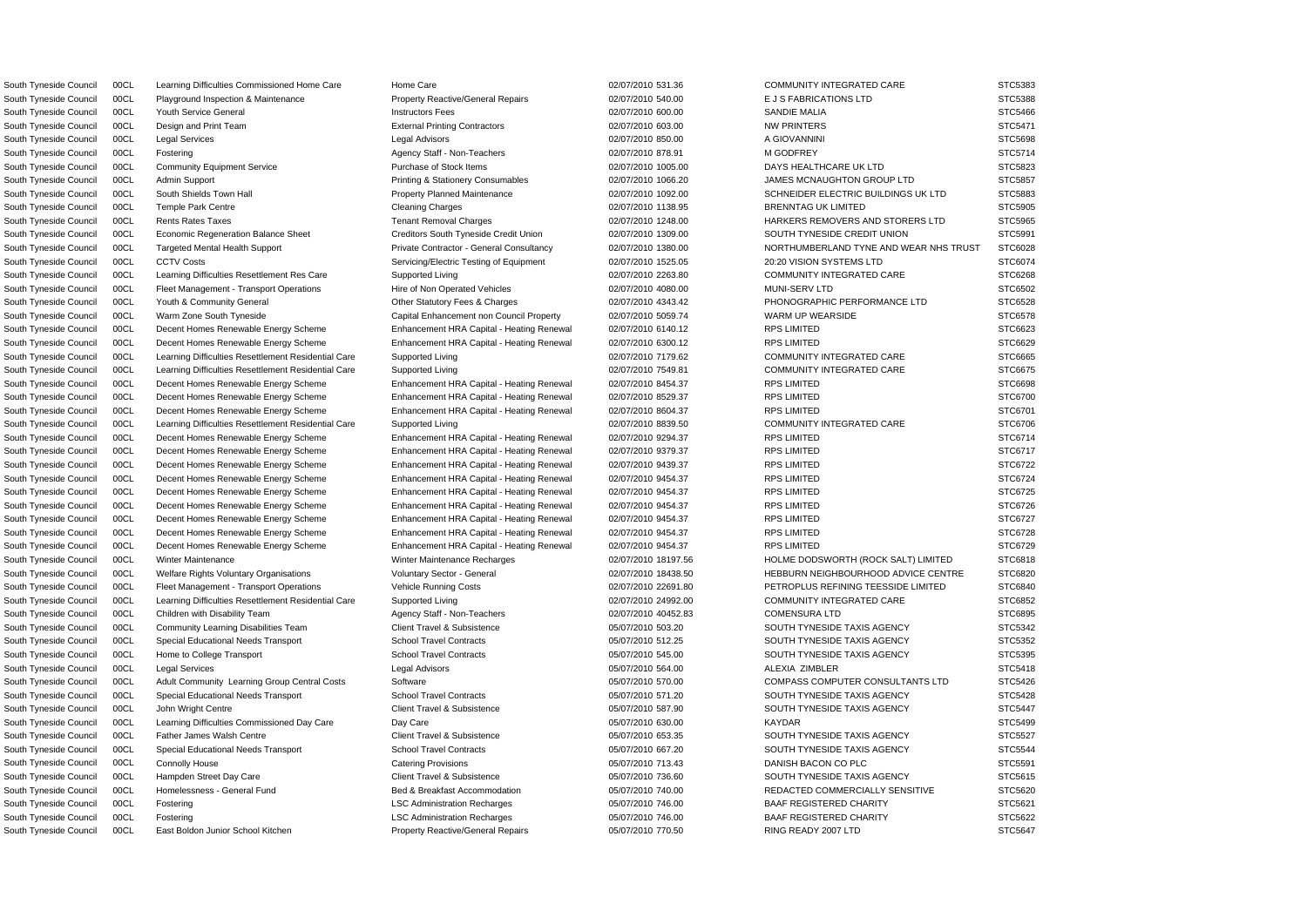South Tyneside Council 00CL Learning Difficulties Commissioned Home Care Home Care Home Care 02/07/2010 531.36 COMMUNITY INTEGRATED CARE STC5383

South Tyneside Council 00CL East Boldon Junior School Kitchen Property Reactive/General Repairs 05/07/2010 770.50 RING READY 2007 LTD STC5647

South Tyneside Council 00CL Playground Inspection & Maintenance Property Reactive/General Repairs 02/07/2010 540.00 E J S FABRICATIONS LTD STC5388 South Tyneside Council COCL Youth Service General 2000 And the Unstructors Fees 02/07/2010 600.00 SANDIE MALIA STC5466 STC5466 South Tyneside Council 00CL Design and Print Team External Printing Contractors 02/07/2010 603.00 NW PRINTERS STC5471 South Tyneside Council 00CL Legal Services Legal Advisors 02/07/2010 850.00 A GIOVANNINI STC5698 South Tyneside Council 00CL Fostering Agency Staff - Non-Teachers 02/07/2010 878.91 M GODFREY STC5714 South Tyneside Council 00CL Community Equipment Service Purchase of Stock Items 02/07/2010 1005.00 DAYS HEALTHCARE UK LTD STC5823 South Tyneside Council 00CL Admin Support **Printing & Stationery Consumables** 02/07/2010 1066.20 JAMES MCNAUGHTON GROUP LTD STC5857 South Tyneside Council 00CL South Shields Town Hall **Property Planned Maintenance** 02/07/2010 1092.00 SCHNEIDER ELECTRIC BUILDINGS UK LTD STC5883 South Tyneside Council 00CL Temple Park Centre Cleaning Charges Cleaning Charges 02/07/2010 1138.95 BRENNTAG UK LIMITED STC5905 STC5905 South Tyneside Council 00CL Rents Rates Taxes Tenant Removal Charges 02/07/2010 1248.00 HARKERS REMOVERS AND STORERS LTD STC5965 South Tyneside Council 00CL Economic Regeneration Balance Sheet Creditors South Tyneside Credit Union 02/07/2010 1309.00 SOUTH TYNESIDE CREDIT UNION STC5991 South Tyneside Council 00CL Targeted Mental Health Support Private Contractor - General Consultancy 02/07/2010 1380.00 NORTHUMBERLAND TYNE AND WEAR NHS TRUST STC6028 South Tyneside Council 00CL CCTV Costs Servicing/Electric Testing of Equipment 02/07/2010 1525.05 20:20 VISION SYSTEMS LTD STC6074 South Tyneside Council 00CL Learning Difficulties Resettlement Res Care Supported Living 02/07/2010 2263.80 COMMUNITY INTEGRATED CARE STC6268 South Tyneside Council 00CL Fleet Management - Transport Operations Hire of Non Operated Vehicles 02/07/2010 4080.00 MUNI-SERV LTD STC6502 South Tyneside Council 00CL Youth & Community General Charges 02/07/2010 4343.42 PHONOGRAPHIC PERFORMANCE LTD STC6528 South Tyneside Council 00CL Warm Zone South Tyneside Capital Enhancement non Council Property 02/07/2010 5059.74 WARM UP WEARSIDE STC6578 South Tyneside Council 00CL Decent Homes Renewable Energy Scheme Enhancement HRA Capital - Heating Renewal 02/07/2010 6140.12 RPS LIMITED STC6623 South Tyneside Council 00CL Decent Homes Renewable Energy Scheme Enhancement HRA Capital - Heating Renewal 02/07/2010 6300.12 RPS LIMITED STC6629 South Tyneside Council 00CL Learning Difficulties Resettlement Residential Care Supported Living 02/07/2010 7179.62 COMMUNITY INTEGRATED CARE STC6665 South Tyneside Council 00CL Learning Difficulties Resettlement Residential Care Supported Living 02/07/2010 7549.81 COMMUNITY INTEGRATED CARE STC6675 South Tyneside Council 00CL Decent Homes Renewable Energy Scheme Enhancement HRA Capital - Heating Renewal 02/07/2010 8454.37 RPS LIMITED STC6698 South Tyneside Council 00CL Decent Homes Renewable Energy Scheme Enhancement HRA Capital - Heating Renewal 02/07/2010 8529.37 RPS LIMITED STC6700 South Tyneside Council 00CL Decent Homes Renewable Energy Scheme Enhancement HRA Capital - Heating Renewal 02/07/2010 8604.37 RPS LIMITED STC6701 South Tyneside Council 00CL Learning Difficulties Resettlement Residential Care Supported Living 02/07/2010 8839.50 COMMUNITY INTEGRATED CARE STC6706 South Tyneside Council 00CL Decent Homes Renewable Energy Scheme Enhancement HRA Capital - Heating Renewal 02/07/2010 9294.37 RPS LIMITED STC6714 South Tyneside Council 00CL Decent Homes Renewable Energy Scheme Enhancement HRA Capital - Heating Renewal 02/07/2010 9379.37 RPS LIMITED STC6717 South Tyneside Council 00CL Decent Homes Renewable Energy Scheme Enhancement HRA Capital - Heating Renewal 02/07/2010 9439.37 RPS LIMITED STC6722 South Tyneside Council 00CL Decent Homes Renewable Energy Scheme Enhancement HRA Capital - Heating Renewal 02/07/2010 9454.37 RPS LIMITED STC6724 South Tyneside Council 00CL Decent Homes Renewable Energy Scheme Enhancement HRA Capital - Heating Renewal 02/07/2010 9454.37 RPS LIMITED STC6725 South Tyneside Council 00CL Decent Homes Renewable Energy Scheme Enhancement HRA Capital - Heating Renewal 02/07/2010 9454.37 RPS LIMITED STC6726 South Tyneside Council 00CL Decent Homes Renewable Energy Scheme Enhancement HRA Capital - Heating Renewal 02/07/2010 9454.37 RPS LIMITED STC6727 South Tyneside Council 00CL Decent Homes Renewable Energy Scheme Enhancement HRA Capital - Heating Renewal 02/07/2010 9454.37 RPS LIMITED STC6728 South Tyneside Council 00CL Decent Homes Renewable Energy Scheme Enhancement HRA Capital - Heating Renewal 02/07/2010 9454.37 RPS LIMITED STC6729 South Tyneside Council 00CL Winter Maintenance Metal Winter Maintenance Recharges 02/07/2010 18197.56 HOLME DODSWORTH (ROCK SALT) LIMITED STC6818 South Tyneside Council 00CL Welfare Rights Voluntary Organisations Voluntary Sector - General 02/07/2010 18438.50 HEBBURN NEIGHBOURHOOD ADVICE CENTRE STC6820 South Tyneside Council 00CL Fleet Management - Transport Operations Vehicle Running Costs 02/07/2010 22691.80 PETROPLUS REFINING TEESSIDE LIMITED STC6840 South Tyneside Council 00CL Learning Difficulties Resettlement Residential Care Supported Living 02/07/2010 24992.00 COMMUNITY INTEGRATED CARE STC6852 South Tyneside Council 00CL Children with Disability Team Agency Staff - Non-Teachers 02/07/2010 40452.83 COMENSURA LTD STC6895 South Tyneside Council 00CL Community Learning Disabilities Team Client Travel & Subsistence 05/07/2010 503.20 SOUTH TYNESIDE TAXIS AGENCY STC5342 South Tyneside Council 00CL Special Educational Needs Transport School Travel Contracts 05/07/2010 512.25 SOUTH TYNESIDE TAXIS AGENCY STC5352 South Tyneside Council 00CL Home to College Transport School Travel Contracts 665/07/2010 545.00 SOUTH TYNESIDE TAXIS AGENCY STC5395 South Tyneside Council 00CL Legal Services Legal Advisors 05/07/2010 564.00 ALEXIA ZIMBLER STC5418 South Tyneside Council 00CL Adult Community Learning Group Central Costs Software Stoware 05/07/2010 570.00 COMPASS COMPUTER CONSULTANTS LTD STC5426 South Tyneside Council 00CL Special Educational Needs Transport School Travel Contracts 05/07/2010 571.20 SOUTH TYNESIDE TAXIS AGENCY STC5428 South Tyneside Council 00CL John Wright Centre Client Travel & Subsistence 6 05/07/2010 587.90 SOUTH TYNESIDE TAXIS AGENCY STC5447 South Tyneside Council 00CL Learning Difficulties Commissioned Day Care Day Care Day Care 05/07/2010 630.00 KAYDAR STC5499 South Tyneside Council 00CL Father James Walsh Centre Client Travel & Subsistence 05/07/2010 653.35 SOUTH TYNESIDE TAXIS AGENCY STC5527 South Tyneside Council 00CL Special Educational Needs Transport School Travel Contracts 05/07/2010 667.20 SOUTH TYNESIDE TAXIS AGENCY STC5544 South Tyneside Council 00CL Connolly House  $\sim$  Catering Provisions 05/07/2010 713.43 DANISH BACON CO PLC STC5591 South Tyneside Council 00CL Hampden Street Day Care Client Travel & Subsistence 05/07/2010 736.60 SOUTH TYNESIDE TAXIS AGENCY STC5615 South Tyneside Council 00CL Homelessness - General Fund Bed & Breakfast Accommodation 05/07/2010 740.00 REDACTED COMMERCIALLY SENSITIVE STC5620 South Tyneside Council 00CL Fostering Comment Controller Comment CSC Administration Recharges 05/07/2010 746.00 BAAF REGISTERED CHARITY STC5621 South Tyneside Council 00CL Fostering Computer Controller LSC Administration Recharges 05/07/2010 746.00 BAAF REGISTERED CHARITY STC5622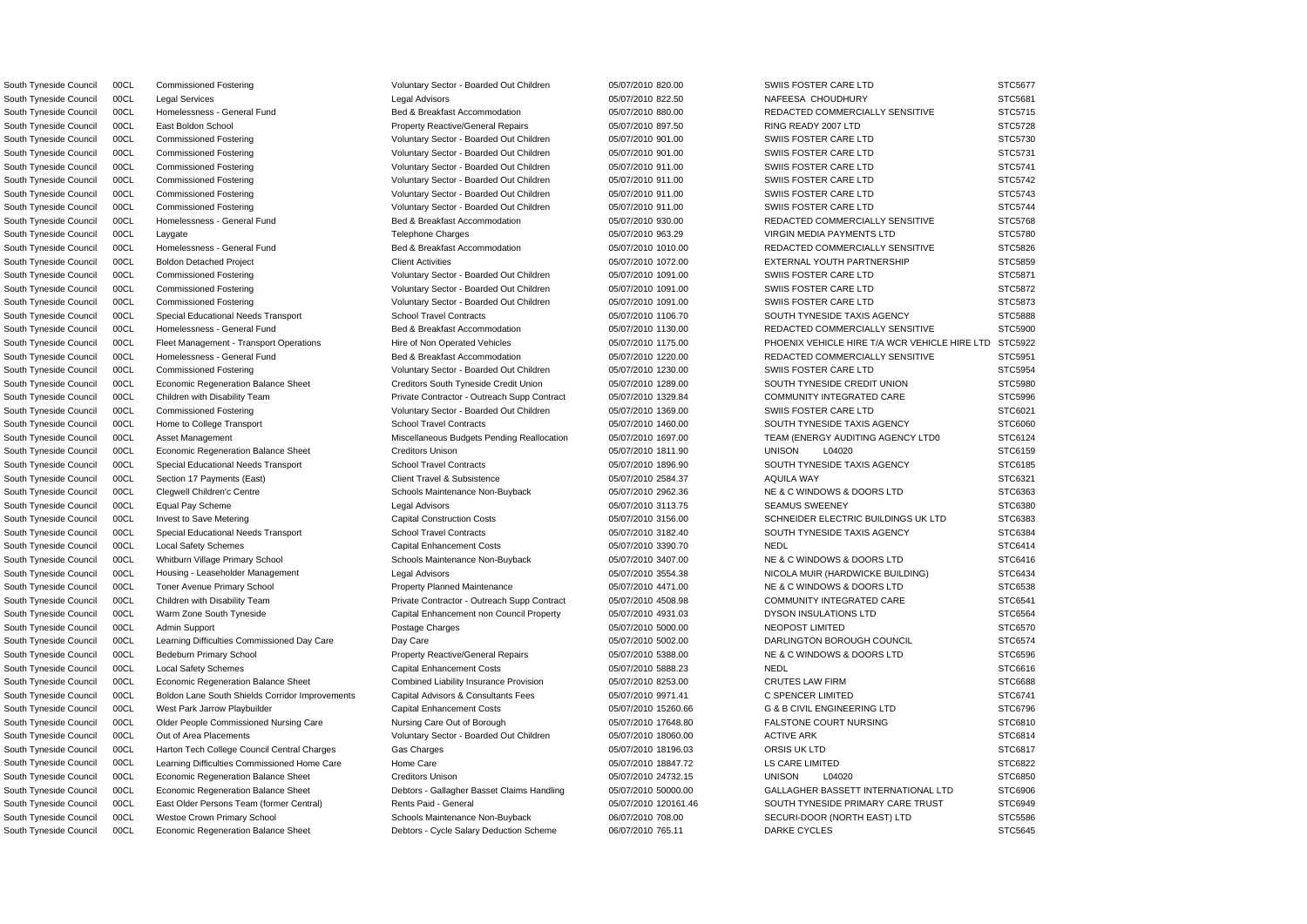South Tyneside Council 00CL Commissioned Fostering values of Voluntary Sector - Boarded Out Children 05/07/2010 820.00 SWIIS FOSTER CARE LTD STC5677

South Tyneside Council 00CL Legal Services Legal Advisors 05/07/2010 822.50 NAFEESA CHOUDHURY STC5681 South Tyneside Council 00CL Homelessness - General Fund Bed & Breakfast Accommodation 05/07/2010 880.00 REDACTED COMMERCIALLY SENSITIVE STC5715 South Tyneside Council 00CL East Boldon School **Property Reactive/General Repairs** 05/07/2010 897.50 RING READY 2007 LTD STC5728 South Tyneside Council 00CL Commissioned Fostering vertex Voluntary Sector - Boarded Out Children 05/07/2010 901.00 SWIIS FOSTER CARE LTD STC5730 South Tyneside Council 00CL Commissioned Fostering values of Voluntary Sector - Boarded Out Children 05/07/2010 901.00 SWIIS FOSTER CARE LTD STC5731 South Tyneside Council 00CL Commissioned Fostering values of Voluntary Sector - Boarded Out Children 05/07/2010 911.00 SWIIS FOSTER CARE LTD STC5741 South Tyneside Council 00CL Commissioned Fostering values of Voluntary Sector - Boarded Out Children 05/07/2010 911.00 SWIIS FOSTER CARE LTD STC5742 South Tyneside Council 00CL Commissioned Fostering values of Voluntary Sector - Boarded Out Children 05/07/2010 911.00 SWIIS FOSTER CARE LTD STC5743 South Tyneside Council 00CL Commissioned Fostering values of Voluntary Sector - Boarded Out Children 05/07/2010 911.00 SWIIS FOSTER CARE LTD STC5744 South Tyneside Council 00CL Homelessness - General Fund Bed & Breakfast Accommodation 05/07/2010 930.00 REDACTED COMMERCIALLY SENSITIVE STC5768 South Tyneside Council 00CL Laygate STC5780 Telephone Charges Telephone Charges 05/07/2010 963.29 VIRGIN MEDIA PAYMENTS LTD STC5780 South Tyneside Council 00CL Homelessness - General Fund Bed & Breakfast Accommodation 05/07/2010 1010.00 REDACTED COMMERCIALLY SENSITIVE STC5826 South Tyneside Council 00CL Boldon Detached Project Client Activities Client Activities Client Activities 05/07/2010 1072.00 EXTERNAL YOUTH PARTNERSHIP STC5859 South Tyneside Council 00CL Commissioned Fostering values of Voluntary Sector - Boarded Out Children 05/07/2010 1091.00 SWIIS FOSTER CARE LTD STC5871 South Tyneside Council 00CL Commissioned Fostering values of Voluntary Sector - Boarded Out Children 05/07/2010 1091.00 SWIIS FOSTER CARE LTD STC5872 South Tyneside Council 00CL Commissioned Fostering values of Voluntary Sector - Boarded Out Children 05/07/2010 1091.00 SWIIS FOSTER CARE LTD STC5873 South Tyneside Council 00CL Special Educational Needs Transport School Travel Contracts 05/07/2010 1106.70 SOUTH TYNESIDE TAXIS AGENCY STC5888 South Tyneside Council 00CL Homelessness - General Fund Bed & Breakfast Accommodation 05/07/2010 1130.00 REDACTED COMMERCIALLY SENSITIVE STC5900 South Tyneside Council 00CL Fleet Management - Transport Operations Hire of Non Operated Vehicles 05/07/2010 1175.00 PHOENIX VEHICLE HIRE T/A WCR VEHICLE HIRE LTD STC5922 South Tyneside Council 00CL Homelessness - General Fund Bed & Breakfast Accommodation 05/07/2010 1220.00 REDACTED COMMERCIALLY SENSITIVE STC5951 South Tyneside Council 00CL Commissioned Fostering versus voluntary Sector - Boarded Out Children 05/07/2010 1230.00 SWIIS FOSTER CARE LTD STC5954 South Tyneside Council 00CL Economic Regeneration Balance Sheet Creditors Creditors South Tyneside Credit Union 05/07/2010 1289.00 SOUTH TYNESIDE CREDIT UNION STC5980 South Tyneside Council 00CL Children with Disability Team Private Contractor - Outreach Supp Contract 05/07/2010 1329.84 COMMUNITY INTEGRATED CARE STC5996 South Tyneside Council 00CL Commissioned Fostering values of Voluntary Sector - Boarded Out Children 05/07/2010 1369.00 SWIIS FOSTER CARE LTD STC6021 South Tyneside Council 00CL Home to College Transport School Travel Contracts 6 05/07/2010 1460.00 SOUTH TYNESIDE TAXIS AGENCY STC6060 South Tyneside Council 00CL Asset Management Miscellaneous Budgets Pending Reallocation 05/07/2010 1697.00 TEAM (ENERGY AUDITING AGENCY LTD0 STC6124 South Tyneside Council 00CL Economic Regeneration Balance Sheet Creditors Unison Creditors Unison 05/07/2010 1811.90 UNISON L04020 STC6159 South Tyneside Council 00CL Special Educational Needs Transport School Travel Contracts 05/07/2010 1896.90 SOUTH TYNESIDE TAXIS AGENCY STC6185 South Tyneside Council 00CL Section 17 Payments (East) Client Travel & Subsistence 05/07/2010 2584.37 AQUILA WAY STC6321 STC6321 South Tyneside Council 00CL Clegwell Children'c Centre Schools Maintenance Non-Buyback 05/07/2010 2962.36 NE & C WINDOWS & DOORS LTD STC6363 South Tyneside Council 00CL Equal Pay Scheme Legal Advisors 05/07/2010 3113.75 SEAMUS SWEENEY STC6380 South Tyneside Council 00CL Invest to Save Metering Capital Construction Costs 05/07/2010 3156.00 SCHNEIDER ELECTRIC BUILDINGS UK LTD STC6383 South Tyneside Council 00CL Special Educational Needs Transport School Travel Contracts 06/07/2010 3182.40 SOUTH TYNESIDE TAXIS AGENCY STC6384 South Tyneside Council 00CL Local Safety Schemes Capital Enhancement Costs 05/07/2010 3390.70 NEDL STC6414 South Tyneside Council 00CL Whitburn Village Primary School Schools Maintenance Non-Buyback 05/07/2010 3407.00 NE & C WINDOWS & DOORS LTD STC6416 South Tyneside Council 00CL Housing - Leaseholder Management Legal Advisors Legal Advisors 05/07/2010 3554.38 NICOLA MUIR (HARDWICKE BUILDING) STC6434 South Tyneside Council 00CL Toner Avenue Primary School **Property Planned Maintenance** 05/07/2010 4471.00 NE & C WINDOWS & DOORS LTD STC6538 South Tyneside Council 00CL Children with Disability Team Private Contractor - Outreach Supp Contract 05/07/2010 4508.98 COMMUNITY INTEGRATED CARE STC6541 South Tyneside Council 00CL Warm Zone South Tyneside Capital Enhancement non Council Property 05/07/2010 4931.03 DYSON INSULATIONS LTD STC6564 South Tyneside Council 00CL Admin Support external provides and Postage Charges of the D5/07/2010 5000.00 NEOPOST LIMITED STC6570 STC6570 South Tyneside Council 00CL Learning Difficulties Commissioned Day Care Day Care Day Care 05/07/2010 5002.00 DARLINGTON BOROUGH COUNCIL STC6574 South Tyneside Council 00CL Bedeburn Primary School **Property Reactive/General Repairs** 05/07/2010 5388.00 NE & C WINDOWS & DOORS LTD STC6596 South Tyneside Council 00CL Local Safety Schemes Capital Enhancement Costs 05/07/2010 5888.23 NEDL NEDL STC6616 STC6616 South Tyneside Council 00CL Economic Regeneration Balance Sheet Combined Liability Insurance Provision 05/07/2010 8253.00 CRUTES LAW FIRM STC6688 South Tyneside Council 00CL Boldon Lane South Shields Corridor Improvements Capital Advisors & Consultants Fees 05/07/2010 9971.41 C SPENCER LIMITED STC6741 South Tyneside Council 00CL West Park Jarrow Playbuilder Capital Enhancement Costs 05/07/2010 15260.66 G & B CIVIL ENGINEERING LTD STC6796 South Tyneside Council 00CL Older People Commissioned Nursing Care Nursing Care Out of Borough 05/07/2010 17648.80 FALSTONE COURT NURSING STC6810 South Tyneside Council 00CL Out of Area Placements Carries and Voluntary Sector - Boarded Out Children 05/07/2010 18060.00 ACTIVE ARK STC6814 South Tyneside Council COCL Harton Tech College Council Central Charges Gas Charges Gas Charges 05/07/2010 18196.03 ORSIS UK LTD STC6817 South Tyneside Council 00CL Learning Difficulties Commissioned Home Care Home Care Home Care 05/07/2010 18847.72 LS CARE LIMITED STC6822 South Tyneside Council 00CL Economic Regeneration Balance Sheet Creditors Unison Creditors Unison 05/07/2010 24732.15 UNISON L04020 STC6850 South Tyneside Council 00CL Economic Regeneration Balance Sheet Debtors - Gallagher Basset Claims Handling 05/07/2010 50000.00 GALLAGHER BASSETT INTERNATIONAL LTD STC6906 South Tyneside Council 00CL East Older Persons Team (former Central) Rents Paid - General 06/07/2010 120161.46 SOUTH TYNESIDE PRIMARY CARE TRUST STC6949 South Tyneside Council 00CL Westoe Crown Primary School Schools Maintenance Non-Buyback 06/07/2010 708.00 SECURI-DOOR (NORTH EAST) LTD STC5586 South Tyneside Council 00CL Economic Regeneration Balance Sheet Debtors - Cycle Salary Deduction Scheme 06/07/2010 765.11 DARKE CYCLES STC5645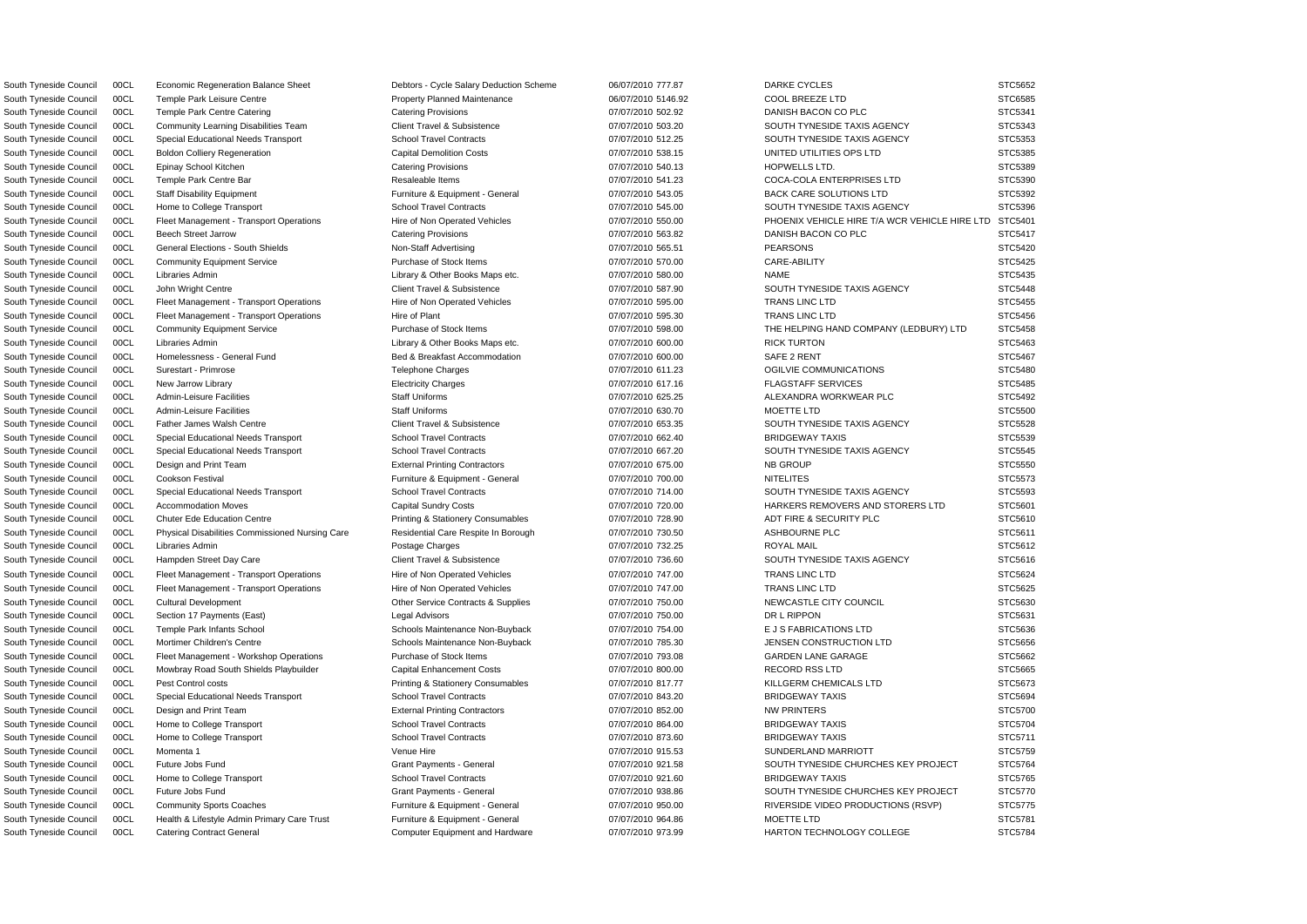South Tyneside Council 00CL Economic Regeneration Balance Sheet Debtors - Cycle Salary Deduction Scheme 06/07/2010 777.87 DARKE CYCLES STC5652 South Tyneside Council 00CL Catering Contract General Computer Equipment and Hardware 07/07/2010 973.99 HARTON TECHNOLOGY COLLEGE STC5784

South Tyneside Council 00CL Temple Park Leisure Centre entere Property Planned Maintenance 06/07/2010 5146.92 COOL BREEZE LTD STC6585 South Tyneside Council 00CL Temple Park Centre Catering **Catering Provisions** Catering Provisions 07/07/2010 502.92 DANISH BACON CO PLC STC5341 South Tyneside Council 00CL Community Learning Disabilities Team Client Travel & Subsistence 07/07/2010 503.20 SOUTH TYNESIDE TAXIS AGENCY STC5343 South Tyneside Council 00CL Special Educational Needs Transport School Travel Contracts 07/07/2010 512.25 SOUTH TYNESIDE TAXIS AGENCY STC5353 South Tyneside Council 00CL Boldon Colliery Regeneration Capital Demolition Costs 07/07/2010 538.15 UNITED UTILITIES OPS LTD STC5385 South Tyneside Council 00CL Epinay School Kitchen Catering Provisions Catering Provisions Catering Provisions Catering Provisions 07/07/2010 540.13 HOPWELLS LTD. STC5389 South Tyneside Council 00CL Temple Park Centre Bar Resaleable Items 67/07/2010 541.23 COCA-COLA ENTERPRISES LTD STC5390 South Tyneside Council 00CL Staff Disability Equipment **Furniture & Equipment - General** 07/07/2010 543.05 BACK CARE SOLUTIONS LTD STC5392 South Tyneside Council 00CL Home to College Transport School Travel Contracts 6 07/07/2010 545.00 SOUTH TYNESIDE TAXIS AGENCY STC5396 South Tyneside Council 00CL Fleet Management - Transport Operations Hire of Non Operated Vehicles 07/07/2010 550.00 PHOENIX VEHICLE HIRE T/A WCR VEHICLE HIRE LTD STC5401 South Tyneside Council 00CL Beech Street Jarrow Current Catering Provisions Catering Provisions and the control of the control of the STC5417 South Tyneside Council 00CL General Elections - South Shields Non-Staff Advertising 07/07/2010 565.51 PEARSONS PEARSONS STC5420 South Tyneside Council 00CL Community Equipment Service Purchase of Stock Items 07/07/2010 570.00 CARE-ABILITY STC5425 South Tyneside Council 00CL Libraries Admin 2000 Company Library & Other Books Maps etc. 007/07/2010 580.00 NAME NAME STC5435 South Tyneside Council 00CL John Wright Centre Client Travel & Subsistence Client Travel & Subsistence 07/07/2010 587.90 SOUTH TYNESIDE TAXIS AGENCY STC5448 South Tyneside Council 00CL Fleet Management - Transport Operations Hire of Non Operated Vehicles 07/07/2010 595.00 TRANS LINC LTD STC5455 South Tyneside Council 00CL Fleet Management - Transport Operations Hire of Plant Hire of Plant 07/07/2010 595.30 TRANS LINC LTD STC5456 South Tyneside Council 00CL Community Equipment Service Purchase of Stock Items 07/07/2010 598.00 THE HELPING HAND COMPANY (LEDBURY) LTD STC5458 South Tyneside Council 00CL Libraries Admin 2000 Company 2000 Library & Other Books Maps etc. 00000 00000 00000 RICK TURTON STC5463 South Tyneside Council 00CL Homelessness - General Fund Bed & Breakfast Accommodation 07/07/2010 600.00 SAFE 2 RENT STC5467 South Tyneside Council 00CL Surestart - Primrose the the material of the Telephone Charges the telephone of the telephone Charges of the telephone of the telephone of the telephone Charges of the telephone of the telephone South Tyneside Council 00CL New Jarrow Library enterty example the Electricity Charges of the control of the control of the FLAGSTAFF SERVICES STC5485 South Tyneside Council 00CL Admin-Leisure Facilities Staff Uniforms Staff Uniforms of the Council of the STC5492 STC5492 South Tyneside Council 00CL Admin-Leisure Facilities Staff Uniforms Staff Uniforms 07/07/2010 630.70 MOETTE LTD STC5500 South Tyneside Council 00CL Father James Walsh Centre Client Travel & Subsistence 007/07/2010 653.35 SOUTH TYNESIDE TAXIS AGENCY STC5528 South Tyneside Council 00CL Special Educational Needs Transport School Travel Contracts 07/07/2010 662.40 BRIDGEWAY TAXIS STC5539 South Tyneside Council 00CL Special Educational Needs Transport School Travel Contracts 6 07/07/2010 667.20 SOUTH TYNESIDE TAXIS AGENCY STC5545 South Tyneside Council 00CL Design and Print Team **External Printing Contractors 67/07/2010 675.00** NB GROUP STC5550 STC5550 South Tyneside Council 00CL Cookson Festival **Furniture & Equipment - General** 07/07/2010 700.00 NITELITES STC5573 South Tyneside Council 00CL Special Educational Needs Transport School Travel Contracts 6 07/07/2010 714.00 SOUTH TYNESIDE TAXIS AGENCY STC5593 South Tyneside Council 00CL Accommodation Moves Capital Sundry Costs 07/07/2010 720.00 HARKERS REMOVERS AND STORERS LTD STC5601 South Tyneside Council 00CL Chuter Ede Education Centre **Printing & Stationery Consumables** 07/07/2010 728.90 ADT FIRE & SECURITY PLC STC5610 South Tyneside Council 00CL Physical Disabilities Commissioned Nursing Care Residential Care Respite In Borough 07/07/2010 730.50 ASHBOURNE PLC STC5611 South Tyneside Council 00CL Libraries Admin Postage Charges 07/07/2010 732.25 ROYAL MAIL STC5612 South Tyneside Council 00CL Hampden Street Day Care Client Travel & Subsistence 007/07/2010 736.60 SOUTH TYNESIDE TAXIS AGENCY STC5616 South Tyneside Council 00CL Fleet Management - Transport Operations Hire of Non Operated Vehicles 07/07/2010 747.00 TRANS LINC LTD STC5624 South Tyneside Council 00CL Fleet Management - Transport Operations Hire of Non Operated Vehicles 07/07/2010 747.00 TRANS LINC LTD STC5625 South Tyneside Council 00CL Cultural Development Commeta Commet Contracts & Supplies 07/07/2010 750.00 NEWCASTLE CITY COUNCIL STC5630 South Tyneside Council 00CL Section 17 Payments (East) Legal Advisors 07/07/2010 750.00 DR L RIPPON STC5631 South Tyneside Council 00CL Temple Park Infants School School Schools Maintenance Non-Buyback 07/07/2010 754.00 E J S FABRICATIONS LTD STC5636 South Tyneside Council 00CL Mortimer Children's Centre Schools Maintenance Non-Buyback 07/07/2010 785.30 JENSEN CONSTRUCTION LTD STC5656 South Tyneside Council 00CL Fleet Management - Workshop Operations Purchase of Stock Items 07/07/2010 793.08 GARDEN LANE GARAGE STC5662 South Tyneside Council 00CL Mowbray Road South Shields Playbuilder Capital Enhancement Costs 07/07/2010 800.00 RECORD RSS LTD STC5665 South Tyneside Council 00CL Pest Control costs **Printing & Stationery Consumables** 07/07/2010 817.77 KILLGERM CHEMICALS LTD STC5673 South Tyneside Council 00CL Special Educational Needs Transport School Travel Contracts 07/07/2010 843.20 BRIDGEWAY TAXIS STC5694 South Tyneside Council 00CL Design and Print Team **External Printing Contractors** 07/07/2010 852.00 NW PRINTERS STC5700 South Tyneside Council 00CL Home to College Transport School Travel Contracts 67/07/2010 864.00 BRIDGEWAY TAXIS STC5704 South Tyneside Council 00CL Home to College Transport School Travel Contracts 07/07/2010 873.60 BRIDGEWAY TAXIS STC5711 South Tyneside Council 00CL Momenta 1  $V$ enue Hire  $O7/07/2010$  915.53 SUNDERLAND MARRIOTT STC5759 STC5759 South Tyneside Council 00CL Future Jobs Fund Carries Comments - General Grant Payments - General 07/07/2010 921.58 SOUTH TYNESIDE CHURCHES KEY PROJECT STC5764 South Tyneside Council 00CL Home to College Transport School Travel Contracts 607/07/2010 921.60 BRIDGEWAY TAXIS STC5765 STC5765 South Tyneside Council 00CL Future Jobs Fund STC5770 Crant Payments - General Grant Payments - General 07/07/2010 938.86 SOUTH TYNESIDE CHURCHES KEY PROJECT STC5770 South Tyneside Council 00CL Community Sports Coaches **Furniture & Equipment - General** 07/07/2010 950.00 RIVERSIDE VIDEO PRODUCTIONS (RSVP) STC5775 South Tyneside Council 00CL Health & Lifestyle Admin Primary Care Trust Furniture & Equipment - General 07/07/2010 964.86 MOETTE LTD STC5781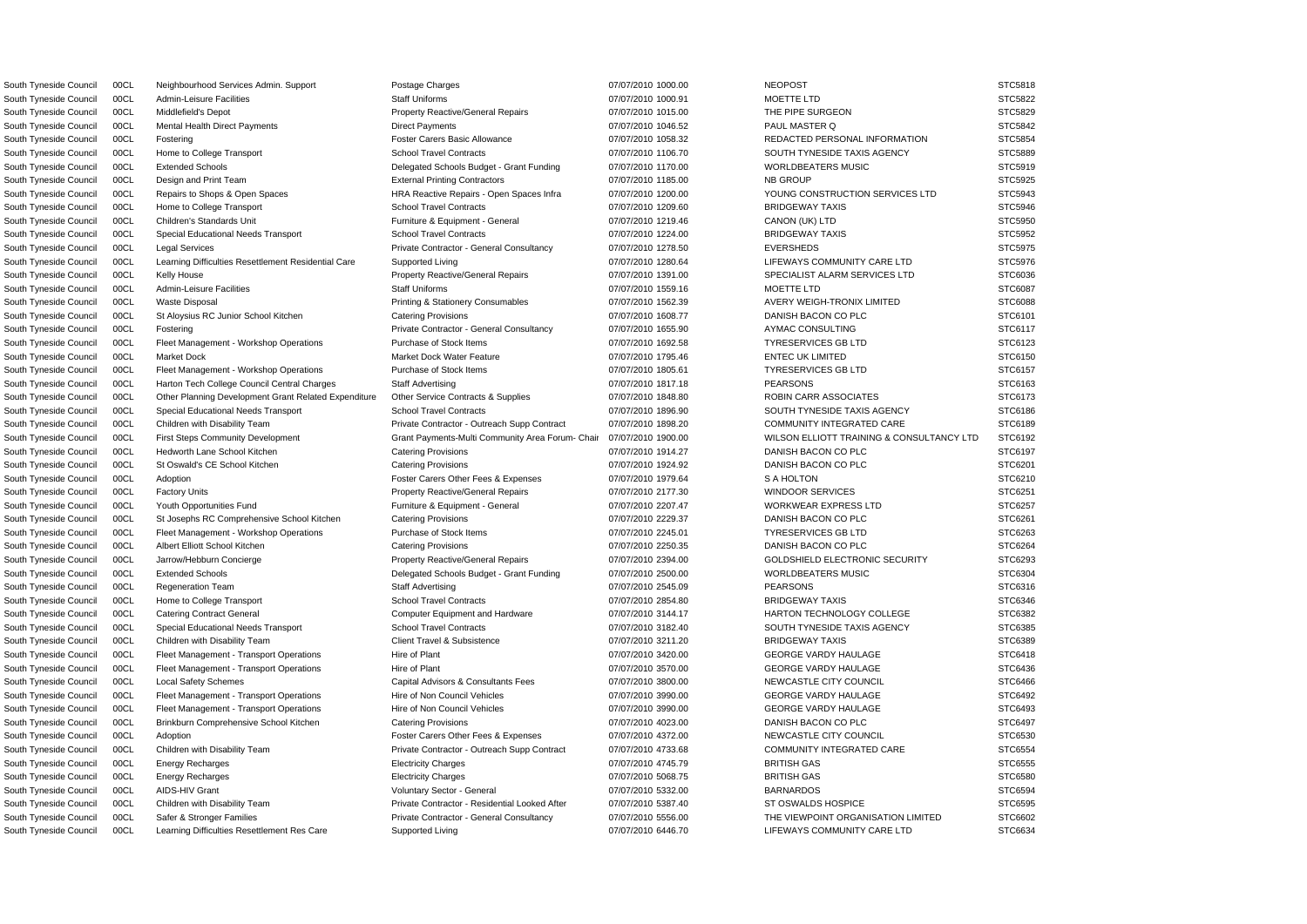South Tyneside Council 00CL Neighbourhood Services Admin. Support Postage Charges 07/07/2010 1000.00 NEOPOST NEOPOST STC5818

South Tyneside Council 00CL Admin-Leisure Facilities Staff Uniforms Staff Uniforms 07/07/2010 1000.91 MOETTE LTD STC5822 South Tyneside Council 00CL Middlefield's Depot **Property Reactive/General Repairs** 07/07/2010 1015.00 THE PIPE SURGEON STC5829 South Tyneside Council 00CL Mental Health Direct Payments Direct Payments Direct Payments 07/07/2010 1046.52 PAUL MASTER Q STC5842 South Tyneside Council 00CL Fostering **Foster Carers Basic Allowance** Foster Carers Basic Allowance **Carers Basic Allowance** 07/07/2010 1058.32 REDACTED PERSONAL INFORMATION STC5854 South Tyneside Council 00CL Home to College Transport School Travel Contracts School Travel Contracts 607/07/2010 1106.70 SOUTH TYNESIDE TAXIS AGENCY STC5889 South Tyneside Council 00CL Extended Schools **Delegated Schools Budget - Grant Funding** 07/07/2010 1170.00 WORLDBEATERS MUSIC STC5919 South Tyneside Council 00CL Design and Print Team External Printing Contractors 07/07/2010 1185.00 NB GROUP STC5925 South Tyneside Council 00CL Repairs to Shops & Open Spaces HRA Reactive Repairs - Open Spaces Infra 07/07/2010 1200.00 YOUNG CONSTRUCTION SERVICES LTD STC5943 South Tyneside Council 00CL Home to College Transport STC School Travel Contracts 6000 07/07/2010 1209.60 BRIDGEWAY TAXIS STC5946 South Tyneside Council 00CL Children's Standards Unit **Furniture & Equipment - General** 07/07/2010 1219.46 CANON (UK) LTD STC5950 South Tyneside Council 00CL Special Educational Needs Transport School Travel Contracts 07/07/2010 1224.00 BRIDGEWAY TAXIS STC5952 South Tyneside Council 00CL Legal Services examples and the Private Contractor - General Consultancy 07/07/2010 1278.50 EVERSHEDS STC5975 South Tyneside Council 00CL Learning Difficulties Resettlement Residential Care Supported Living 07/07/2010 1280.64 LIFEWAYS COMMUNITY CARE LTD STC5976 South Tyneside Council 00CL Kelly House **Property Reactive/General Repairs** 07/07/2010 1391.00 SPECIALIST ALARM SERVICES LTD STC6036 South Tyneside Council 00CL Admin-Leisure Facilities Staff Uniforms Staff Uniforms 07/07/2010 1559.16 MOETTE LTD STC6087 South Tyneside Council 00CL Waste Disposal **Printing & Stationery Consumables** 07/07/2010 1562.39 AVERY WEIGH-TRONIX LIMITED STC6088 South Tyneside Council 00CL St Aloysius RC Junior School Kitchen Catering Provisions 07/07/2010 1608.77 DANISH BACON CO PLC STC6101 South Tyneside Council 00CL Fostering entitled and the Private Contractor - General Consultancy 07/07/2010 1655.90 AYMAC CONSULTING STC6117 South Tyneside Council 00CL Fleet Management - Workshop Operations Purchase of Stock Items 07/07/2010 1692.58 TYRESERVICES GB LTD STC6123 South Tyneside Council 00CL Market Dock Market Dock Market Dock Water Feature 07/07/2010 1795.46 ENTEC UK LIMITED STC6150 South Tyneside Council 00CL Fleet Management - Workshop Operations Purchase of Stock Items 07/07/2010 1805.61 TYRESERVICES GB LTD STC6157 South Tyneside Council 00CL Harton Tech College Council Central Charges Staff Advertising 07/07/2010 1817.18 PEARSONS PEARSONS STC6163 South Tyneside Council 00CL Other Planning Development Grant Related Expenditure Other Service Contracts & Supplies 07/07/2010 1848.80 ROBIN CARR ASSOCIATES STC6173 South Tyneside Council 00CL Special Educational Needs Transport School Travel Contracts 6 07/07/2010 1896.90 SOUTH TYNESIDE TAXIS AGENCY STC6186 South Tyneside Council 00CL Children with Disability Team Private Contractor - Outreach Supp Contract 07/07/2010 1898.20 COMMUNITY INTEGRATED CARE STC6189 South Tyneside Council 00CL First Steps Community Development Grant Payments-Multi Community Area Forum- Chair 07/07/2010 1900.00 WILSON ELLIOTT TRAINING & CONSULTANCY LTD STC6192 South Tyneside Council 00CL Hedworth Lane School Kitchen Catering Provisions Catering Provisions 07/07/2010 1914.27 DANISH BACON CO PLC STC6197 South Tyneside Council 00CL St Oswald's CE School Kitchen Catering Provisions Catering Provisions of the UT/07/2010 1924.92 DANISH BACON CO PLC STC6201 South Tyneside Council 00CL Adoption **Figure 10 Foster Carers Other Fees & Expenses** 07/07/2010 1979.64 S A HOLTON STC6210 South Tyneside Council 00CL Factory Units **Property Reactive/General Repairs** 07/07/2010 2177.30 WINDOOR SERVICES STC6251 South Tyneside Council 00CL Youth Opportunities Fund Furniture & Equipment - General 07/07/2010 2207.47 WORKWEAR EXPRESS LTD STC6257 South Tyneside Council 00CL St Josephs RC Comprehensive School Kitchen Catering Provisions 07/07/2010 2229.37 DANISH BACON CO PLC STC6261 South Tyneside Council 00CL Fleet Management - Workshop Operations Purchase of Stock Items 07/07/2010 2245.01 TYRESERVICES GB LTD STC6263 South Tyneside Council COCL Albert Elliott School Kitchen Catering Provisions Catering Provisions Catering Provisions COVID 1707/2010 2250.35 DANISH BACON CO PLC STC6264 South Tyneside Council 00CL Jarrow/Hebburn Concierge Property Reactive/General Repairs 07/07/2010 2394.00 GOLDSHIELD ELECTRONIC SECURITY STC6293 South Tyneside Council 00CL Extended Schools **Delegated Schools Budget - Grant Funding** 07/07/2010 2500.00 WORLDBEATERS MUSIC STC6304 South Tyneside Council 00CL Regeneration Team Staff Advertising PEARSONS PEARSONS STC6316 South Tyneside Council 00CL Home to College Transport STC6346 School Travel Contracts 66 of the contracts of the contracts of the contracts of the STC6346 of the STC6346 STC6346 STC6346 South Tyneside Council 00CL Catering Contract General Computer Equipment and Hardware 07/07/2010 3144.17 HARTON TECHNOLOGY COLLEGE STC6382 South Tyneside Council 00CL Special Educational Needs Transport School Travel Contracts 6 07/07/2010 3182.40 SOUTH TYNESIDE TAXIS AGENCY STC6385 South Tyneside Council 00CL Children with Disability Team Client Travel & Subsistence 007/07/2010 3211.20 BRIDGEWAY TAXIS STC6389 South Tyneside Council 00CL Fleet Management - Transport Operations Hire of Plant Hire of Plant 07/07/2010 3420.00 GEORGE VARDY HAULAGE STC6418 South Tyneside Council 00CL Fleet Management - Transport Operations Hire of Plant Changement of Plant 07/07/2010 3570.00 GEORGE VARDY HAULAGE STC6436 South Tyneside Council 00CL Local Safety Schemes Capital Advisors & Consultants Fees 07/07/2010 3800.00 NEWCASTLE CITY COUNCIL STC6466 South Tyneside Council 00CL Fleet Management - Transport Operations Hire of Non Council Vehicles 07/07/2010 3990.00 GEORGE VARDY HAULAGE STC6492 South Tyneside Council 00CL Fleet Management - Transport Operations Hire of Non Council Vehicles 07/07/2010 3990.00 GEORGE VARDY HAULAGE STC6493 South Tyneside Council 00CL Brinkburn Comprehensive School Kitchen Catering Provisions 07/07/2010 4023.00 DANISH BACON CO PLC STC6497 South Tyneside Council 00CL Adoption **Figure 10** Construction Foster Carers Other Fees & Expenses 07/07/2010 4372.00 NEWCASTLE CITY COUNCIL STC6530 South Tyneside Council 00CL Children with Disability Team Private Contractor - Outreach Supp Contract 07/07/2010 4733.68 COMMUNITY INTEGRATED CARE STC6554 South Tyneside Council 00CL Energy Recharges Electricity Charges 07/07/2010 4745.79 BRITISH GAS STC6555 South Tyneside Council 00CL Energy Recharges Electricity Charges 07/07/2010 5068.75 BRITISH GAS STC6580 South Tyneside Council 00CL AIDS-HIV Grant Company Voluntary Sector - General 07/07/2010 5332.00 BARNARDOS STC6594 South Tyneside Council 00CL Children with Disability Team Private Contractor - Residential Looked After 07/07/2010 5387.40 ST OSWALDS HOSPICE STC6595 South Tyneside Council 00CL Safer & Stronger Families exception and the Private Contractor - General Consultancy 07/07/2010 5556.00 THE VIEWPOINT ORGANISATION LIMITED STC6602 South Tyneside Council 00CL Learning Difficulties Resettlement Res Care Supported Living 07/07/2010 6446.70 LIFEWAYS COMMUNITY CARE LTD STC6634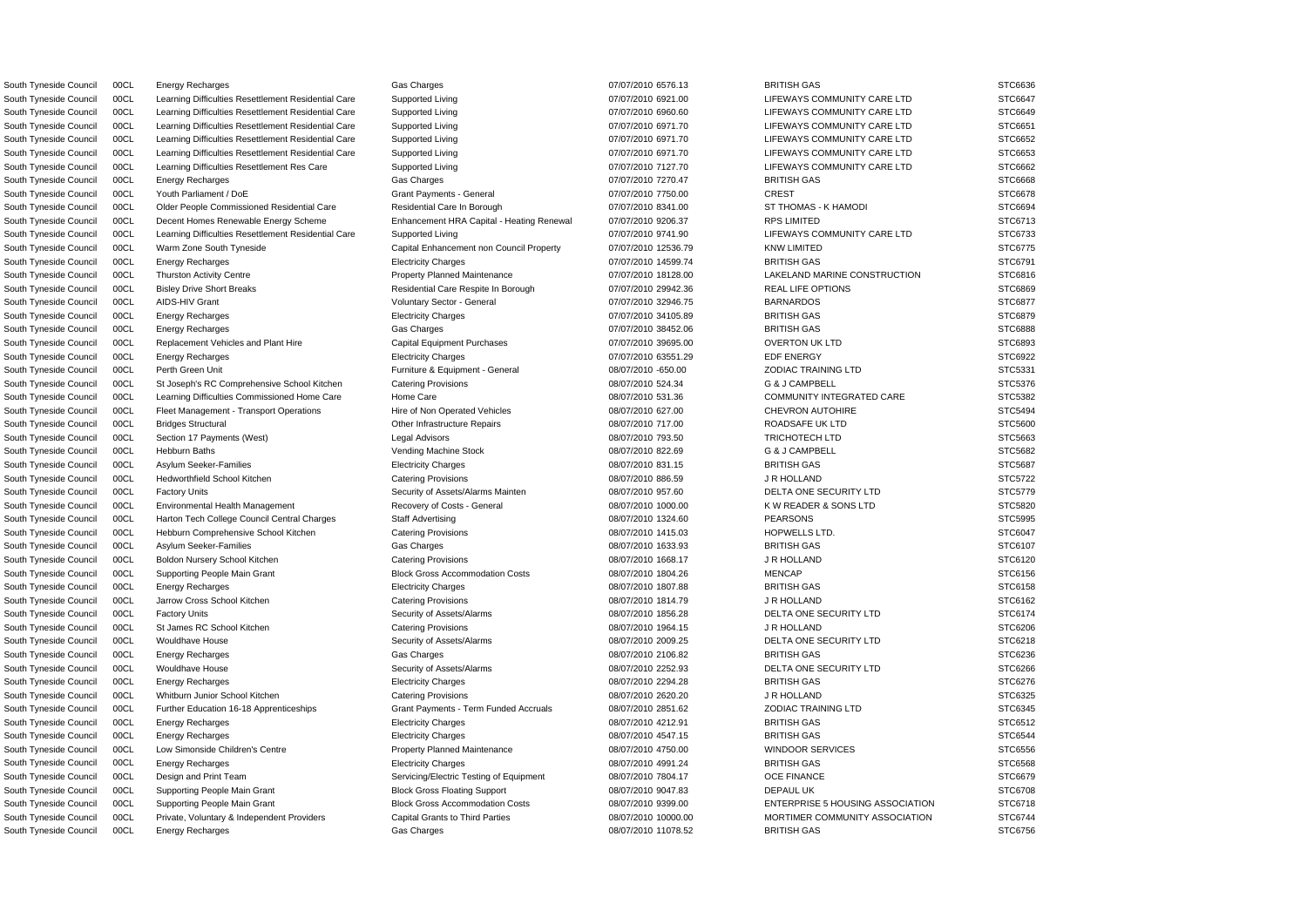South Tyneside Council 00CL Energy Recharges Gas Charges BRITISH GAS STC6636 South Tyneside Council 00CL Learning Difficulties Resettlement Residential Care Supported Living 07/07/2010 6921.00 LIFEWAYS COMMUNITY CARE LTD STC6647 South Tyneside Council 00CL Learning Difficulties Resettlement Residential Care Supported Living 07/07/2010 6960.60 LIFEWAYS COMMUNITY CARE LTD STC6649 South Tyneside Council 00CL Learning Difficulties Resettlement Residential Care Supported Living 07/07/2010 6971.70 LIFEWAYS COMMUNITY CARE LTD STC6651 South Tyneside Council 00CL Learning Difficulties Resettlement Residential Care Supported Living 07/07/2010 6971.70 LIFEWAYS COMMUNITY CARE LTD STC6652 South Tyneside Council 00CL Learning Difficulties Resettlement Residential Care Supported Living 07/07/2010 6971.70 LIFEWAYS COMMUNITY CARE LTD STC6653 South Tyneside Council 00CL Learning Difficulties Resettlement Res Care Supported Living 007/07/2010 7127.70 LIFEWAYS COMMUNITY CARE LTD STC6662 South Tyneside Council 00CL Energy Recharges Gas Charges BRITISH GAS STC6668 South Tyneside Council 00CL Youth Parliament / DoE Grant Payments - General Grant Payments - General CREST CREST STC6678 South Tyneside Council 00CL Older People Commissioned Residential Care Residential Care Residential Care Residential Care Residential Care Residential Care In Borough 07/07/2010 8341.00 ST THOMAS - K HAMODI STC6694 South Tyneside Council 00CL Decent Homes Renewable Energy Scheme Enhancement HRA Capital - Heating Renewal 07/07/2010 9206.37 RPS LIMITED STC6713 South Tyneside Council 00CL Learning Difficulties Resettlement Residential Care Supported Living 07/07/2010 9741.90 LIFEWAYS COMMUNITY CARE LTD STC6733 South Tyneside Council 00CL Warm Zone South Tyneside Capital Enhancement non Council Property 07/07/2010 12536.79 KNW LIMITED STC6775 South Tyneside Council 00CL Energy Recharges Electricity Charges 07/07/2010 14599.74 BRITISH GAS STC6791 South Tyneside Council 00CL Thurston Activity Centre **Property Planned Maintenance** 07/07/2010 18128.00 LAKELAND MARINE CONSTRUCTION STC6816 South Tyneside Council 00CL Bisley Drive Short Breaks Residential Care Respite In Borough 07/07/2010 29942.36 REAL LIFE OPTIONS STC6869 South Tyneside Council 00CL AIDS-HIV Grant New Yourname Voluntary Sector - General 07/07/2010 32946.75 BARNARDOS STC6877 STC6877 South Tyneside Council 00CL Energy Recharges Electricity Charges 07/07/2010 34105.89 BRITISH GAS STC6879 South Tyneside Council 00CL Energy Recharges Gas Charges BRITISH GAS STC6888 South Tyneside Council 00CL Replacement Vehicles and Plant Hire Capital Equipment Purchases 07/07/2010 39695.00 OVERTON UK LTD STC6893 South Tyneside Council 00CL Energy Recharges **Exercicity Charges Electricity Charges** 07/07/2010 63551.29 EDF ENERGY EDF ENERGY STC6922 South Tyneside Council 00CL Perth Green Unit **Furniture & Equipment - General Contract Contract Contract Contract Contract Contract Contract Contract Contract Contract Contract Contract Contract Contract Contract Contract** South Tyneside Council 00CL St Joseph's RC Comprehensive School Kitchen Catering Provisions 08/07/2010 524.34 G & J CAMPBELL STC5376 South Tyneside Council 00CL Learning Difficulties Commissioned Home Care Home Care Home Care 08/07/2010 531.36 COMMUNITY INTEGRATED CARE STC5382 South Tyneside Council 00CL Fleet Management - Transport Operations Hire of Non Operated Vehicles 08/07/2010 627.00 CHEVRON AUTOHIRE STC5494 South Tyneside Council 00CL Bridges Structural Computer of the Infrastructure Repairs 08/07/2010 717.00 ROADSAFE UK LTD STC5600 South Tyneside Council 00CL Section 17 Payments (West) Legal Advisors Legal Advisors (Stephanic Design of the STC5663 March 2010 793.50 TRICHOTECH LTD STC5663 STC5663 South Tyneside Council COCL Hebburn Baths (STC5682 Vending Machine Stock 08/07/2010 822.69 G & J CAMPBELL STC5682 South Tyneside Council 00CL Asylum Seeker-Families exception extending Electricity Charges the determines of the details and the determines of the determines of the stress of the STC5687 South Tyneside Council 00CL Hedworthfield School Kitchen Catering Provisions Catering Provisions 08/07/2010 886.59 J R HOLLAND STC5722 South Tyneside Council 00CL Factory Units Security of Assets/Alarms Mainten 08/07/2010 957.60 DELTA ONE SECURITY LTD STC5779 South Tyneside Council 00CL Environmental Health Management Recovery of Costs - General 08/07/2010 1000.00 KW READER & SONS LTD STC5820 South Tyneside Council 00CL Harton Tech College Council Central Charges Staff Advertising 08/07/2010 1324.60 PEARSONS PEARSONS STC5995 South Tyneside Council 00CL Hebburn Comprehensive School Kitchen Catering Provisions 08/07/2010 1415.03 HOPWELLS LTD. STC6047 South Tyneside Council 00CL Asylum Seeker-Families Gas Charges BRITISH GAS STC6107 South Tyneside Council 00CL Boldon Nursery School Kitchen Catering Provisions Catering Provisions 08/07/2010 1668.17 J R HOLLAND STC6120 South Tyneside Council 00CL Supporting People Main Grant Block Gross Accommodation Costs 08/07/2010 1804.26 MENCAP STC6156 STC6156 South Tyneside Council 00CL Energy Recharges Electricity Charges 08/07/2010 1807.88 BRITISH GAS STC6158 South Tyneside Council 00CL Jarrow Cross School Kitchen Catering Provisions Catering Provisions of the USAC of the USAC of the USAC STC6162 STC6162 South Tyneside Council 00CL Factory Units **Subsett Alarms** Security of Assets/Alarms 08/07/2010 1856.28 DELTA ONE SECURITY LTD STC6174 South Tyneside Council 00CL St James RC School Kitchen Catering Provisions 08/07/2010 1964.15 J R HOLLAND STC6206 South Tyneside Council 00CL Wouldhave House Security of Assets/Alarms 08/07/2010 2009.25 DELTA ONE SECURITY LTD STC6218 South Tyneside Council 00CL Energy Recharges Gas Charges BRITISH GAS STC6236 South Tyneside Council 00CL Wouldhave House Street Street Security of Assets/Alarms 08/07/2010 2252.93 DELTA ONE SECURITY LTD STC6266 South Tyneside Council 00CL Energy Recharges Electricity Charges 08/07/2010 2294.28 BRITISH GAS STC6276 South Tyneside Council 00CL Whitburn Junior School Kitchen Catering Provisions 08/07/2010 2620.20 J R HOLLAND STC6325 South Tyneside Council 00CL Further Education 16-18 Apprenticeships Grant Payments - Term Funded Accruals 08/07/2010 2851.62 ZODIAC TRAINING LTD STC6345 South Tyneside Council 00CL Energy Recharges Electricity Charges 08/07/2010 4212.91 BRITISH GAS STC6512 South Tyneside Council 00CL Energy Recharges Electricity Charges 08/07/2010 4547.15 BRITISH GAS STC6544 South Tyneside Council 00CL Low Simonside Children's Centre Property Planned Maintenance 08/07/2010 4750.00 WINDOOR SERVICES STC6556 South Tyneside Council 00CL Energy Recharges **Electricity Charges Electricity Charges** 08/07/2010 4991.24 BRITISH GAS STC6568 South Tyneside Council 00CL Design and Print Team Servicing/Electric Testing of Equipment 08/07/2010 7804.17 OCE FINANCE STC6679 South Tyneside Council 00CL Supporting People Main Grant Block Gross Floating Support 08/07/2010 9047.83 DEPAUL UK STC6708 STC6708 South Tyneside Council 00CL Supporting People Main Grant Block Gross Accommodation Costs 08/07/2010 9399.00 ENTERPRISE 5 HOUSING ASSOCIATION STC6718 South Tyneside Council 00CL Private, Voluntary & Independent Providers Capital Grants to Third Parties 08/07/2010 10000.00 MORTIMER COMMUNITY ASSOCIATION STC6744

South Tyneside Council 00CL Energy Recharges Gas Charges BRITISH GAS STC6756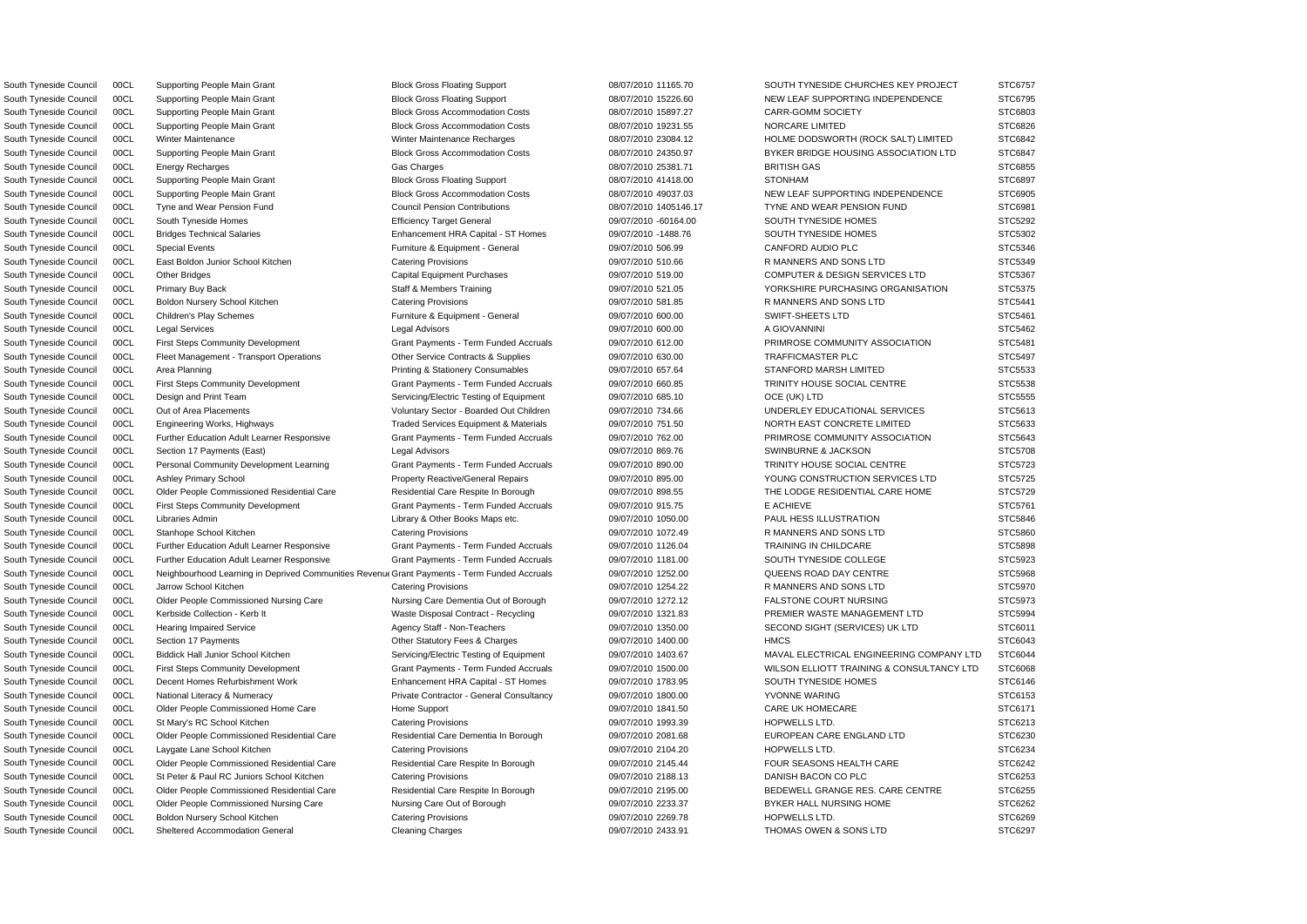South Tyneside Council 00CL Supporting People Main Grant Block Gross Floating Support 08/07/2010 11165.70 SOUTH TYNESIDE CHURCHES KEY PROJECT STC6757

South Tyneside Council 00CL Sheltered Accommodation General Cleaning Charges 09/07/2010 2433.91 THOMAS OWEN & SONS LTD STC6297

South Tyneside Council 00CL Neighbourhood Learning in Deprived Communities Revenu Grant Payments - Term Funded Accruals 09/07/2010 1252.00 QUEENS ROAD DAY CENTRE STC5968 South Tyneside Council 00CL Supporting People Main Grant Block Gross Floating Support 08/07/2010 15226.60 NEW LEAF SUPPORTING INDEPENDENCE STC6795 South Tyneside Council 00CL Supporting People Main Grant Block Gross Accommodation Costs 08/07/2010 15897.27 CARR-GOMM SOCIETY STC6803 South Tyneside Council 00CL Supporting People Main Grant Block Gross Accommodation Costs 08/07/2010 19231.55 NORCARE LIMITED STC6826 South Tyneside Council 00CL Winter Maintenance Winter Maintenance Winter Maintenance Recharges 08/07/2010 23084.12 HOLME DODSWORTH (ROCK SALT) LIMITED STC6842 South Tyneside Council 00CL Supporting People Main Grant Block Gross Accommodation Costs 08/07/2010 24350.97 BYKER BRIDGE HOUSING ASSOCIATION LTD STC6847 South Tyneside Council 00CL Energy Recharges Gas Charges BRITISH GAS STC6855 South Tyneside Council 00CL Supporting People Main Grant Block Gross Floating Support 08/07/2010 41418.00 STONHAM STOS897 South Tyneside Council 00CL Supporting People Main Grant Block Gross Accommodation Costs 08/07/2010 49037.03 NEW LEAF SUPPORTING INDEPENDENCE STC6905 South Tyneside Council 00CL Tyne and Wear Pension Fund Council Pension Contributions 08/07/2010 1405146.17 TYNE AND WEAR PENSION FUND STC6981 South Tyneside Council 00CL South Tyneside Homes STC5292 Efficiency Target General 09/07/2010 -60164.00 SOUTH TYNESIDE HOMES STC5292 South Tyneside Council 00CL Bridges Technical Salaries **Enhancement HRA Capital - ST Homes** 09/07/2010 -1488.76 SOUTH TYNESIDE HOMES STC5302 South Tyneside Council 00CL Special Events **Furniture & Equipment - General** 09/07/2010 506.99 CANFORD AUDIO PLC STC5346 South Tyneside Council 00CL East Boldon Junior School Kitchen Catering Provisions Catering Provisions 09/07/2010 510.66 R MANNERS AND SONS LTD STC5349 South Tyneside Council 00CL Other Bridges Capital Equipment Purchases Capital Equipment Purchases 09/07/2010 519.00 COMPUTER & DESIGN SERVICES LTD STC5367 South Tyneside Council 00CL Primary Buy Back Staff & Members Training 009/07/2010 521.05 YORKSHIRE PURCHASING ORGANISATION STC5375 South Tyneside Council 00CL Boldon Nursery School Kitchen Catering Provisions Catering Provisions 09/07/2010 581.85 R MANNERS AND SONS LTD STC5441 South Tyneside Council 00CL Children's Play Schemes Furniture & Equipment - General 09/07/2010 600.00 SWIFT-SHEETS LTD STC5461 South Tyneside Council 00CL Legal Services Legal Advisors 09/07/2010 600.00 A GIOVANNINI STC5462 South Tyneside Council 00CL First Steps Community Development Grant Payments - Term Funded Accruals 09/07/2010 612.00 PRIMROSE COMMUNITY ASSOCIATION STC5481 South Tyneside Council 00CL Fleet Management - Transport Operations Other Service Contracts & Supplies 09/07/2010 630.00 TRAFFICMASTER PLC STC5497 South Tyneside Council 00CL Area Planning examples Printing & Stationery Consumables 09/07/2010 657.64 STANFORD MARSH LIMITED STC5533 South Tyneside Council 00CL First Steps Community Development Grant Payments - Term Funded Accruals 09/07/2010 660.85 TRINITY HOUSE SOCIAL CENTRE STC5538 South Tyneside Council 00CL Design and Print Team Servicing/Electric Testing of Equipment 09/07/2010 685.10 OCE (UK) LTD STC5555 South Tyneside Council 00CL Out of Area Placements Computer Voluntary Sector - Boarded Out Children 09/07/2010 734.66 UNDERLEY EDUCATIONAL SERVICES STC5613 South Tyneside Council 00CL Engineering Works, Highways Traded Services Equipment & Materials 09/07/2010 751.50 NORTH EAST CONCRETE LIMITED STC5633 South Tyneside Council 00CL Further Education Adult Learner Responsive Grant Payments - Term Funded Accruals 09/07/2010 762.00 PRIMROSE COMMUNITY ASSOCIATION STC5643 South Tyneside Council 00CL Section 17 Payments (East) Legal Advisors Legal Advisors 09/07/2010 869.76 SWINBURNE & JACKSON STC5708 South Tyneside Council 00CL Personal Community Development Learning Grant Payments - Term Funded Accruals 09/07/2010 890.00 TRINITY HOUSE SOCIAL CENTRE STC5723 South Tyneside Council 00CL Ashley Primary School **Property Reactive/General Repairs** 09/07/2010 895.00 YOUNG CONSTRUCTION SERVICES LTD STC5725 South Tyneside Council 00CL Older People Commissioned Residential Care Residential Care Respite In Borough 09/07/2010 898.55 THE LODGE RESIDENTIAL CARE HOME STC5729 South Tyneside Council 00CL First Steps Community Development Grant Payments - Term Funded Accruals 09/07/2010 915.75 E ACHIEVE STC5761 STC5761 South Tyneside Council 00CL Libraries Admin Library & Other Books Maps etc. 09/07/2010 1050.00 PAUL HESS ILLUSTRATION STC5846 South Tyneside Council 00CL Stanhope School Kitchen Catering Provisions Catering Provisions 09/07/2010 1072.49 R MANNERS AND SONS LTD STC5860 South Tyneside Council 00CL Further Education Adult Learner Responsive Grant Payments - Term Funded Accruals 09/07/2010 1126.04 TRAINING IN CHILDCARE STC5898 South Tyneside Council 00CL Further Education Adult Learner Responsive Grant Payments - Term Funded Accruals 09/07/2010 1181.00 SOUTH TYNESIDE COLLEGE STC5923 South Tyneside Council 00CL Jarrow School Kitchen Catering Provisions Catering Provisions 09/07/2010 1254.22 R MANNERS AND SONS LTD STC5970 South Tyneside Council 00CL Older People Commissioned Nursing Care Nursing Care Dementia Out of Borough 09/07/2010 1272.12 FALSTONE COURT NURSING STC5973 South Tyneside Council 00CL Kerbside Collection - Kerb It Waste Disposal Contract - Recycling 09/07/2010 1321.83 PREMIER WASTE MANAGEMENT LTD STC5994 South Tyneside Council 00CL Hearing Impaired Service **Agency Staff - Non-Teachers** 09/07/2010 1350.00 SECOND SIGHT (SERVICES) UK LTD STC6011 South Tyneside Council 00CL Section 17 Payments CHARG STO Content Statutory Fees & Charges 09/07/2010 1400.00 HMCS HMCS STO6043 South Tyneside Council 00CL Biddick Hall Junior School Kitchen Servicing/Electric Testing of Equipment 09/07/2010 1403.67 MAVAL ELECTRICAL ENGINEERING COMPANY LTD STC6044 South Tyneside Council 00CL First Steps Community Development Grant Payments - Term Funded Accruals 09/07/2010 1500.00 WILSON ELLIOTT TRAINING & CONSULTANCY LTD STC6068 South Tyneside Council 00CL Decent Homes Refurbishment Work Enhancement HRA Capital - ST Homes 09/07/2010 1783.95 SOUTH TYNESIDE HOMES STC6146 South Tyneside Council 00CL National Literacy & Numeracy Private Contractor - General Consultancy 09/07/2010 1800.00 YVONNE WARING STC6153 South Tyneside Council 00CL Older People Commissioned Home Care Home Support Nume Support 09/07/2010 1841.50 CARE UK HOMECARE STC6171 South Tyneside Council 00CL St Mary's RC School Kitchen Catering Provisions Catering Provisions and the comparable of the control of the control of the control of the STC6213 STC6213 South Tyneside Council 00CL Older People Commissioned Residential Care Residential Care Residential Care Residential Care Residential Care Dementia In Borough 09/07/2010 2081.68 EUROPEAN CARE ENGLAND LTD STC6230 South Tyneside Council 00CL Laygate Lane School Kitchen Catering Provisions Catering Provisions 09/07/2010 2104.20 HOPWELLS LTD. STC6234 South Tyneside Council 00CL Older People Commissioned Residential Care Residential Care Respite In Borough 09/07/2010 2145.44 FOUR SEASONS HEALTH CARE STC6242 South Tyneside Council 00CL St Peter & Paul RC Juniors School Kitchen Catering Provisions 09/07/2010 2188.13 DANISH BACON CO PLC STC6253 South Tyneside Council 00CL Older People Commissioned Residential Care Residential Care Respite In Borough 09/07/2010 2195.00 BEDEWELL GRANGE RES. CARE CENTRE STC6255 South Tyneside Council 00CL Older People Commissioned Nursing Care Nursing Care Out of Borough 09/07/2010 2233.37 BYKER HALL NURSING HOME STC6262 South Tyneside Council 00CL Boldon Nursery School Kitchen Catering Provisions Catering Provisions 09/07/2010 2269.78 HOPWELLS LTD. STC6269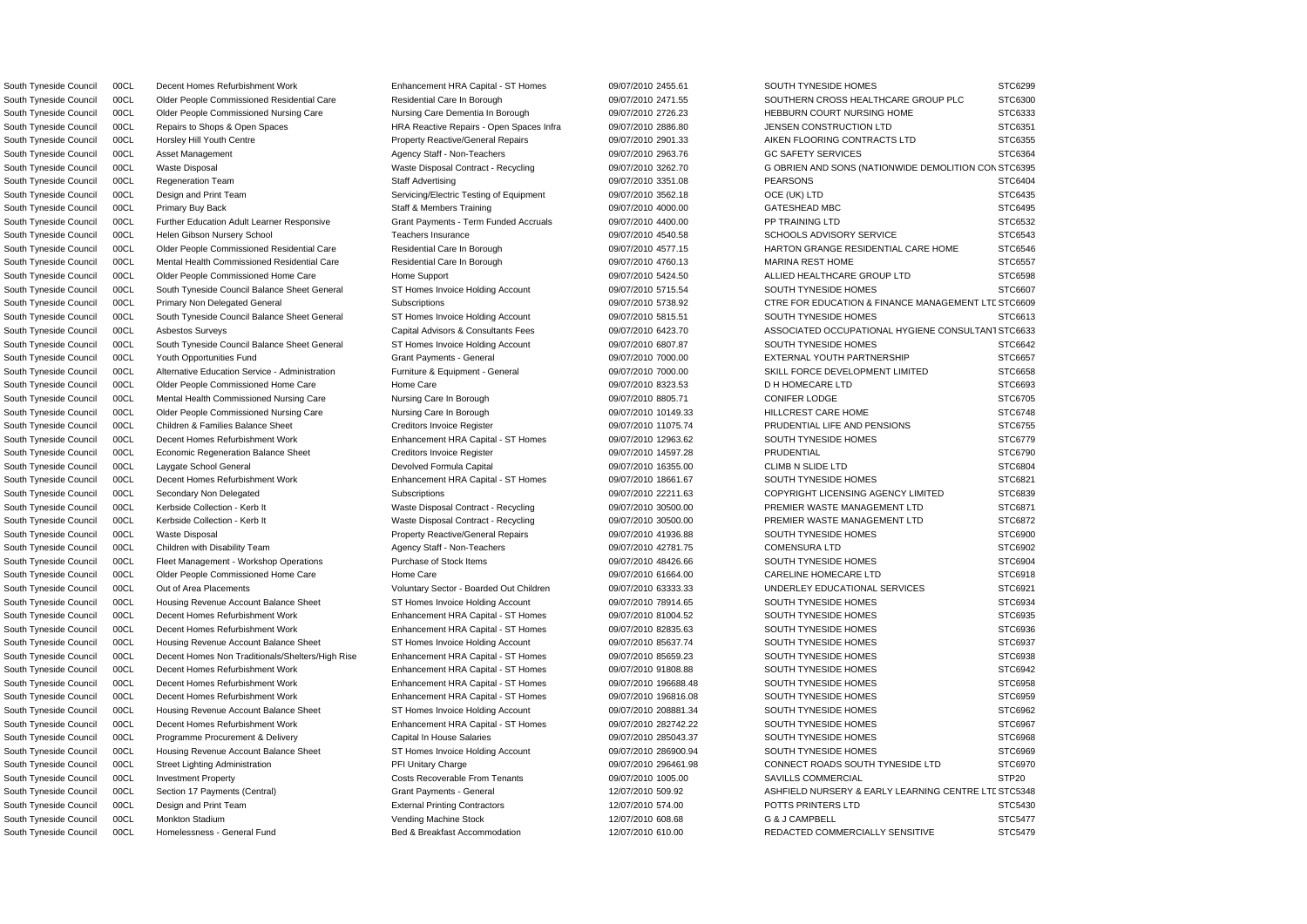South Tyneside Council 00CL Decent Homes Refurbishment Work Enhancement HRA Capital - ST Homes 09/07/2010 2455.61 SOUTH TYNESIDE HOMES STC6299

N South Tyneside Council 00CL Waste Disposal Waste Disposal Contract - Recycling 09/07/2010 3262.70 G OBRIEN AND SONS (NATIONWIDE DEMOLITION CO STC6395 DSouth Tyneside Council 00CL Primary Non Delegated General Subscriptions 09/07/2010 5738.92 CTRE FOR EDUCATION & FINANCE MANAGEMENT LT STC6609 South Tyneside Council 00CL Asbestos Surveys entity the Capital Advisors & Consultants Fees 09/07/2010 6423.70 ASSOCIATED OCCUPATIONAL HYGIENE CONSULTANT STC6633 DSouth Tyneside Council 00CL Section 17 Payments (Central) Grant Payments - General 12/07/2010 509.92 ASHFIELD NURSERY & EARLY LEARNING CENTRE LT STC5348 South Tyneside Council 00CL Older People Commissioned Residential Care Residential Care Residential Care Residential Care Residential Care Residential Care In Borough 09/07/2010 2471.55 SOUTHERN CROSS HEALTHCARE GROUP PLC South Tyneside Council 00CL Older People Commissioned Nursing Care Nursing Care Dementia In Borough 09/07/2010 2726.23 HEBBURN COURT NURSING HOME STC6333 South Tyneside Council 00CL Repairs to Shops & Open Spaces HRA Reactive Repairs - Open Spaces Infra 09/07/2010 2886.80 JENSEN CONSTRUCTION LTD STC6351 South Tyneside Council 00CL Horsley Hill Youth Centre **Property Reactive/General Repairs** 09/07/2010 2901.33 AIKEN FLOORING CONTRACTS LTD STC6355 South Tyneside Council 00CL Asset Management Agency Staff - Non-Teachers 09/07/2010 2963.76 GC SAFETY SERVICES STC6364 South Tyneside Council 00CL Regeneration Team Staff Advertising PEARSONS PEARSONS STC6404 South Tyneside Council 00CL Design and Print Team Servicing/Electric Testing of Equipment 09/07/2010 3562.18 OCE (UK) LTD STC6435 South Tyneside Council 00CL Primary Buy Back Staff & Members Training Company of the USATESHEAD MBC STC6495 STC6495 South Tyneside Council 00CL Further Education Adult Learner Responsive Grant Payments - Term Funded Accruals 09/07/2010 4400.00 PP TRAINING LTD STC6532 South Tyneside Council 00CL Helen Gibson Nursery School **Teachers Insurance** Teachers Insurance 09/07/2010 4540.58 SCHOOLS ADVISORY SERVICE STC6543 South Tyneside Council 00CL Older People Commissioned Residential Care Residential Care Residential Care Residential Care Residential Care Residential Care Residential Care Residential Care Residential Care Residential Car South Tyneside Council 00CL Mental Health Commissioned Residential Care Residential Care In Borough 09/07/2010 4760.13 MARINA REST HOME STC6557 South Tyneside Council 00CL Older People Commissioned Home Care Home Support Home Support 09/07/2010 5424.50 ALLIED HEALTHCARE GROUP LTD STC6598 South Tyneside Council 00CL South Tyneside Council Balance Sheet General ST Homes Invoice Holding Account 09/07/2010 5715.54 SOUTH TYNESIDE HOMES STC6607 South Tyneside Council 00CL South Tyneside Council Balance Sheet General ST Homes Invoice Holding Account 09/07/2010 5815.51 SOUTH TYNESIDE HOMES STC6613 South Tyneside Council 00CL South Tyneside Council Balance Sheet General ST Homes Invoice Holding Account 09/07/2010 6807.87 SOUTH TYNESIDE HOMES STC6642 South Tyneside Council 00CL Youth Opportunities Fund Grant Payments - General 09/07/2010 7000.00 EXTERNAL YOUTH PARTNERSHIP STC6657 South Tyneside Council 00CL Alternative Education Service - Administration Furniture & Equipment - General 09/07/2010 7000.00 SKILL FORCE DEVELOPMENT LIMITED STC6658 South Tyneside Council 00CL Older People Commissioned Home Care Home Care Home Care 09/07/2010 8323.53 D H HOMECARE LTD STC6693 South Tyneside Council 00CL Mental Health Commissioned Nursing Care Nursing Care In Borough 09/07/2010 8805.71 CONIFER LODGE STC6705 South Tyneside Council 00CL Older People Commissioned Nursing Care Nursing Care In Borough 09/07/2010 10149.33 HILLCREST CARE HOME STC6748 South Tyneside Council 00CL Children & Families Balance Sheet Creditors Invoice Register 09/07/2010 11075.74 PRUDENTIAL LIFE AND PENSIONS STC6755 South Tyneside Council 00CL Decent Homes Refurbishment Work Enhancement HRA Capital - ST Homes 09/07/2010 12963.62 SOUTH TYNESIDE HOMES STC6779 South Tyneside Council 00CL Economic Regeneration Balance Sheet Creditors Invoice Register 09/07/2010 14597.28 PRUDENTIAL PRUDENTIAL STC6790 South Tyneside Council 00CL Laygate School General **Devolved Formula Capital Devolved Formula Capital Devolved Formula Capital 09/07/2010 16355.00 CLIMB N SLIDE LTD STC6804** South Tyneside Council 00CL Decent Homes Refurbishment Work Enhancement HRA Capital - ST Homes 09/07/2010 18661.67 SOUTH TYNESIDE HOMES STC6821 South Tyneside Council 00CL Secondary Non Delegated Subscriptions Subscriptions 09/07/2010 22211.63 COPYRIGHT LICENSING AGENCY LIMITED STC6839 South Tyneside Council 00CL Kerbside Collection - Kerb It Waste Disposal Contract - Recycling 09/07/2010 30500.00 PREMIER WASTE MANAGEMENT LTD STC6871 South Tyneside Council 00CL Kerbside Collection - Kerb It Waste Disposal Contract - Recycling 09/07/2010 30500.00 PREMIER WASTE MANAGEMENT LTD STC6872 South Tyneside Council 00CL Waste Disposal **Property Reactive/General Repairs** 09/07/2010 41936.88 SOUTH TYNESIDE HOMES STC6900 South Tyneside Council 00CL Children with Disability Team Agency Staff - Non-Teachers 09/07/2010 42781.75 COMENSURA LTD STC6902 South Tyneside Council 00CL Fleet Management - Workshop Operations Purchase of Stock Items 09/07/2010 48426.66 SOUTH TYNESIDE HOMES STC6904 South Tyneside Council 00CL Older People Commissioned Home Care Home Care Home Care 09/07/2010 61664.00 CARELINE HOMECARE LTD STC6918 South Tyneside Council 00CL Out of Area Placements **STC6921** Voluntary Sector - Boarded Out Children 09/07/2010 63333.33 UNDERLEY EDUCATIONAL SERVICES STC6921 South Tyneside Council 00CL Housing Revenue Account Balance Sheet ST Homes Invoice Holding Account 09/07/2010 78914.65 SOUTH TYNESIDE HOMES STC6934 South Tyneside Council 00CL Decent Homes Refurbishment Work Enhancement HRA Capital - ST Homes 09/07/2010 81004.52 SOUTH TYNESIDE HOMES STC6935 South Tyneside Council 00CL Decent Homes Refurbishment Work Enhancement HRA Capital - ST Homes 09/07/2010 82835.63 SOUTH TYNESIDE HOMES STC6936 South Tyneside Council 00CL Housing Revenue Account Balance Sheet ST Homes Invoice Holding Account 09/07/2010 85637.74 SOUTH TYNESIDE HOMES STC6937 South Tyneside Council 00CL Decent Homes Non Traditionals/Shelters/High Rise Enhancement HRA Capital - ST Homes 09/07/2010 85659.23 SOUTH TYNESIDE HOMES STC6938 South Tyneside Council 00CL Decent Homes Refurbishment Work Enhancement HRA Capital - ST Homes 09/07/2010 91808.88 SOUTH TYNESIDE HOMES STC6942 South Tyneside Council 00CL Decent Homes Refurbishment Work Enhancement HRA Capital - ST Homes 09/07/2010 196688.48 SOUTH TYNESIDE HOMES STC6958 South Tyneside Council 00CL Decent Homes Refurbishment Work Enhancement HRA Capital - ST Homes 09/07/2010 196816.08 SOUTH TYNESIDE HOMES STC6959 South Tyneside Council 00CL Housing Revenue Account Balance Sheet ST Homes Invoice Holding Account 09/07/2010 208881.34 SOUTH TYNESIDE HOMES STC6962 South Tyneside Council 00CL Decent Homes Refurbishment Work Enhancement HRA Capital - ST Homes 09/07/2010 282742.22 SOUTH TYNESIDE HOMES STC6967 South Tyneside Council 00CL Programme Procurement & Delivery Capital In House Salaries 09/07/2010 285043.37 SOUTH TYNESIDE HOMES STC6968 South Tyneside Council 00CL Housing Revenue Account Balance Sheet ST Homes Invoice Holding Account 09/07/2010 286900.94 SOUTH TYNESIDE HOMES STC6969 South Tyneside Council 00CL Street Lighting Administration **PEL PRI Unitary Charge CONNECT ADMINISTS** CONNECT ROADS SOUTH TYNESIDE LTD STC6970 South Tyneside Council 00CL Investment Property Costs Recoverable From Tenants 09/07/2010 1005.00 SAVILLS COMMERCIAL STP20 STP20 South Tyneside Council 00CL Design and Print Team External Printing Contractors 12/07/2010 574.00 POTTS PRINTERS LTD STC5430 South Tyneside Council COCL Monkton Stadium (STC5477 Vending Machine Stock 12/07/2010 608.68 G & J CAMPBELL STC5477 South Tyneside Council 00CL Homelessness - General Fund Bed & Breakfast Accommodation 12/07/2010 610.00 REDACTED COMMERCIALLY SENSITIVE STC5479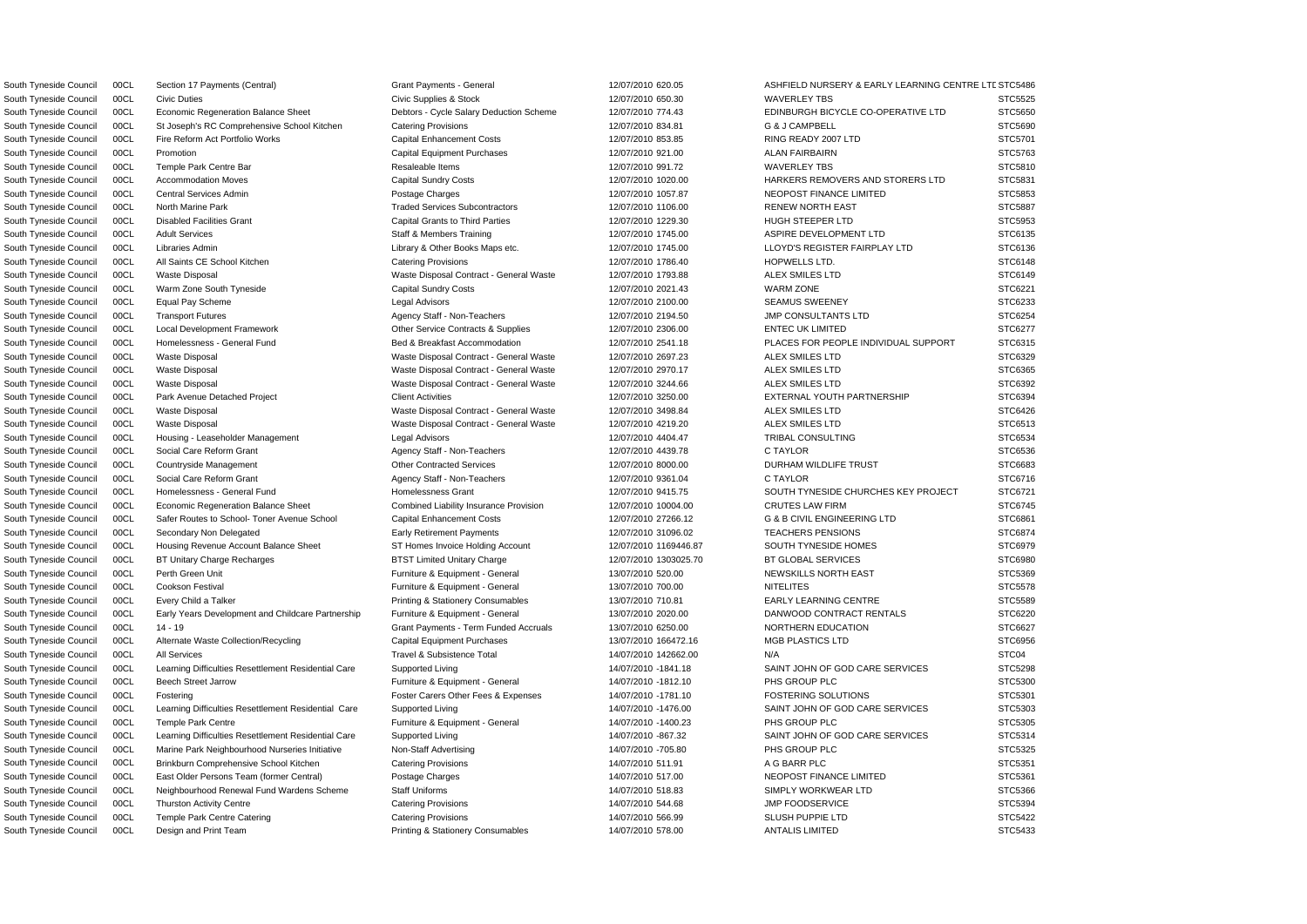South Tyneside Council 00CL Civic Duties Civic Supplies & Stock 12/07/2010 650.30 WAVERLEY TBS STC5525 South Tyneside Council 00CL Economic Regeneration Balance Sheet Debtors - Cycle Salary Deduction Scheme 12/07/2010 774.43 EDINBURGH BICYCLE CO-OPERATIVE LTD STC5650 South Tyneside Council 00CL St Joseph's RC Comprehensive School Kitchen Catering Provisions 12/07/2010 834.81 G & J CAMPBELL STC5690 South Tyneside Council 00CL Fire Reform Act Portfolio Works Capital Enhancement Costs 12/07/2010 853.85 RING READY 2007 LTD STC5701 South Tyneside Council 00CL Promotion Capital Equipment Purchases 12/07/2010 921.00 ALAN FAIRBAIRN STC5763 South Tyneside Council 00CL Temple Park Centre Bar Resaleable Items Resaleable Items 12/07/2010 991.72 WAVERLEY TBS STC5810 South Tyneside Council 00CL Accommodation Moves Capital Sundry Costs Capital Sundry Costs 12/07/2010 1020.00 HARKERS REMOVERS AND STORERS LTD STC5831 South Tyneside Council 00CL Central Services Admin **Example 2008** Postage Charges **NEOPOST ENANCE LIMITED** STC5853 South Tyneside Council 00CL North Marine Park Traded Services Subcontractors 12/07/2010 1106.00 RENEW NORTH EAST STC5887 South Tyneside Council 00CL Disabled Facilities Grant Capital Grants to Third Parties 12/07/2010 1229.30 HUGH STEEPER LTD STC5953 South Tyneside Council 00CL Adult Services States Staff & Members Training 12/07/2010 1745.00 ASPIRE DEVELOPMENT LTD STC6135 South Tyneside Council 00CL Libraries Admin 2000 Library & Other Books Maps etc. 2007/2010 1745.00 LLOYD'S REGISTER FAIRPLAY LTD STC6136 South Tyneside Council 00CL All Saints CE School Kitchen Catering Provisions Catering Provisions and the total that the total of the street of the STC6148 Catering Provisions Catering Provisions and the total that the stre South Tyneside Council 00CL Waste Disposal Waste Disposal Contract - General Waste 12/07/2010 1793.88 ALEX SMILES LTD STC6149 South Tyneside Council 00CL Warm Zone South Tyneside Capital Sundry Costs 12/07/2010 2021.43 WARM ZONE STC6221 South Tyneside Council 00CL Equal Pay Scheme Legal Advisors 12/07/2010 2100.00 SEAMUS SWEENEY STC6233 South Tyneside Council 00CL Transport Futures **Agency Staff - Non-Teachers** 12/07/2010 2194.50 JMP CONSULTANTS LTD STC6254 South Tyneside Council 00CL Local Development Framework Other Service Contracts & Supplies 12/07/2010 2306.00 ENTEC UK LIMITED STC6277 South Tyneside Council 00CL Homelessness - General Fund Bed & Breakfast Accommodation 12/07/2010 2541.18 PLACES FOR PEOPLE INDIVIDUAL SUPPORT STC6315 South Tyneside Council 00CL Waste Disposal Waste Disposal Contract - General Waste 12/07/2010 2697.23 ALEX SMILES LTD STC6329 South Tyneside Council 00CL Waste Disposal National Waste Disposal Contract - General Waste 12/07/2010 2970.17 ALEX SMILES LTD STC6365 South Tyneside Council 00CL Waste Disposal Waste Disposal Contract - General Waste 12/07/2010 3244.66 ALEX SMILES LTD STC6392 South Tyneside Council 00CL Park Avenue Detached Project Client Activities Client Activities 12/07/2010 3250.00 EXTERNAL YOUTH PARTNERSHIP STC6394 South Tyneside Council 00CL Waste Disposal Waste Disposal Contract - General Waste 12/07/2010 3498.84 ALEX SMILES LTD STC6426 South Tyneside Council 00CL Waste Disposal **Waste Disposal Contract - General Waste** 12/07/2010 4219.20 ALEX SMILES LTD STC6513 South Tyneside Council 00CL Housing - Leaseholder Management Legal Advisors Legal Advisors 12/07/2010 4404.47 TRIBAL CONSULTING STC6534 South Tyneside Council COCL Social Care Reform Grant Agency Staff - Non-Teachers 12/07/2010 4439.78 C TAYLOR STC6536 STC6536 South Tyneside Council 00CL Countryside Management Contracted Services Chher Contracted Services and the contracted Services of the management of the Contracted Services of the management of the Contracted Services of the South Tyneside Council 00CL Social Care Reform Grant Agency Staff - Non-Teachers 12/07/2010 9361.04 C TAYLOR STC6716 South Tyneside Council 00CL Homelessness - General Fund Homelessness Grant 12/07/2010 9415.75 SOUTH TYNESIDE CHURCHES KEY PROJECT STC6721 South Tyneside Council 00CL Economic Regeneration Balance Sheet Combined Liability Insurance Provision 12/07/2010 10004.00 CRUTES LAW FIRM STC6745 South Tyneside Council 00CL Safer Routes to School- Toner Avenue School Capital Enhancement Costs 12/07/2010 27266.12 G & B CIVIL ENGINEERING LTD STC6861 South Tyneside Council 00CL Secondary Non Delegated Early Retirement Payments 12/07/2010 31096.02 TEACHERS PENSIONS STC6874 South Tyneside Council 00CL Housing Revenue Account Balance Sheet ST Homes Invoice Holding Account 12/07/2010 1169446.87 SOUTH TYNESIDE HOMES STC6979 South Tyneside Council 00CL BT Unitary Charge Recharges BTST Limited Unitary Charge 12/07/2010 1303025.70 BT GLOBAL SERVICES STC6980 South Tyneside Council COCL Perth Green Unit And the Structure of Turniture & Equipment - General And the Magazine of the Structure of the Structure of the STC5369 Structure of the STC5369 STC5369 STC5369 STC5369 STC5369 S South Tyneside Council 00CL Cookson Festival **Furniture & Equipment - General** 13/07/2010 700.00 NITELITES STC5578 South Tyneside Council 00CL Every Child a Talker **Printing & Stationery Consumables** 13/07/2010 710.81 EARLY LEARNING CENTRE STC5589 South Tyneside Council 00CL Early Years Development and Childcare Partnership Furniture & Equipment - General 13/07/2010 2020.00 DANWOOD CONTRACT RENTALS STC6220 South Tyneside Council 00CL 14 - 19 STC6627 Grant Payments - Term Funded Accruals 13/07/2010 6250.00 NORTHERN EDUCATION STC6627 South Tyneside Council 00CL Alternate Waste Collection/Recycling Capital Equipment Purchases 13/07/2010 166472.16 MGB PLASTICS LTD STC6956 South Tyneside Council 00CL All Services **Travel & Subsistence Total** 14/07/2010 142662.00 N/A N/A STC04 STC04 South Tyneside Council 00CL Learning Difficulties Resettlement Residential Care Supported Living 14/07/2010 -1841.18 SAINT JOHN OF GOD CARE SERVICES STC5298 South Tyneside Council 00CL Beech Street Jarrow **Furniture & Equipment - General** 14/07/2010 -1812.10 PHS GROUP PLC STC5300 STC5300 South Tyneside Council 00CL Fostering Carect Carers Other Fees & Expenses 14/07/2010 -1781.10 FOSTERING SOLUTIONS STC5301 South Tyneside Council 00CL Learning Difficulties Resettlement Residential Care Supported Living 14/07/2010 -1476.00 SAINT JOHN OF GOD CARE SERVICES STC5303 South Tyneside Council 00CL Temple Park Centre **Furniture & Equipment - General** 14/07/2010 -1400.23 PHS GROUP PLC STC5305 South Tyneside Council 00CL Learning Difficulties Resettlement Residential Care Supported Living 14/07/2010 -867.32 SAINT JOHN OF GOD CARE SERVICES STC5314 South Tyneside Council 00CL Marine Park Neighbourhood Nurseries Initiative Non-Staff Advertising 14/07/2010 -705.80 PHS GROUP PLC STC5325 South Tyneside Council 00CL Brinkburn Comprehensive School Kitchen Catering Provisions 14/07/2010 511.91 A G BARR PLC STC5351 South Tyneside Council 00CL East Older Persons Team (former Central) Postage Charges 1999 14/07/2010 517.00 NEOPOST FINANCE LIMITED STC5361 South Tyneside Council 00CL Neighbourhood Renewal Fund Wardens Scheme Staff Uniforms 14/07/2010 518.83 SIMPLY WORKWEAR LTD STC5366 South Tyneside Council 00CL Thurston Activity Centre Catering Provisions Catering Provisions and the control of the STC5394 of the STC5394 STC5394 South Tyneside Council 00CL Temple Park Centre Catering Catering Provisions Catering Provisions 14/07/2010 566.99 SLUSH PUPPIE LTD STC5422

South Tyneside Council 00CL Section 17 Payments (Central) Grant Payments - General 12/07/2010 620.05 ASHFIELD NURSERY & EARLY LEARNING CENTRE LTDSTC5486 South Tyneside Council 00CL Design and Print Team **Printing & Stationery Consumables** 14/07/2010 578.00 ANTALIS LIMITED STC5433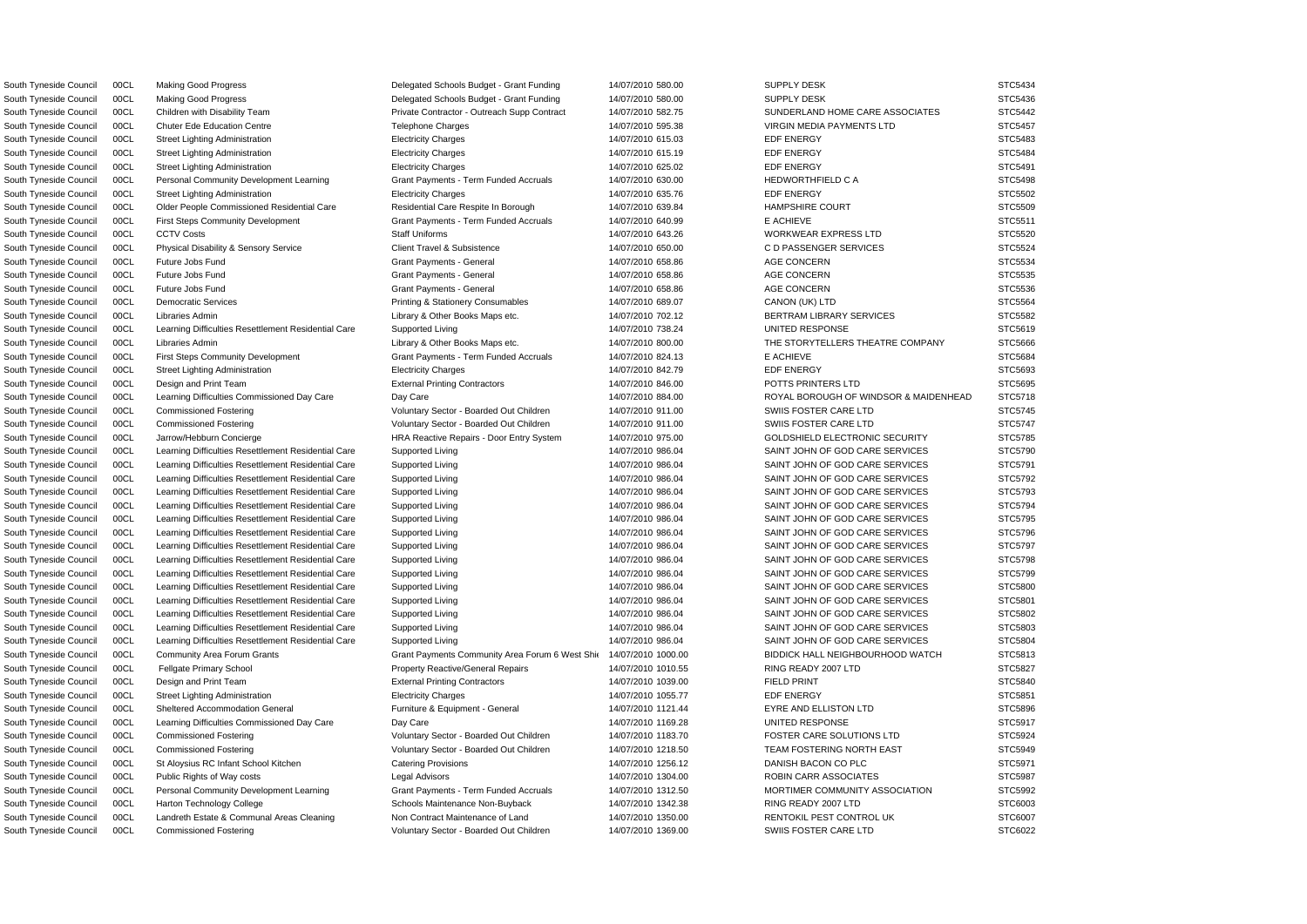South Tyneside Council 00CL Commissioned Fostering values of Voluntary Sector - Boarded Out Children 14/07/2010 1369.00 SWIIS FOSTER CARE LTD STC6022

South Tyneside Council 00CL Making Good Progress Council States Delegated Schools Budget - Grant Funding 14/07/2010 580.00 SUPPLY DESK STC5434 South Tyneside Council 00CL Making Good Progress Second Delegated Schools Budget - Grant Funding 14/07/2010 580.00 SUPPLY DESK STC5436 South Tyneside Council 00CL Children with Disability Team Private Contractor - Outreach Supp Contract 14/07/2010 582.75 SUNDERLAND HOME CARE ASSOCIATES STC5442 South Tyneside Council 00CL Chuter Ede Education Centre Telephone Charges Telephone Charges 14/07/2010 595.38 VIRGIN MEDIA PAYMENTS LTD STC5457 South Tyneside Council 00CL Street Lighting Administration Electricity Charges 14/07/2010 615.03 EDF ENERGY STC5483 South Tyneside Council 00CL Street Lighting Administration **Electricity Charges 2006** STC5484 EDF ENERGY STC5484 South Tyneside Council 00CL Street Lighting Administration Electricity Charges 14/07/2010 625.02 EDF ENERGY STC5491 South Tyneside Council 00CL Personal Community Development Learning Grant Payments - Term Funded Accruals 14/07/2010 630.00 HEDWORTHFIELD C A STC5498 South Tyneside Council 00CL Street Lighting Administration Electricity Charges 14/07/2010 635.76 EDF ENERGY EDF ENERGY STC5502 South Tyneside Council 00CL Older People Commissioned Residential Care Residential Care Respite In Borough 14/07/2010 639.84 HAMPSHIRE COURT STC5509 South Tyneside Council 00CL First Steps Community Development Grant Payments - Term Funded Accruals 14/07/2010 640.99 E ACHIEVE E ACHIEVE STC5511 South Tyneside Council 00CL CCTV Costs State State Staff Uniforms Staff Uniforms 14/07/2010 643.26 WORKWEAR EXPRESS LTD STC5520 South Tyneside Council 00CL Physical Disability & Sensory Service Client Travel & Subsistence 14/07/2010 650.00 CD PASSENGER SERVICES STC5524 South Tyneside Council 00CL Future Jobs Fund Grant Grant Payments - General Grant Payments - 14/07/2010 658.86 AGE CONCERN STC5534 South Tyneside Council 00CL Future Jobs Fund Grant Grant Payments - General Grant Payments - 14/07/2010 658.86 AGE CONCERN STC5535 South Tyneside Council 00CL Future Jobs Fund Grant Grant Payments - General Grant Payments - 14/07/2010 658.86 AGE CONCERN STC5536 South Tyneside Council 00CL Democratic Services exception of the Printing & Stationery Consumables 14/07/2010 689.07 CANON (UK) LTD STC5564 South Tyneside Council 00CL Libraries Admin Library & Other Books Maps etc. 14/07/2010 702.12 BERTRAM LIBRARY SERVICES STC5582 South Tyneside Council 00CL Learning Difficulties Resettlement Residential Care Supported Living 14/07/2010 738.24 UNITED RESPONSE STC5619 South Tyneside Council 00CL Libraries Admin 2000 100000 Library & Other Books Maps etc. 1990/2010 800.00 1990 20000 THE STORYTELLERS THEATRE COMPANY STC5666 South Tyneside Council 00CL First Steps Community Development Grant Payments - Term Funded Accruals 14/07/2010 824.13 E ACHIEVE E ACHIEVE STC5684 South Tyneside Council 00CL Street Lighting Administration **Electricity Charges 14/07/2010 842.79 EDF ENERGY STC5693** South Tyneside Council 00CL Design and Print Team external Printing Contractors and the 14/07/2010 846.00 POTTS PRINTERS LTD STC5695 South Tyneside Council 00CL Learning Difficulties Commissioned Day Care Day Care Day Care Day Care 14/07/2010 884.00 ROYAL BOROUGH OF WINDSOR & MAIDENHEAD STC5718 South Tyneside Council 00CL Commissioned Fostering values of Voluntary Sector - Boarded Out Children 14/07/2010 911.00 SWIIS FOSTER CARE LTD STC5745 South Tyneside Council 00CL Commissioned Fostering values of Voluntary Sector - Boarded Out Children 14/07/2010 911.00 SWIIS FOSTER CARE LTD STC5747 South Tyneside Council 00CL Jarrow/Hebburn Concierge STC5785 HRA Reactive Repairs - Door Entry System 14/07/2010 975.00 GOLDSHIELD ELECTRONIC SECURITY STC5785 South Tyneside Council 00CL Learning Difficulties Resettlement Residential Care Supported Living 14/07/2010 986.04 SAINT JOHN OF GOD CARE SERVICES STC5790 South Tyneside Council 00CL Learning Difficulties Resettlement Residential Care Supported Living 14/07/2010 986.04 SAINT JOHN OF GOD CARE SERVICES STC5791 South Tyneside Council 00CL Learning Difficulties Resettlement Residential Care Supported Living 14/07/2010 986.04 SAINT JOHN OF GOD CARE SERVICES STC5792 South Tyneside Council 00CL Learning Difficulties Resettlement Residential Care Supported Living 14/07/2010 986.04 SAINT JOHN OF GOD CARE SERVICES STC5793 South Tyneside Council 00CL Learning Difficulties Resettlement Residential Care Supported Living 14/07/2010 986.04 SAINT JOHN OF GOD CARE SERVICES STC5794 South Tyneside Council 00CL Learning Difficulties Resettlement Residential Care Supported Living 14/07/2010 986.04 SAINT JOHN OF GOD CARE SERVICES STC5795 South Tyneside Council 00CL Learning Difficulties Resettlement Residential Care Supported Living 14/07/2010 986.04 SAINT JOHN OF GOD CARE SERVICES STC5796 South Tyneside Council 00CL Learning Difficulties Resettlement Residential Care Supported Living 14/07/2010 986.04 SAINT JOHN OF GOD CARE SERVICES STC5797 South Tyneside Council 00CL Learning Difficulties Resettlement Residential Care Supported Living 14/07/2010 986.04 SAINT JOHN OF GOD CARE SERVICES STC5798 South Tyneside Council 00CL Learning Difficulties Resettlement Residential Care Supported Living 14/07/2010 986.04 SAINT JOHN OF GOD CARE SERVICES STC5799 South Tyneside Council 00CL Learning Difficulties Resettlement Residential Care Supported Living 14/07/2010 986.04 SAINT JOHN OF GOD CARE SERVICES STC5800 South Tyneside Council 00CL Learning Difficulties Resettlement Residential Care Supported Living 14/07/2010 986.04 SAINT JOHN OF GOD CARE SERVICES STC5801 South Tyneside Council 00CL Learning Difficulties Resettlement Residential Care Supported Living 14/07/2010 986.04 SAINT JOHN OF GOD CARE SERVICES STC5802 South Tyneside Council 00CL Learning Difficulties Resettlement Residential Care Supported Living 14/07/2010 986.04 SAINT JOHN OF GOD CARE SERVICES STC5803 South Tyneside Council 00CL Learning Difficulties Resettlement Residential Care Supported Living 14/07/2010 986.04 SAINT JOHN OF GOD CARE SERVICES STC5804 South Tyneside Council 00CL Community Area Forum Grants Grant Payments Community Area Forum 6 West Shir 14/07/2010 1000.00 BIDDICK HALL NEIGHBOURHOOD WATCH STC5813 South Tyneside Council 00CL Fellgate Primary School **Property Reactive/General Repairs** 14/07/2010 1010.55 RING READY 2007 LTD STC5827 South Tyneside Council 00CL Design and Print Team **External Printing Contractors 14/07/2010 1039.00** FIELD PRINT STC5840 STC5840 South Tyneside Council 00CL Street Lighting Administration Electricity Charges 14/07/2010 1055.77 EDF ENERGY STC5851 South Tyneside Council 00CL Sheltered Accommodation General Furniture & Equipment - General 14/07/2010 1121.44 EYRE AND ELLISTON LTD STC5896 South Tyneside Council 00CL Learning Difficulties Commissioned Day Care Day Care Day Care 14/07/2010 1169.28 UNITED RESPONSE STC5917 South Tyneside Council 00CL Commissioned Fostering values of Voluntary Sector - Boarded Out Children 14/07/2010 1183.70 FOSTER CARE SOLUTIONS LTD STC5924 South Tyneside Council 00CL Commissioned Fostering verbation of Voluntary Sector - Boarded Out Children 14/07/2010 1218.50 TEAM FOSTERING NORTH EAST STC5949 South Tyneside Council 00CL St Aloysius RC Infant School Kitchen Catering Provisions 14/07/2010 1256.12 DANISH BACON CO PLC STC5971 South Tyneside Council 00CL Public Rights of Way costs Legal Advisors 14/07/2010 1304.00 ROBIN CARR ASSOCIATES STC5987 South Tyneside Council 00CL Personal Community Development Learning Grant Payments - Term Funded Accruals 14/07/2010 1312.50 MORTIMER COMMUNITY ASSOCIATION STC5992 South Tyneside Council 00CL Harton Technology College Schools Maintenance Non-Buyback 14/07/2010 1342.38 RING READY 2007 LTD STC6003 South Tyneside Council 00CL Landreth Estate & Communal Areas Cleaning Non Contract Maintenance of Land 14/07/2010 1350.00 RENTOKIL PEST CONTROL UK STC6007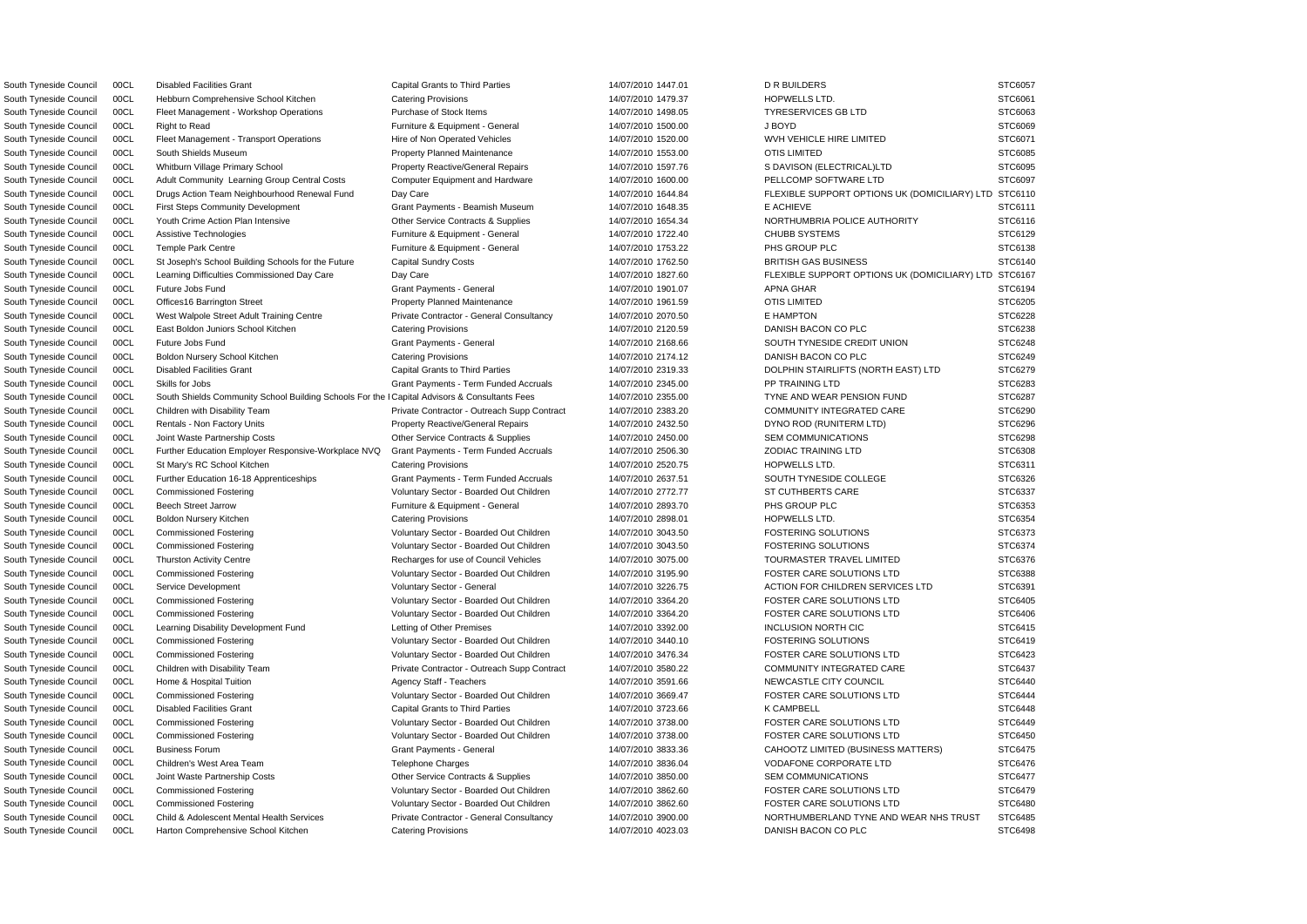South Tyneside Council 00CL South Shields Community School Building Schools For the I Capital Advisors & Consultants Fees 14/07/2010 2355.00 TYNE AND WEAR PENSION FUND STC6287 South Tyneside Council 00CL Disabled Facilities Grant Capital Grants to Third Parties 14/07/2010 1447.01 DR BUILDERS STC6057 South Tyneside Council 00CL Hebburn Comprehensive School Kitchen Catering Provisions 14/07/2010 1479.37 HOPWELLS LTD. STC6061 South Tyneside Council 00CL Fleet Management - Workshop Operations Purchase of Stock Items 14/07/2010 1498.05 TYRESERVICES GB LTD STC6063 South Tyneside Council 00CL Right to Read **Furniture & Equipment - General** 14/07/2010 1500.00 J BOYD J BOYD STC6069 South Tyneside Council 00CL Fleet Management - Transport Operations Hire of Non Operated Vehicles 14/07/2010 1520.00 WVH VEHICLE HIRE LIMITED STC6071 South Tyneside Council 00CL South Shields Museum **Property Planned Maintenance** 14/07/2010 1553.00 OTIS LIMITED STC6085 South Tyneside Council 00CL Whitburn Village Primary School Property Reactive/General Repairs 14/07/2010 1597.76 S DAVISON (ELECTRICAL)LTD STC6095 South Tyneside Council 00CL Adult Community Learning Group Central Costs Computer Equipment and Hardware 14/07/2010 1600.00 PELLCOMP SOFTWARE LTD STC6097 South Tyneside Council 00CL Drugs Action Team Neighbourhood Renewal Fund Day Care 14/07/2010 1644.84 FLEXIBLE SUPPORT OPTIONS UK (DOMICILIARY) LTD STC6110 South Tyneside Council 00CL First Steps Community Development Grant Payments - Beamish Museum 14/07/2010 1648.35 E ACHIEVE E ACHIEVE STC6111 South Tyneside Council 00CL Youth Crime Action Plan Intensive Currence Contracts & Supplies 14/07/2010 1654.34 NORTHUMBRIA POLICE AUTHORITY STC6116 South Tyneside Council 00CL Assistive Technologies **Furniture & Equipment - General** 14/07/2010 1722.40 CHUBB SYSTEMS STC6129 South Tyneside Council 00CL Temple Park Centre **Furniture & Equipment - General** 14/07/2010 1753.22 PHS GROUP PLC STC6138 South Tyneside Council 00CL St Joseph's School Building Schools for the Future Capital Sundry Costs 14/07/2010 1762.50 BRITISH GAS BUSINESS STC6140 South Tyneside Council 00CL Learning Difficulties Commissioned Day Care Day Care Day Care Day Care 14/07/2010 1827.60 FLEXIBLE SUPPORT OPTIONS UK (DOMICILIARY) LTD STC6167 South Tyneside Council COCL Future Jobs Fund Grant Grant Payments - General Grant Payments - 14/07/2010 1901.07 APNA GHAR STC6194 South Tyneside Council 00CL Offices16 Barrington Street **Property Planned Maintenance** 14/07/2010 1961.59 OTIS LIMITED STC6205 South Tyneside Council 00CL West Walpole Street Adult Training Centre Private Contractor - General Consultancy 14/07/2010 2070.50 E HAMPTON STC6228 South Tyneside Council 00CL East Boldon Juniors School Kitchen Catering Provisions Catering Provisions 14/07/2010 2120.59 DANISH BACON CO PLC STC6238 South Tyneside Council 00CL Future Jobs Fund STC6248 Crant Payments - General Grant Payments - General 14/07/2010 2168.66 SOUTH TYNESIDE CREDIT UNION STC6248 South Tyneside Council 00CL Boldon Nursery School Kitchen Catering Provisions Catering Provisions 14/07/2010 2174.12 DANISH BACON CO PLC STC6249 South Tyneside Council 00CL Disabled Facilities Grant Capital Grants to Third Parties 14/07/2010 2319.33 DOLPHIN STAIRLIFTS (NORTH EAST) LTD STC6279 South Tyneside Council 00CL Skills for Jobs STC6283 State Payments - Term Funded Accruals 14/07/2010 2345.00 PP TRAINING LTD STC6283 South Tyneside Council 00CL Children with Disability Team Private Contractor - Outreach Supp Contract 14/07/2010 2383.20 COMMUNITY INTEGRATED CARE STC6290 South Tyneside Council 00CL Rentals - Non Factory Units example and the Property Reactive/General Repairs 14/07/2010 2432.50 DYNO ROD (RUNITERM LTD) STC6296 South Tyneside Council 00CL Joint Waste Partnership Costs Contracts & Other Service Contracts & Supplies 14/07/2010 2450.00 SEM COMMUNICATIONS STC6298 South Tyneside Council 00CL Further Education Employer Responsive-Workplace NVQ Grant Payments - Term Funded Accruals 14/07/2010 2506.30 ZODIAC TRAINING LTD STC6308 South Tyneside Council COCL St Mary's RC School Kitchen Catering Provisions Catering Provisions and the theory of the control of the control of the control of the STC6311 South Tyneside Council 00CL Further Education 16-18 Apprenticeships Grant Payments - Term Funded Accruals 14/07/2010 2637.51 SOUTH TYNESIDE COLLEGE STC6326 South Tyneside Council 00CL Commissioned Fostering STC6337 Voluntary Sector - Boarded Out Children 14/07/2010 2772.77 ST CUTHBERTS CARE STC6337 South Tyneside Council 00CL Beech Street Jarrow **Furniture & Equipment - General** 14/07/2010 2893.70 PHS GROUP PLC STC6353 South Tyneside Council 00CL Boldon Nursery Kitchen Catering Provisions Catering Provisions and the the control of the control of the control of the control of the Catering Provisions of the control of the control of the co South Tyneside Council 00CL Commissioned Fostering values of Voluntary Sector - Boarded Out Children 14/07/2010 3043.50 FOSTERING SOLUTIONS STC6373 South Tyneside Council 00CL Commissioned Fostering Voluntary Sector - Boarded Out Children 14/07/2010 3043.50 FOSTERING SOLUTIONS STC6374 South Tyneside Council 00CL Thurston Activity Centre **Recharges for use of Council Vehicles** 14/07/2010 3075.00 TOURMASTER TRAVEL LIMITED STC6376 South Tyneside Council 00CL Commissioned Fostering values of Voluntary Sector - Boarded Out Children 14/07/2010 3195.90 FOSTER CARE SOLUTIONS LTD STC6388 South Tyneside Council 00CL Service Development Voluntary Sector - General 14/07/2010 3226.75 ACTION FOR CHILDREN SERVICES LTD STC6391 South Tyneside Council 00CL Commissioned Fostering values of Voluntary Sector - Boarded Out Children 14/07/2010 3364.20 FOSTER CARE SOLUTIONS LTD STC6405 South Tyneside Council 00CL Commissioned Fostering Voluntary Sector - Boarded Out Children 14/07/2010 3364.20 FOSTER CARE SOLUTIONS LTD STC6406 South Tyneside Council 00CL Learning Disability Development Fund Letting of Other Premises 14/07/2010 3392.00 INCLUSION NORTH CIC STC6415 South Tyneside Council 00CL Commissioned Fostering values of Voluntary Sector - Boarded Out Children 14/07/2010 3440.10 FOSTERING SOLUTIONS STC6419 South Tyneside Council 00CL Commissioned Fostering Voluntary Sector - Boarded Out Children 14/07/2010 3476.34 FOSTER CARE SOLUTIONS LTD STC6423 South Tyneside Council 00CL Children with Disability Team Private Contractor - Outreach Supp Contract 14/07/2010 3580.22 COMMUNITY INTEGRATED CARE STC6437 South Tyneside Council 00CL Home & Hospital Tuition Agency Staff - Teachers 14/07/2010 3591.66 NEWCASTLE CITY COUNCIL STC6440 South Tyneside Council 00CL Commissioned Fostering vera vera vera Voluntary Sector - Boarded Out Children 14/07/2010 3669.47 FOSTER CARE SOLUTIONS LTD STC6444 South Tyneside Council COCL Disabled Facilities Grant Capital Grants to Third Parties 2007/2010 3723.66 K CAMPBELL STC6448 STC6448 South Tyneside Council 00CL Commissioned Fostering Voluntary Sector - Boarded Out Children 14/07/2010 3738.00 FOSTER CARE SOLUTIONS LTD STC6449 South Tyneside Council 00CL Commissioned Fostering values of Voluntary Sector - Boarded Out Children 14/07/2010 3738.00 FOSTER CARE SOLUTIONS LTD STC6450 South Tyneside Council 00CL Business Forum Strum Grant Payments - General Grant Payments - General 14/07/2010 3833.36 CAHOOTZ LIMITED (BUSINESS MATTERS) STC6475 South Tyneside Council 00CL Children's West Area Team Telephone Charges Telephone Charges and the through the street of the street of the street of the street of the street of the street of the street of the street of the South Tyneside Council 00CL Joint Waste Partnership Costs Contracts & Other Service Contracts & Supplies 14/07/2010 3850.00 SEM COMMUNICATIONS STC6477 South Tyneside Council 00CL Commissioned Fostering values of Voluntary Sector - Boarded Out Children 14/07/2010 3862.60 FOSTER CARE SOLUTIONS LTD STC6479 South Tyneside Council 00CL Commissioned Fostering versus voluntary Sector - Boarded Out Children 14/07/2010 3862.60 FOSTER CARE SOLUTIONS LTD STC6480 South Tyneside Council 00CL Child & Adolescent Mental Health Services Private Contractor - General Consultancy 14/07/2010 3900.00 NORTHUMBERLAND TYNE AND WEAR NHS TRUST STC6485 South Tyneside Council 00CL Harton Comprehensive School Kitchen Catering Provisions 14/07/2010 4023.03 DANISH BACON CO PLC STC6498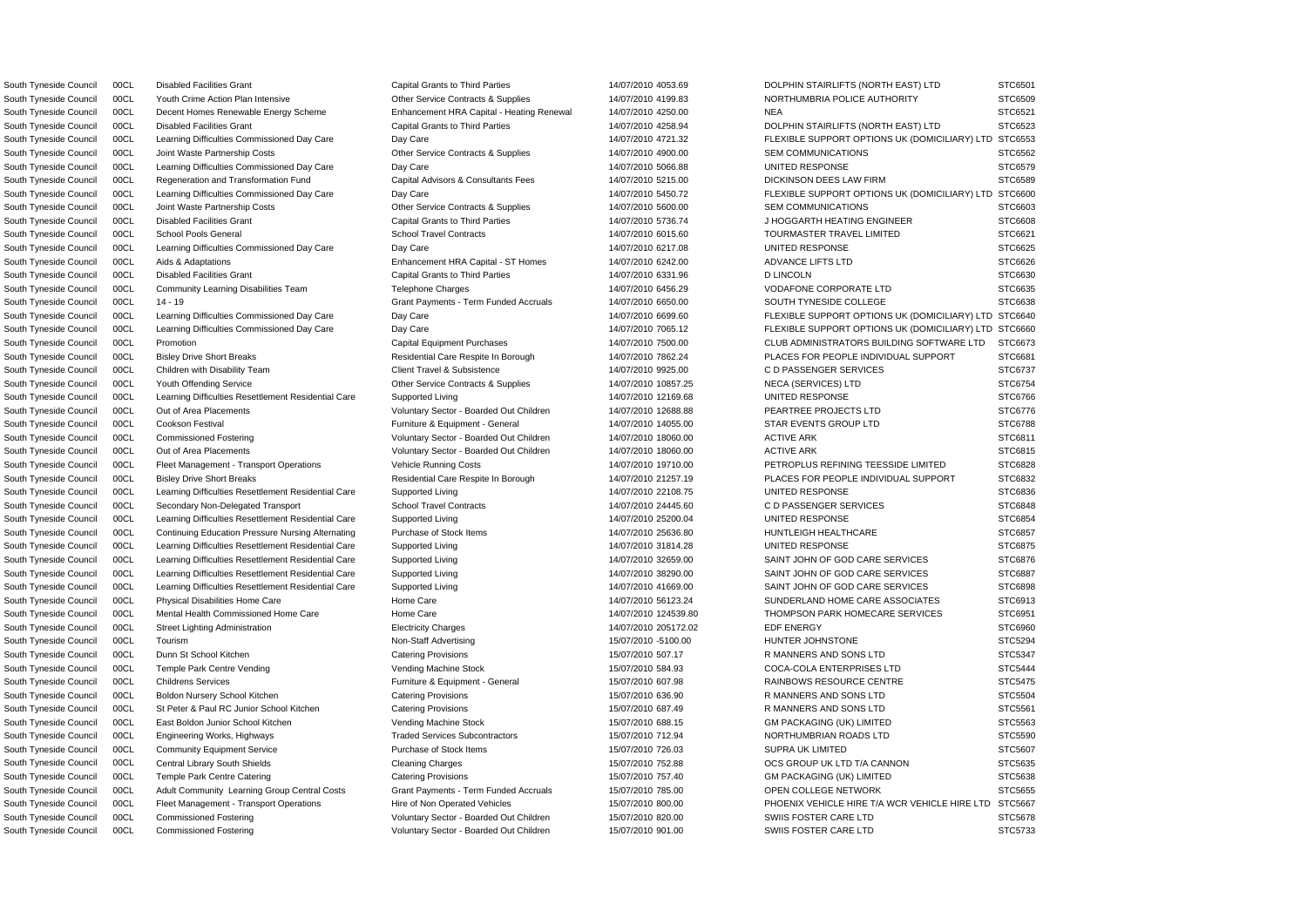South Tyneside Council 00CL Youth Crime Action Plan Intensive Carries Contracts & Supplies 14/07/2010 4199.83 NORTHUMBRIA POLICE AUTHORITY South Tyneside Council 00CL Decent Homes Renewable Energy Scheme Enhancement HRA Capital - Heating Renewal 14/07/2010 4250.00 NEA South Tyneside Council 00CL Disabled Facilities Grant Capital Grants to Third Parties 14/07/2010 4258.94 DOLPHIN STAIRLIFTS (NORTH EAST) LTD South Tyneside Council 00CL Joint Waste Partnership Costs **Other Service Contracts & Supplies** 14/07/2010 4900.00 SEM COMMUNICATIONS South Tyneside Council 00CL Learning Difficulties Commissioned Day Care Day Care 2012 14/07/2010 5066.88 UNITED RESPONSE South Tyneside Council 00CL Regeneration and Transformation Fund Capital Advisors & Consultants Fees 14/07/2010 5215.00 DICKINSON DEES LAW FIRM South Tyneside Council 00CL Joint Waste Partnership Costs Costs Contracts & Supplies 14/07/2010 5600.00 SEM COMMUNICATIONS South Tyneside Council 00CL Disabled Facilities Grant Capital Grant Capital Grants to Third Parties 14/07/2010 5736.74 J HOGGARTH HEATING ENGINEER South Tyneside Council 00CL School Pools General School Travel Contracts School Travel Contracts and the 14/07/2010 6015.60 TOURMASTER TRAVEL LIMITED South Tyneside Council 00CL Learning Difficulties Commissioned Day Care Day Care Day Care 14/07/2010 6217.08 UNITED RESPONSE South Tyneside Council 00CL Aids & Adaptations example and the Enhancement HRA Capital - ST Homes 14/07/2010 6242.00 ADVANCE LIFTS LTD South Tyneside Council 00CL Community Learning Disabilities Team Telephone Charges 14/07/2010 6456.29 VODAFONE CORPORATE LTD South Tyneside Council 00CL 14 - 19 Crant Payments - Term Funded Accruals 14/07/2010 6650.00 SOUTH TYNESIDE COLLEGE South Tyneside Council 00CL Bisley Drive Short Breaks **Residential Care Respite In Borough 14/07/2010 7862.24** PLACES FOR PEOPLE INDIVIDUAL SUPPORT South Tyneside Council 00CL Youth Offending Service Other Service Contracts & Supplies 14/07/2010 10857.25 NECA (SERVICES) LTD STC6754 South Tyneside Council 00CL Learning Difficulties Resettlement Residential Care Supported Living 14/07/2010 12169.68 UNITED RESPONSE South Tyneside Council 00CL Out of Area Placements examples and a voluntary Sector - Boarded Out Children 14/07/2010 12688.88 PEARTREE PROJECTS LTD South Tyneside Council 00CL Cookson Festival **Furniture & Equipment - General** 14/07/2010 14055.00 STAR EVENTS GROUP LTD South Tyneside Council 00CL Commissioned Fostering variable voluntary Sector - Boarded Out Children 14/07/2010 18060.00 ACTIVE ARK South Tyneside Council 00CL Out of Area Placements **Voluntary Sector - Boarded Out Children** 14/07/2010 18060.00 ACTIVE ARK South Tyneside Council 00CL Fleet Management - Transport Operations Vehicle Running Costs 14/07/2010 19710.00 PETROPLUS REFINING TEESSIDE LIMITED South Tyneside Council 00CL Bisley Drive Short Breaks **Residential Care Respite In Borough 14/07/2010 21257.19** PLACES FOR PEOPLE INDIVIDUAL SUPPORT South Tyneside Council 00CL Learning Difficulties Resettlement Residential Care Supported Living 14/07/2010 22108.75 UNITED RESPONSE South Tyneside Council 00CL Secondary Non-Delegated Transport School Travel Contracts 14/07/2010 24445.60 CD PASSENGER SERVICES South Tyneside Council 00CL Learning Difficulties Resettlement Residential Care Supported Living 14/07/2010 25200.04 UNITED RESPONSE South Tyneside Council 00CL Continuing Education Pressure Nursing Alternating Purchase of Stock Items 14/07/2010 25636.80 HUNTLEIGH HEALTHCARE South Tyneside Council 00CL Learning Difficulties Resettlement Residential Care Supported Living 14/07/2010 31814.28 UNITED RESPONSE South Tyneside Council 00CL Learning Difficulties Resettlement Residential Care Supported Living 14/07/2010 32659.00 SAINT JOHN OF GOD CARE SERVICES South Tyneside Council 00CL Learning Difficulties Resettlement Residential Care Supported Living 14/07/2010 38290.00 SAINT JOHN OF GOD CARE SERVICES South Tyneside Council 00CL Learning Difficulties Resettlement Residential Care Supported Living 14/07/2010 41669.00 SAINT JOHN OF GOD CARE SERVICES South Tyneside Council 00CL Physical Disabilities Home Care Home Care Home Care 14/07/2010 56123.24 SUNDERLAND HOME CARE ASSOCIATES South Tyneside Council 00CL Mental Health Commissioned Home Care Home Care Home Care 14/07/2010 124539.80 THOMPSON PARK HOMECARE SERVICES South Tyneside Council 00CL Dunn St School Kitchen Catering Provisions Catering Provisions 15/07/2010 507.17 R MANNERS AND SONS LTD South Tyneside Council 00CL Temple Park Centre Vending verbation of Vending Machine Stock 15/07/2010 584.93 COCA-COLA ENTERPRISES LTD South Tyneside Council 00CL Childrens Services **Furniture & Equipment - General** 15/07/2010 607.98 RAINBOWS RESOURCE CENTRE South Tyneside Council 00CL Boldon Nursery School Kitchen Catering Provisions Catering Provisions 15/07/2010 636.90 R MANNERS AND SONS LTD South Tyneside Council 00CL St Peter & Paul RC Junior School Kitchen Catering Provisions 15/07/2010 687.49 R MANNERS AND SONS LTD South Tyneside Council 00CL East Boldon Junior School Kitchen Vending Machine Stock 15/07/2010 688.15 GM PACKAGING (UK) LIMITED South Tyneside Council 00CL Engineering Works, Highways Traded Services Subcontractors 15/07/2010 712.94 NORTHUMBRIAN ROADS LTD South Tyneside Council 00CL Community Equipment Service Purchase of Stock Items 15/07/2010 726.03 SUPRA UK LIMITED South Tyneside Council 00CL Central Library South Shields Cleaning Charges Cleaning Charges 15/07/2010 752.88 OCS GROUP UK LTD T/A CANNON South Tyneside Council 00CL Adult Community Learning Group Central Costs Grant Payments - Term Funded Accruals 15/07/2010 785.00 OPEN COLLEGE NETWORK South Tyneside Council 00CL Commissioned Fostering variable voluntary Sector - Boarded Out Children 15/07/2010 820.00 SWIIS FOSTER CARE LTD South Tyneside Council 00CL Commissioned Fostering The Voluntary Sector - Boarded Out Children 15/07/2010 901.00 SWIIS FOSTER CARE LTD

South Tyneside Council 00CL Disabled Facilities Grant Capital Grants to Third Parties 14/07/2010 4053.69 DOLPHIN STAIRLIFTS (NORTH EAST) LTD

South Tyneside Council 00CL Learning Difficulties Commissioned Day Care Day Care Day Care 14/07/2010 4721.32 FLEXIBLE SUPPORT OPTIONS UK (DOMICILIARY) LTD South Tyneside Council 00CL Learning Difficulties Commissioned Day Care Day Care Day Care 14/07/2010 5450.72 FLEXIBLE SUPPORT OPTIONS UK (DOMICILIARY) LTD South Tyneside Council 00CL Disabled Facilities Grant Capital Grants to Third Parties 14/07/2010 6331.96 D LINCOLN STC6630 STC6630 South Tyneside Council 00CL Learning Difficulties Commissioned Day Care Day Care Day Care 14/07/2010 6699.60 FLEXIBLE SUPPORT OPTIONS UK (DOMICILIARY) LTD South Tyneside Council 00CL Learning Difficulties Commissioned Day Care Day Care Day Care 14/07/2010 7065.12 FLEXIBLE SUPPORT OPTIONS UK (DOMICILIARY) LTD South Tyneside Council 00CL Promotion Capital Capital Equipment Purchases 2014/07/2010 7500.00 CLUB ADMINISTRATORS BUILDING SOFTWARE LTD South Tyneside Council COCL Children with Disability Team Collect Client Travel & Subsistence 14/07/2010 9925.00 CD PASSENGER SERVICES STC6737 South Tyneside Council 00CL Street Lighting Administration **Electricity Charges 2006** 205172.02 EDF ENERGY EDF ENERGY STC6960 South Tyneside Council 00CL Tourism Non-Staff Advertising 15/07/2010 -5100.00 HUNTER JOHNSTONE STC5294 South Tyneside Council 00CL Temple Park Centre Catering Catering Provisions Catering Provisions Catering Provisions Catering Provisions and the match of the Catering Catering STC5638 South Tyneside Council 00CL Fleet Management - Transport Operations Hire of Non Operated Vehicles 15/07/2010 800.00 PHOENIX VEHICLE HIRE T/A WCR VEHICLE HIRE LTD

|   | STC6501        |
|---|----------------|
|   | STC6509        |
|   | STC6521<br>ຸ   |
|   | STC6523        |
| ) | STC6553        |
|   | s<br>STC6562   |
|   | STC6579        |
|   | STC6589        |
| ١ | STC6600        |
|   | STC6603        |
|   | STC6608        |
|   | STC6621        |
|   | STC6625        |
|   | STC6626        |
|   | STC6630        |
|   | STC6635        |
|   | STC6638        |
| ) | STC6640        |
| ) | STC6660<br>s   |
|   | STC6673        |
|   | STC6681        |
|   | STC6737<br>؟   |
|   | STC6754<br>ξ   |
|   | STC6766        |
|   | STC6776        |
|   | STC6788        |
|   | STC6811        |
|   | STC6815        |
|   | STC6828        |
|   | STC6832        |
|   | STC6836        |
|   | STC6848        |
|   | STC6854        |
|   | STC6857        |
|   | STC6875        |
|   | STC6876        |
|   | 6887<br>T<br>ï |
|   | STC6898        |
|   | STC6913<br>š   |
|   | STC6951<br>ξ   |
|   | STC6960        |
|   | STC5294        |
|   | STC5347        |
|   | STC5444        |
|   | STC5475        |
|   | STC5504        |
|   | STC5561        |
|   | STC5563        |
|   | STC5590        |
|   | STC5607        |
|   | STC5635        |
|   | STC5638<br>ຸ   |
|   | STC5655        |
| ) | STC5667        |
|   | STC5678<br>ξ   |
|   | STC5733        |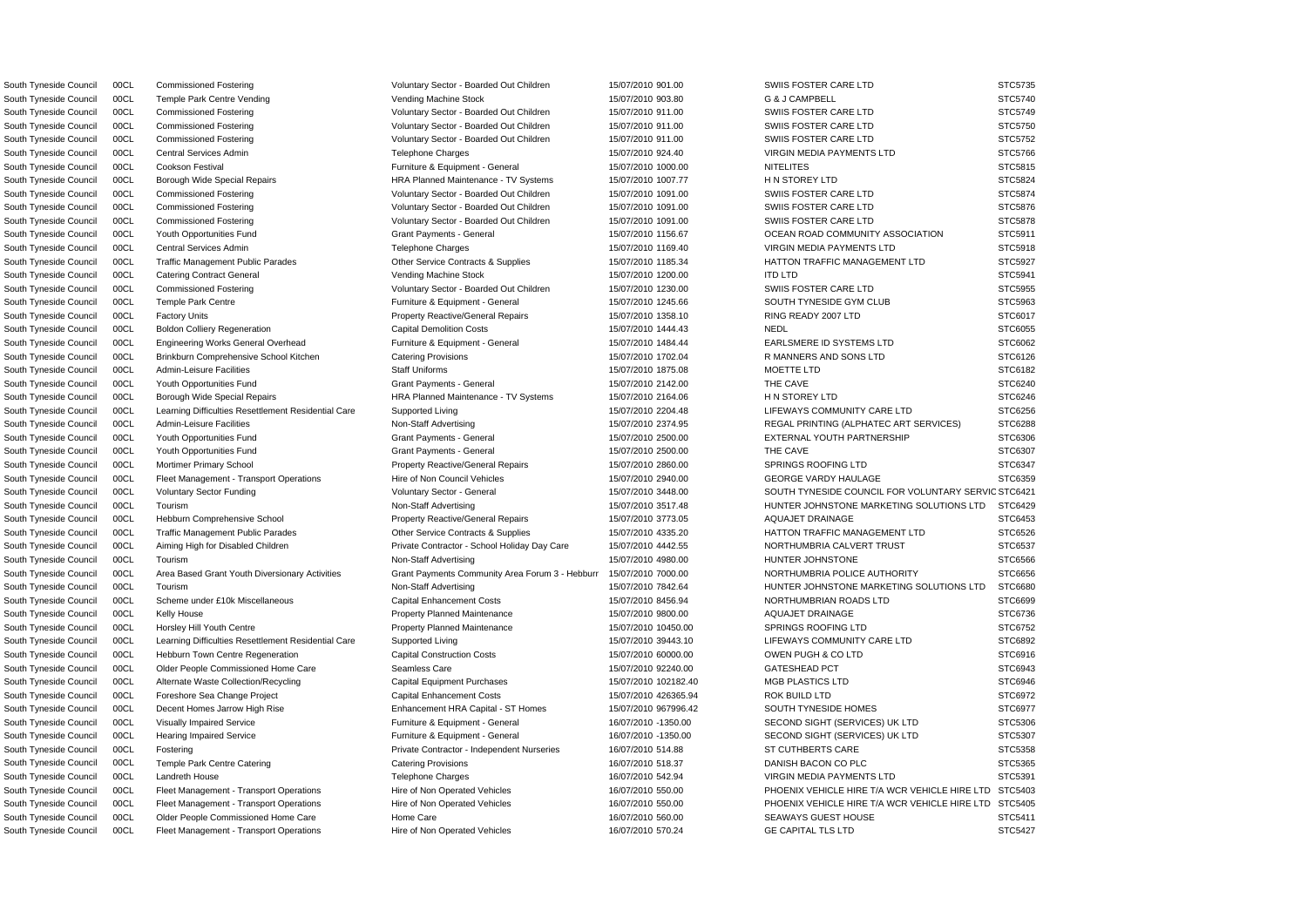South Tyneside Council 00CL Commissioned Fostering values of Voluntary Sector - Boarded Out Children 15/07/2010 901.00 SWIIS FOSTER CARE LTD STC5735

South Tyneside Council 00CL Voluntary Sector Funding variable voluntary Sector - General 15/07/2010 3448.00 SOUTH TYNESIDE COUNCIL FOR VOLUNTARY SERVIC STC6421 South Tyneside Council COCL Area Based Grant Youth Diversionary Activities Grant Payments Community Area Forum 3 - Hebburr 15/07/2010 7000.00 NORTHUMBRIA POLICE AUTHORITY STC6656 South Tyneside Council 00CL Temple Park Centre Vending versus vending Machine Stock 15/07/2010 903.80 G & J CAMPBELL STOS740 STC5740 South Tyneside Council 00CL Commissioned Fostering Voluntary Sector - Boarded Out Children 15/07/2010 911.00 SWIIS FOSTER CARE LTD STC5749 South Tyneside Council 00CL Commissioned Fostering values of Voluntary Sector - Boarded Out Children 15/07/2010 911.00 SWIIS FOSTER CARE LTD STC5750 South Tyneside Council 00CL Commissioned Fostering values of Voluntary Sector - Boarded Out Children 15/07/2010 911.00 SWIIS FOSTER CARE LTD STC5752 South Tyneside Council 00CL Central Services Admin Telephone Charges Telephone Charges and the material of the STC5766 Charges and the STC5766 Charges and the STC5766 Charges and the STC5766 Charges and the STC5766 Charges South Tyneside Council 00CL Cookson Festival **Furniture & Equipment - General** 15/07/2010 1000.00 NITELITES STC5815 South Tyneside Council 00CL Borough Wide Special Repairs **HRA Planned Maintenance - TV Systems** 15/07/2010 1007.77 H N STOREY LTD STC5824 South Tyneside Council 00CL Commissioned Fostering values of Voluntary Sector - Boarded Out Children 15/07/2010 1091.00 SWIIS FOSTER CARE LTD STC5874 South Tyneside Council 00CL Commissioned Fostering values of Voluntary Sector - Boarded Out Children 15/07/2010 1091.00 SWIIS FOSTER CARE LTD STC5876 South Tyneside Council 00CL Commissioned Fostering values of Voluntary Sector - Boarded Out Children 15/07/2010 1091.00 SWIIS FOSTER CARE LTD STC5878 South Tyneside Council 00CL Youth Opportunities Fund Grant Payments - General 15/07/2010 1156.67 OCEAN ROAD COMMUNITY ASSOCIATION STC5911 South Tyneside Council 00CL Central Services Admin Telephone Charges Telephone Charges 15/07/2010 1169.40 VIRGIN MEDIA PAYMENTS LTD STC5918 South Tyneside Council 00CL Traffic Management Public Parades Other Service Contracts & Supplies 15/07/2010 1185.34 HATTON TRAFFIC MANAGEMENT LTD STC5927 South Tyneside Council 00CL Catering Contract General Network Vending Machine Stock 15/07/2010 1200.00 ITD LTD STC5941 STC5941 South Tyneside Council 00CL Commissioned Fostering values of Voluntary Sector - Boarded Out Children 15/07/2010 1230.00 SWIIS FOSTER CARE LTD STC5955 South Tyneside Council 00CL Temple Park Centre **Furniture & Equipment - General** 15/07/2010 1245.66 SOUTH TYNESIDE GYM CLUB STC5963 South Tyneside Council 00CL Factory Units external and the Property Reactive/General Repairs 15/07/2010 1358.10 RING READY 2007 LTD STC6017 South Tyneside Council 00CL Boldon Colliery Regeneration Capital Demolition Costs 15/07/2010 1444.43 NEDL NEDL STC6055 South Tyneside Council 00CL Engineering Works General Overhead Furniture & Equipment - General 15/07/2010 1484.44 EARLSMERE ID SYSTEMS LTD STC6062 South Tyneside Council 00CL Brinkburn Comprehensive School Kitchen Catering Provisions Catering Provisions 15/07/2010 1702.04 R MANNERS AND SONS LTD STC6126 South Tyneside Council 00CL Admin-Leisure Facilities Staff Uniforms Staff Uniforms 15/07/2010 1875.08 MOETTE LTD STC6182 South Tyneside Council 00CL Youth Opportunities Fund Grant Payments - General 15/07/2010 2142.00 THE CAVE STC6240 South Tyneside Council 00CL Borough Wide Special Repairs **HRA Planned Maintenance - TV Systems** 15/07/2010 2164.06 HN STOREY LTD STC6246 South Tyneside Council 00CL Learning Difficulties Resettlement Residential Care Supported Living 15/07/2010 2204.48 LIFEWAYS COMMUNITY CARE LTD STC6256 South Tyneside Council 00CL Admin-Leisure Facilities **Non-Staff Advertising** 15/07/2010 2374.95 REGAL PRINTING (ALPHATEC ART SERVICES) STC6288 South Tyneside Council 00CL Youth Opportunities Fund Grant Payments - General 15/07/2010 2500.00 EXTERNAL YOUTH PARTNERSHIP STC6306 South Tyneside Council 00CL Youth Opportunities Fund Grant Payments - General 15/07/2010 2500.00 THE CAVE STC6307 South Tyneside Council 00CL Mortimer Primary School **Property Reactive/General Repairs** 15/07/2010 2860.00 SPRINGS ROOFING LTD STC6347 South Tyneside Council 00CL Fleet Management - Transport Operations Hire of Non Council Vehicles 15/07/2010 2940.00 GEORGE VARDY HAULAGE STC6359 South Tyneside Council 00CL Tourism Non-Staff Advertising Non-Staff Advertising 15/07/2010 3517.48 HUNTER JOHNSTONE MARKETING SOLUTIONS LTD STC6429 South Tyneside Council 00CL Hebburn Comprehensive School Property Reactive/General Repairs 15/07/2010 3773.05 AQUAJET DRAINAGE STC6453 South Tyneside Council 00CL Traffic Management Public Parades Contracts Contracts & Supplies 15/07/2010 4335.20 HATTON TRAFFIC MANAGEMENT LTD STC6526 South Tyneside Council 00CL Aiming High for Disabled Children Private Contractor - School Holiday Day Care 15/07/2010 4442.55 NORTHUMBRIA CALVERT TRUST STC6537 South Tyneside Council 00CL Tourism Non-Staff Advertising 15/07/2010 4980.00 HUNTER JOHNSTONE STC6566 South Tyneside Council 00CL Tourism Non-Staff Advertising Non-Staff Advertising 15/07/2010 7842.64 HUNTER JOHNSTONE MARKETING SOLUTIONS LTD STC6680 South Tyneside Council 00CL Scheme under £10k Miscellaneous Capital Enhancement Costs 15/07/2010 8456.94 NORTHUMBRIAN ROADS LTD STC6699 South Tyneside Council 00CL Kelly House **Property Planned Maintenance** 15/07/2010 9800.00 AQUAJET DRAINAGE STC6736 South Tyneside Council 00CL Horsley Hill Youth Centre entity Property Planned Maintenance 15/07/2010 10450.00 SPRINGS ROOFING LTD STC6752 South Tyneside Council 00CL Learning Difficulties Resettlement Residential Care Supported Living 15/07/2010 39443.10 LIFEWAYS COMMUNITY CARE LTD STC6892 South Tyneside Council 00CL Hebburn Town Centre Regeneration Capital Construction Costs 15/07/2010 60000.00 OWEN PUGH & CO LTD STC6916 South Tyneside Council 00CL Older People Commissioned Home Care Seamless Care 15/07/2010 92240.00 GATESHEAD PCT STC6943 South Tyneside Council 00CL Alternate Waste Collection/Recycling Capital Equipment Purchases 15/07/2010 102182.40 MGB PLASTICS LTD STC6946 South Tyneside Council 00CL Foreshore Sea Change Project Capital Enhancement Costs 15/07/2010 426365.94 ROK BUILD LTD STC6972 South Tyneside Council 00CL Decent Homes Jarrow High Rise Enhancement HRA Capital - ST Homes 15/07/2010 967996.42 SOUTH TYNESIDE HOMES STC6977 South Tyneside Council 00CL Visually Impaired Service **Furniture & Equipment - General** 16/07/2010 -1350.00 SECOND SIGHT (SERVICES) UK LTD STC5306 South Tyneside Council 00CL Hearing Impaired Service **Furniture & Equipment - General** 16/07/2010 -1350.00 SECOND SIGHT (SERVICES) UK LTD STC5307 South Tyneside Council 00CL Fostering Contractor Private Contractor - Independent Nurseries 16/07/2010 514.88 ST CUTHBERTS CARE STC5358 South Tyneside Council 00CL Temple Park Centre Catering Catering Catering Provisions Catering Provisions and the many stress of the many stress of the STC5365 South Tyneside Council 00CL Landreth House Telephone Charges 16/07/2010 542.94 VIRGIN MEDIA PAYMENTS LTD STC5391 South Tyneside Council 00CL Fleet Management - Transport Operations Hire of Non Operated Vehicles 16/07/2010 550.00 PHOENIX VEHICLE HIRE T/A WCR VEHICLE HIRE LTD STC5403 South Tyneside Council 00CL Fleet Management - Transport Operations Hire of Non Operated Vehicles 16/07/2010 550.00 PHOENIX VEHICLE HIRE T/A WCR VEHICLE HIRE LTD STC5405 South Tyneside Council 00CL Older People Commissioned Home Care Home Care Home Care 16/07/2010 560.00 SEAWAYS GUEST HOUSE STC5411 South Tyneside Council 00CL Fleet Management - Transport Operations Hire of Non Operated Vehicles 16/07/2010 570.24 GE CAPITAL TLS LTD STC5427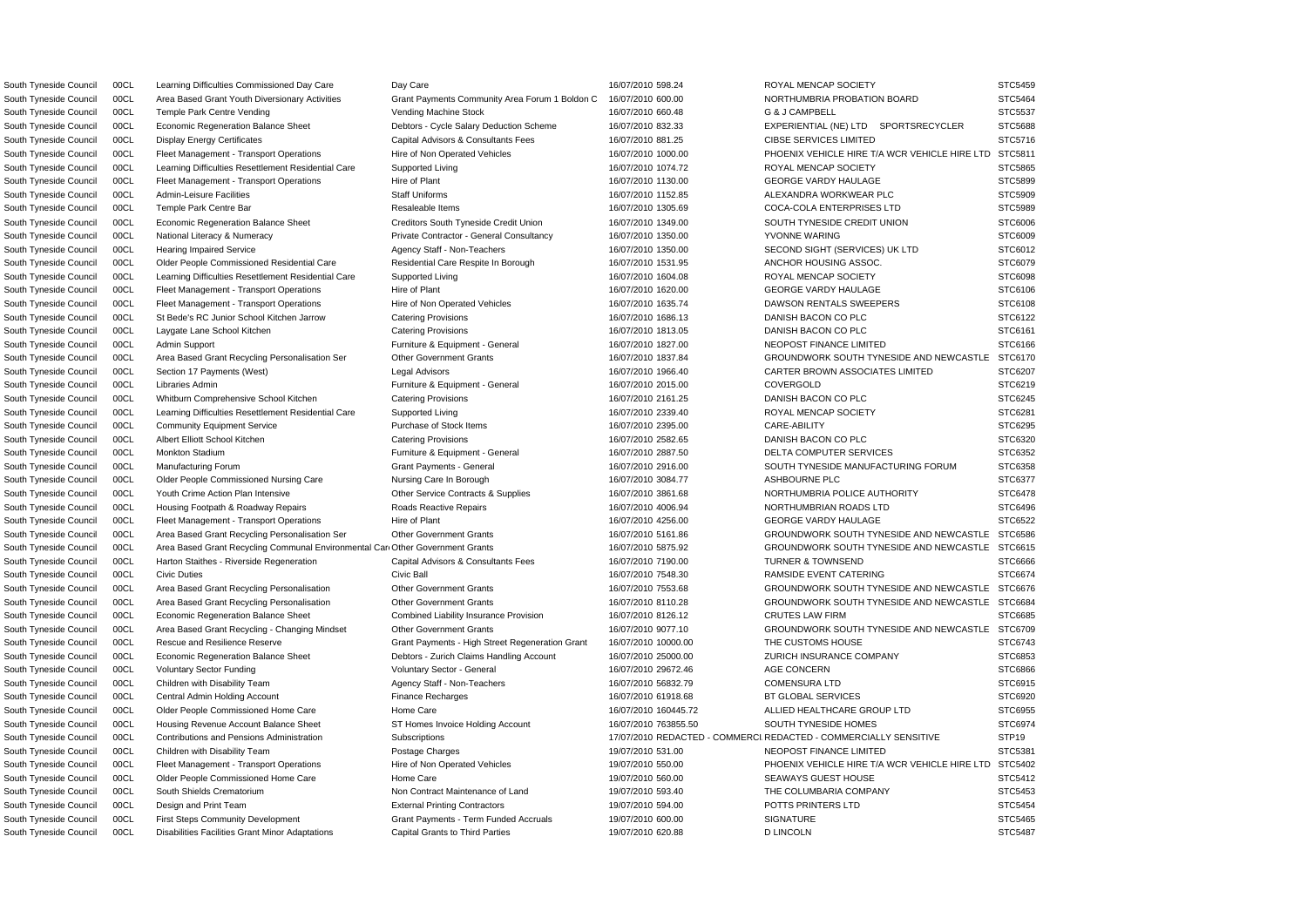South Tyneside Council 00CL Area Based Grant Youth Diversionary Activities Grant Payments Community Area Forum 1 Boldon C 16/07/2010 600.00 NORTHUMBRIA PROBATION BOARD South Tyneside Council 00CL Temple Park Centre Vending Vending Vending Machine Stock 16/07/2010 660.48 G & J CAMPBELL South Tyneside Council 00CL Economic Regeneration Balance Sheet Debtors - Cycle Salary Deduction Scheme 16/07/2010 832.33 EXPERIENTIAL (NE) LTD SPORTSRECYCLER South Tyneside Council 00CL Display Energy Certificates Capital Advisors & Consultants Fees 16/07/2010 881.25 CIBSE SERVICES LIMITED South Tyneside Council 00CL Learning Difficulties Resettlement Residential Care Supported Living 16/07/2010 1074.72 ROYAL MENCAP SOCIETY South Tyneside Council 00CL Fleet Management - Transport Operations Hire of Plant 16/07/2010 1130.00 GEORGE VARDY HAULAGE South Tyneside Council 00CL Admin-Leisure Facilities Staff Uniforms Staff Uniforms 16/07/2010 1152.85 ALEXANDRA WORKWEAR PLC South Tyneside Council 00CL Temple Park Centre Bar Resaleable Items 16/07/2010 1305.69 COCA-COLA ENTERPRISES LTD South Tyneside Council 00CL Economic Regeneration Balance Sheet Creditors South Tyneside Credit Union 16/07/2010 1349.00 SOUTH TYNESIDE CREDIT UNION South Tyneside Council 00CL National Literacy & Numeracy **Private Contractor - General Consultancy** 16/07/2010 1350.00 YVONNE WARING South Tyneside Council 00CL Hearing Impaired Service Agency Staff - Non-Teachers 16/07/2010 1350.00 SECOND SIGHT (SERVICES) UK LTD STC6012010 1350.00 South Tyneside Council 00CL Older People Commissioned Residential Care Residential Care Respite In Borough 16/07/2010 1531.95 ANCHOR HOUSING ASSOC. South Tyneside Council 00CL Learning Difficulties Resettlement Residential Care Supported Living 16/07/2010 1604.08 ROYAL MENCAP SOCIETY South Tyneside Council 00CL Fleet Management - Transport Operations Hire of Plant 16/07/2010 1620.00 GEORGE VARDY HAULAGE South Tyneside Council 00CL Fleet Management - Transport Operations Hire of Non Operated Vehicles 16/07/2010 1635.74 DAWSON RENTALS SWEEPERS South Tyneside Council 00CL St Bede's RC Junior School Kitchen Jarrow Catering Provisions 16/07/2010 1686.13 DANISH BACON CO PLC South Tyneside Council 00CL Admin Support **Furniture & Equipment - General** 16/07/2010 1827.00 NEOPOST FINANCE LIMITED South Tyneside Council 00CL Section 17 Payments (West) Legal Advisors Legal Advisors 16/07/2010 1966.40 CARTER BROWN ASSOCIATES LIMITED South Tyneside Council 00CL Libraries Admin **Furniture & Equipment - General** 16/07/2010 2015.00 COVERGOLD STC620 South Tyneside Council 00CL Whitburn Comprehensive School Kitchen Catering Provisions 16/07/2010 2161.25 DANISH BACON CO PLC South Tyneside Council 00CL Learning Difficulties Resettlement Residential Care Supported Living 16/07/2010 2339.40 ROYAL MENCAP SOCIETY South Tyneside Council 00CL Community Equipment Service Purchase of Stock Items 16/07/2010 2395.00 CARE-ABILITY South Tyneside Council 00CL Monkton Stadium **Furniture & Equipment - General** 16/07/2010 2887.50 DELTA COMPUTER SERVICES South Tyneside Council 00CL Manufacturing Forum Carries Council Crant Payments - General 16/07/2010 2916.00 SOUTH TYNESIDE MANUFACTURING FORUM South Tyneside Council 00CL Older People Commissioned Nursing Care Nursing Care In Borough 16/07/2010 3084.77 ASHBOURNE PLC South Tyneside Council 00CL Youth Crime Action Plan Intensive Currence Contracts & Supplies 16/07/2010 3861.68 NORTHUMBRIA POLICE AUTHORITY South Tyneside Council 00CL Housing Footpath & Roadway Repairs Reactive Repairs Reactive Repairs 16/07/2010 4006.94 NORTHUMBRIAN ROADS LTD South Tyneside Council 00CL Fleet Management - Transport Operations Hire of Plant 16/07/2010 4256.00 GEORGE VARDY HAULAGE South Tyneside Council 00CL Harton Staithes - Riverside Regeneration Capital Advisors & Consultants Fees 16/07/2010 7190.00 TURNER & TOWNSEND South Tyneside Council 00CL Civic Duties Council Civic Ball 16/07/2010 7548.30 RAMSIDE EVENT CATERING South Tyneside Council 00CL Economic Regeneration Balance Sheet Combined Liability Insurance Provision 16/07/2010 8126.12 CRUTES LAW FIRM South Tyneside Council 00CL Rescue and Resilience Reserve Grant Payments - High Street Regeneration Grant 16/07/2010 10000.00 THE CUSTOMS HOUSE South Tyneside Council 00CL Economic Regeneration Balance Sheet Debtors - Zurich Claims Handling Account 16/07/2010 25000.00 ZURICH INSURANCE COMPANY South Tyneside Council 00CL Central Admin Holding Account Finance Recharges Finance Recharges 16/07/2010 61918.68 BT GLOBAL SERVICES South Tyneside Council 00CL Older People Commissioned Home Care Home Care Home Care 16/07/2010 160445.72 ALLIED HEALTHCARE GROUP LTD South Tyneside Council 00CL Housing Revenue Account Balance Sheet ST Homes Invoice Holding Account 16/07/2010 763855.50 SOUTH TYNESIDE HOMES South Tyneside Council 00CL Contributions and Pensions Administration Subscriptions Subscriptions 17/07/2010 REDACTED - COMMERCIAREDACTED - COMMERCIALLY SENSITIVE South Tyneside Council 00CL Children with Disability Team Postage Charges Postage Charges 19/07/2010 531.00 NEOPOST FINANCE LIMITED South Tyneside Council 00CL Older People Commissioned Home Care Home Care Home Care 19/07/2010 560.00 SEAWAYS GUEST HOUSE South Tyneside Council 00CL South Shields Crematorium Non Contract Maintenance of Land 19/07/2010 593.40 THE COLUMBARIA COMPANY South Tyneside Council 00CL First Steps Community Development Grant Payments - Term Funded Accruals 19/07/2010 600.00 SIGNATURE

South Tyneside Council 00CL Learning Difficulties Commissioned Day Care Day Care Day Care 16/07/2010 598.24 ROYAL MENCAP SOCIETY South Tyneside Council 00CL Disabilities Facilities Grant Minor Adaptations Capital Grants to Third Parties 19/07/2010 620.88 D LINCOLN

South Tyneside Council 00CL Fleet Management - Transport Operations Hire of Non Operated Vehicles 16/07/2010 1000.00 PHOENIX VEHICLE HIRE T/A WCR VEHICLE HIRE LTD South Tyneside Council 00CL Laygate Lane School Kitchen Catering Provisions Catering Provisions and the control of the Control of the Control of the STC6161 STC6161 South Tyneside Council 00CL Area Based Grant Recycling Personalisation Ser Other Government Grants 16/07/2010 1837.84 GROUNDWORK SOUTH TYNESIDE AND NEWCASTLE South Tyneside Council COCL Albert Elliott School Kitchen Catering Provisions Catering Provisions and the control of the control of the control of the control of the STC6320 CATER STC6320 COLL Albert Elliott School Kitchen South Tyneside Council 00CL Area Based Grant Recycling Personalisation Ser Other Government Grants 16/07/2010 5161.86 GROUNDWORK SOUTH TYNESIDE AND NEWCASTLE South Tyneside Council 00CL Area Based Grant Recycling Communal Environmental CareOther Government Grants 16/07/2010 5875.92 GROUNDWORK SOUTH TYNESIDE AND NEWCASTLE South Tyneside Council 00CL Area Based Grant Recycling Personalisation Other Government Grants 16/07/2010 7553.68 GROUNDWORK SOUTH TYNESIDE AND NEWCASTLE South Tyneside Council 00CL Area Based Grant Recycling Personalisation Other Government Grants 16/07/2010 8110.28 GROUNDWORK SOUTH TYNESIDE AND NEWCASTLE South Tyneside Council 00CL Area Based Grant Recycling - Changing Mindset Other Government Grants 16/07/2010 9077.10 GROUNDWORK SOUTH TYNESIDE AND NEWCASTLE South Tyneside Council 00CL Voluntary Sector Funding variables and Voluntary Sector - General 16/07/2010 29672.46 AGE CONCERN STC6866 South Tyneside Council 00CL Children with Disability Team Agency Staff - Non-Teachers 16/07/2010 56832.79 COMENSURA LTD STC6915 South Tyneside Council 00CL Fleet Management - Transport Operations Hire of Non Operated Vehicles 19/07/2010 550.00 PHOENIX VEHICLE HIRE T/A WCR VEHICLE HIRE LTD South Tyneside Council 00CL Design and Print Team external Printing Contractors and the statement of the STC5454 STC5454

|                          | STC5459           |
|--------------------------|-------------------|
|                          | STC5464           |
|                          | STC5537           |
|                          |                   |
|                          | STC5688           |
|                          | STC5716           |
|                          | STC5811           |
|                          | STC5865           |
|                          | STC5899           |
|                          | STC5909           |
|                          | STC5989           |
|                          | STC6006           |
|                          | STC6009           |
|                          | STC6012           |
|                          | STC6079           |
|                          | STC6098           |
|                          |                   |
|                          | STC6106           |
|                          | STC6108           |
|                          | STC6122           |
|                          | STC6161           |
|                          | STC6166           |
|                          | STC6170           |
|                          | STC6207           |
|                          | STC6219           |
|                          | STC6245           |
|                          | STC6281           |
|                          | STC6295<br>ຸ      |
|                          | STC6320           |
|                          | STC6352           |
|                          | STC6358           |
|                          | STC6377           |
|                          | STC6478           |
|                          |                   |
|                          | STC6496           |
|                          | STC6522           |
|                          | STC6586           |
| $\overline{a}$           | STC6615           |
|                          | STC6666           |
|                          | STC6674           |
| $\vdots$                 | STC6676           |
|                          | STC6684           |
|                          | STC6685           |
| $\overline{\phantom{a}}$ | STC6709           |
|                          | STC6743           |
|                          | STC6853           |
|                          | STC6866           |
|                          | STC6915           |
|                          | STC6920           |
|                          | STC6955           |
|                          |                   |
|                          | STC6974           |
|                          | STP <sub>19</sub> |
|                          | STC5381           |
|                          | STC5402           |
|                          | STC5412           |
|                          | STC5453           |
|                          | STC5454           |
|                          | STC5465           |
|                          | STC5487           |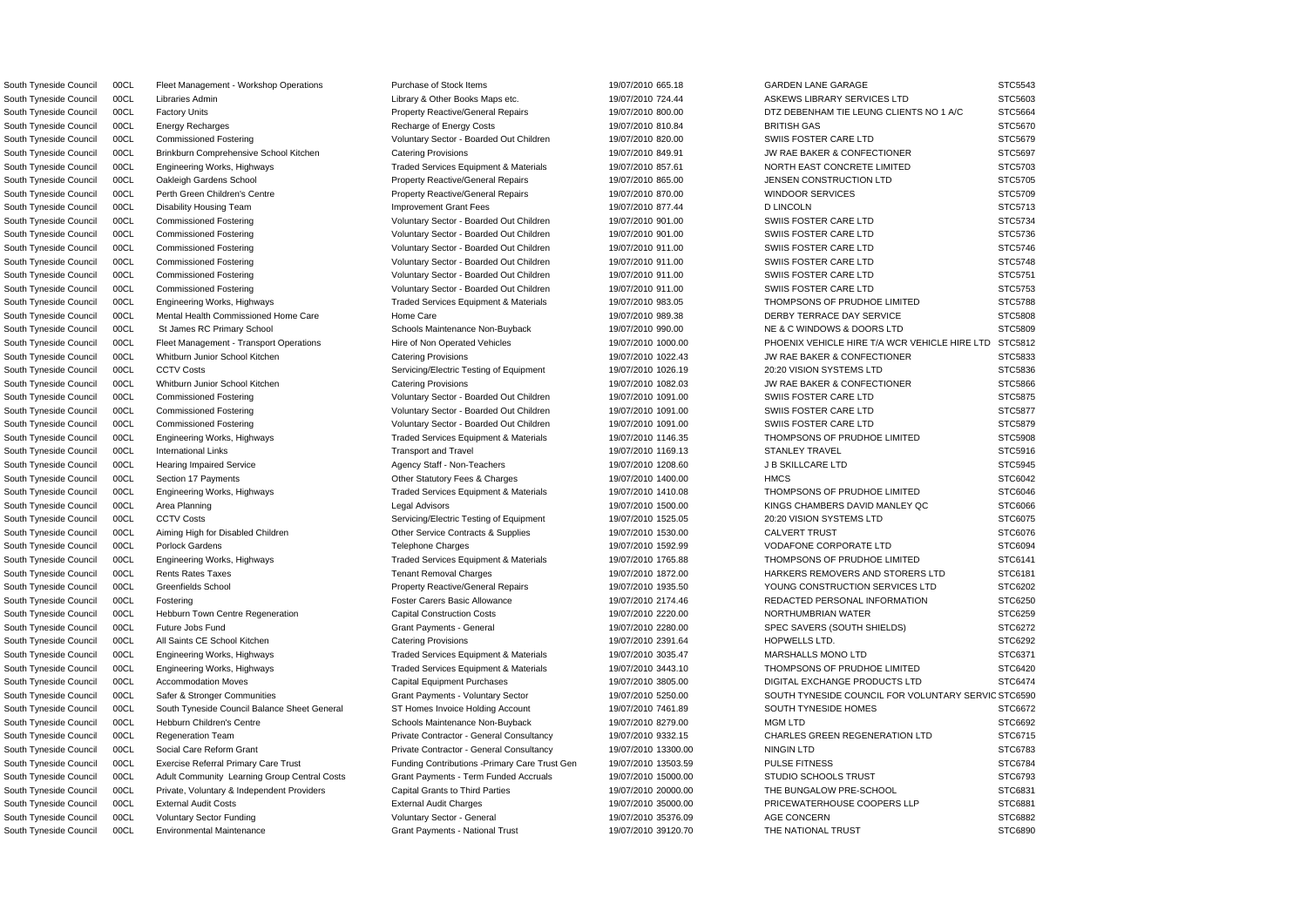South Tyneside Council 00CL Fleet Management - Workshop Operations Purchase of Stock Items 19/07/2010 665.18 GARDEN LANE GARAGE STC5543 South Tyneside Council 00CL Environmental Maintenance STC6890 Grant Payments - National Trust 19/07/2010 39120.70 THE NATIONAL TRUST STC6890

South Tyneside Council COCL Safer & Stronger Communities Grant Payments - Voluntary Sector 19/07/2010 5250.00 SOUTH TYNESIDE COUNCIL FOR VOLUNTARY SERVIC STC6590 South Tyneside Council 00CL Libraries Admin Library & Other Books Maps etc. 19/07/2010 724.44 ASKEWS LIBRARY SERVICES LTD STC5603 South Tyneside Council 00CL Factory Units **Property Reactive/General Repairs** 19/07/2010 800.00 DTZ DEBENHAM TIE LEUNG CLIENTS NO 1 A/C STC5664 South Tyneside Council 00CL Energy Recharges Recharge of Energy Costs 19/07/2010 810.84 BRITISH GAS STC5670 South Tyneside Council 00CL Commissioned Fostering values of Voluntary Sector - Boarded Out Children 19/07/2010 820.00 SWIIS FOSTER CARE LTD STC5679 South Tyneside Council 00CL Brinkburn Comprehensive School Kitchen Catering Provisions Catering Provisions 19/07/2010 849.91 JW RAE BAKER & CONFECTIONER STC5697 South Tyneside Council 00CL Engineering Works, Highways Traded Services Equipment & Materials 19/07/2010 857.61 NORTH EAST CONCRETE LIMITED STC5703 South Tyneside Council 00CL Oakleigh Gardens School **Property Reactive/General Repairs** 19/07/2010 865.00 JENSEN CONSTRUCTION LTD STC5705 South Tyneside Council 00CL Perth Green Children's Centre **Property Reactive/General Repairs** 19/07/2010 870.00 WINDOOR SERVICES STC5709 South Tyneside Council 00CL Disability Housing Team Improvement Grant Fees 19/07/2010 877.44 D LINCOLN STC5713 South Tyneside Council 00CL Commissioned Fostering values of Voluntary Sector - Boarded Out Children 19/07/2010 901.00 SWIIS FOSTER CARE LTD STC5734 South Tyneside Council 00CL Commissioned Fostering values of Voluntary Sector - Boarded Out Children 19/07/2010 901.00 SWIIS FOSTER CARE LTD STC5736 South Tyneside Council 00CL Commissioned Fostering values of Voluntary Sector - Boarded Out Children 19/07/2010 911.00 SWIIS FOSTER CARE LTD STC5746 South Tyneside Council 00CL Commissioned Fostering values of Voluntary Sector - Boarded Out Children 19/07/2010 911.00 SWIIS FOSTER CARE LTD STC5748 South Tyneside Council 00CL Commissioned Fostering values of Voluntary Sector - Boarded Out Children 19/07/2010 911.00 SWIIS FOSTER CARE LTD STC5751 South Tyneside Council 00CL Commissioned Fostering values of Voluntary Sector - Boarded Out Children 19/07/2010 911.00 SWIIS FOSTER CARE LTD STC5753 South Tyneside Council 00CL Engineering Works, Highways Traded Services Equipment & Materials 19/07/2010 983.05 THOMPSONS OF PRUDHOE LIMITED STC5788 South Tyneside Council 00CL Mental Health Commissioned Home Care Home Care Home Care 19/07/2010 989.38 DERBY TERRACE DAY SERVICE STC5808 South Tyneside Council 00CL St James RC Primary School School Schools Maintenance Non-Buyback 19/07/2010 990.00 NE & C WINDOWS & DOORS LTD STC5809 South Tyneside Council 00CL Fleet Management - Transport Operations Hire of Non Operated Vehicles 19/07/2010 1000.00 PHOENIX VEHICLE HIRE T/A WCR VEHICLE HIRE LTD STC5812 South Tyneside Council 00CL Whitburn Junior School Kitchen Catering Provisions Catering Provisions 19/07/2010 1022.43 JW RAE BAKER & CONFECTIONER STC5833 South Tyneside Council 00CL CCTV Costs Servicing/Electric Testing of Equipment 19/07/2010 1026.19 20:20 VISION SYSTEMS LTD STC5836 South Tyneside Council 00CL Whitburn Junior School Kitchen Catering Provisions Catering Provisions 19/07/2010 1082.03 JW RAE BAKER & CONFECTIONER STC5866 South Tyneside Council 00CL Commissioned Fostering values of Voluntary Sector - Boarded Out Children 19/07/2010 1091.00 SWIIS FOSTER CARE LTD STC5875 South Tyneside Council 00CL Commissioned Fostering values of Voluntary Sector - Boarded Out Children 19/07/2010 1091.00 SWIIS FOSTER CARE LTD STC5877 South Tyneside Council 00CL Commissioned Fostering values of Voluntary Sector - Boarded Out Children 19/07/2010 1091.00 SWIIS FOSTER CARE LTD STC5879 South Tyneside Council 00CL Engineering Works, Highways Traded Services Equipment & Materials 19/07/2010 1146.35 THOMPSONS OF PRUDHOE LIMITED STC5908 South Tyneside Council 00CL International Links The Stock Council Council Council Council International Links STC5916 STANLEY STANLEY STANLEY TRAVEL STC5916 South Tyneside Council 00CL Hearing Impaired Service Agency Staff - Non-Teachers 19/07/2010 1208.60 JB SKILLCARE LTD STC5945 South Tyneside Council 00CL Section 17 Payments Charges Other Statutory Fees & Charges 19/07/2010 1400.00 HMCS HMCS STC6042 South Tyneside Council 00CL Engineering Works, Highways The Traded Services Equipment & Materials 19/07/2010 1410.08 THOMPSONS OF PRUDHOE LIMITED STC6046 South Tyneside Council 00CL Area Planning Carea Council Area Planning Carea Council Area Planning Council Area Planning Council Area Planning Council Council Area Planning Council Area Planning Council Area Planning Counci South Tyneside Council 00CL CCTV Costs Servicing/Electric Testing of Equipment 19/07/2010 1525.05 20:20 VISION SYSTEMS LTD STC6075 South Tyneside Council 00CL Aiming High for Disabled Children Children Other Service Contracts & Supplies 19/07/2010 1530.00 CALVERT TRUST STC6076 South Tyneside Council 00CL Porlock Gardens **Telephone Charges** Telephone Charges 19/07/2010 1592.99 VODAFONE CORPORATE LTD STC6094 South Tyneside Council 00CL Engineering Works, Highways The Traded Services Equipment & Materials 19/07/2010 1765.88 THOMPSONS OF PRUDHOE LIMITED STC6141 South Tyneside Council 00CL Rents Rates Taxes Tenant Removal Charges Tenant Removal Charges 19/07/2010 1872.00 HARKERS REMOVERS AND STORERS LTD STC6181 South Tyneside Council 00CL Greenfields School **Property Reactive/General Repairs** 19/07/2010 1935.50 YOUNG CONSTRUCTION SERVICES LTD STC6202 South Tyneside Council 00CL Fostering Carers Foster Carers Basic Allowance 19/07/2010 2174.46 REDACTED PERSONAL INFORMATION STC6250 South Tyneside Council 00CL Hebburn Town Centre Regeneration Capital Construction Costs 19/07/2010 2220.00 NORTHUMBRIAN WATER STC6259 South Tyneside Council 00CL Future Jobs Fund STC6272 Server Mayments - General Grant Payments - General 19/07/2010 2280.00 SPEC SAVERS (SOUTH SHIELDS) STC6272 South Tyneside Council 00CL All Saints CE School Kitchen Catering Provisions Catering Provisions and the through the council of the STC6292 of the STC6292 of the STC6292 South Tyneside Council 00CL Engineering Works, Highways Traded Services Equipment & Materials 19/07/2010 3035.47 MARSHALLS MONO LTD STC6371 South Tyneside Council 00CL Engineering Works, Highways Traded Services Equipment & Materials 19/07/2010 3443.10 THOMPSONS OF PRUDHOE LIMITED STC6420 South Tyneside Council 00CL Accommodation Moves Capital Equipment Purchases 19/07/2010 3805.00 DIGITAL EXCHANGE PRODUCTS LTD STC6474 South Tyneside Council 00CL South Tyneside Council Balance Sheet General ST Homes Invoice Holding Account 19/07/2010 7461.89 SOUTH TYNESIDE HOMES STC6672 South Tyneside Council 00CL Hebburn Children's Centre Schools Maintenance Non-Buyback 19/07/2010 8279.00 MGM LTD STC6692 South Tyneside Council 00CL Regeneration Team **Private Contractor - General Consultancy** 19/07/2010 9332.15 CHARLES GREEN REGENERATION LTD STC6715 South Tyneside Council COOL Social Care Reform Grant Private Contractor - General Consultancy 19/07/2010 13300.00 NINGIN LTD STC6783 South Tyneside Council 00CL Exercise Referral Primary Care Trust Funding Contributions -Primary Care Trust Gen 19/07/2010 13503.59 PULSE FITNESS STC6784 South Tyneside Council 00CL Adult Community Learning Group Central Costs Grant Payments - Term Funded Accruals 19/07/2010 15000.00 STUDIO SCHOOLS TRUST STC6793 South Tyneside Council 00CL Private, Voluntary & Independent Providers Capital Grants to Third Parties 19/07/2010 20000.00 THE BUNGALOW PRE-SCHOOL STC6831 South Tyneside Council 00CL External Audit Costs **External Audit Charges** External Audit Charges 19/07/2010 35000.00 PRICEWATERHOUSE COOPERS LLP STC6881 South Tyneside Council 00CL Voluntary Sector Funding variable voluntary Sector - General 19/07/2010 35376.09 AGE CONCERN STC6882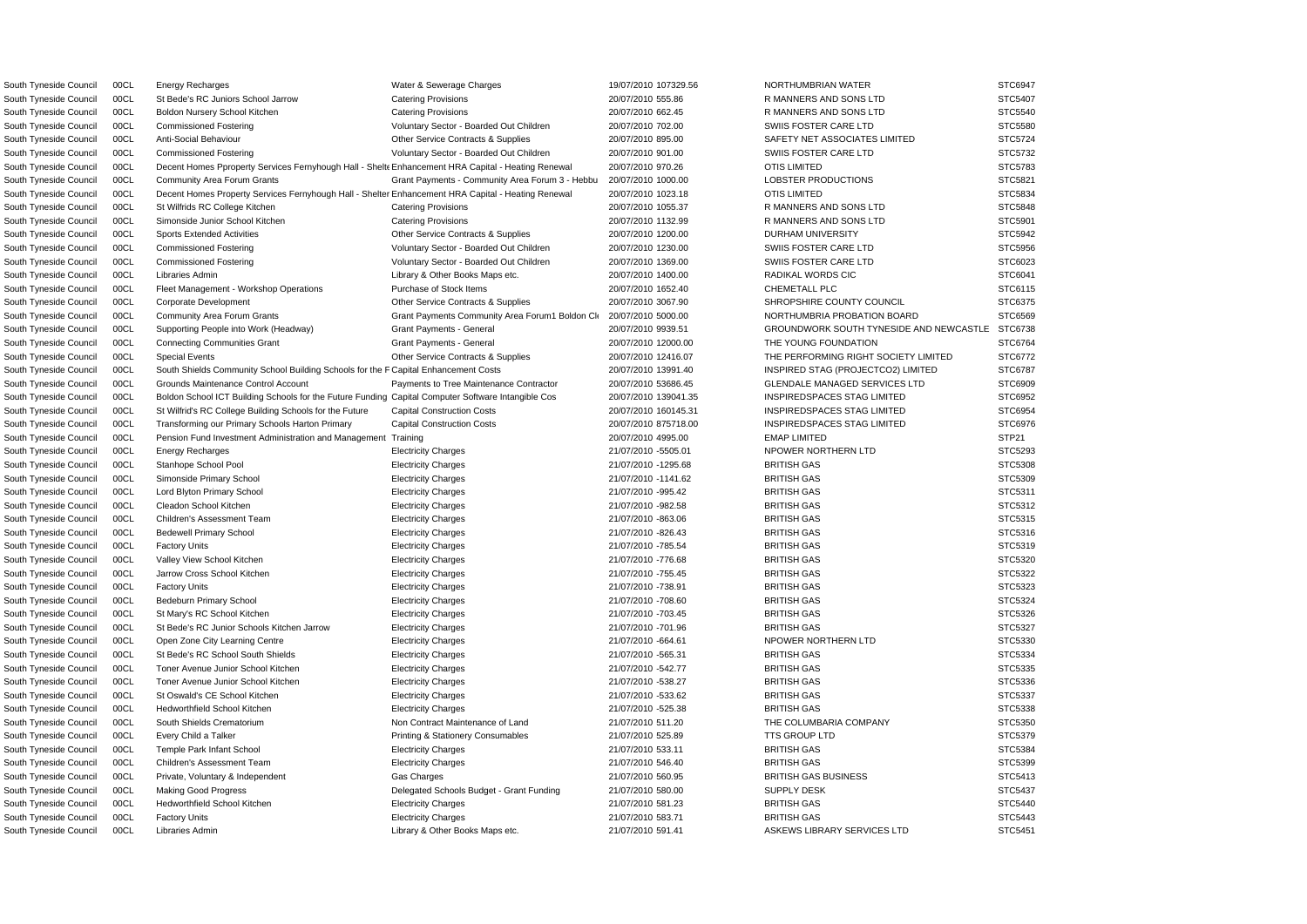| South Tyneside Council | 00CL | Energy Recharges                                                                                   | Water & Sewerage Charges                        | 19/07/2010 107329.56 | NORTHUMBRIAN WATER                             | STC6947 |
|------------------------|------|----------------------------------------------------------------------------------------------------|-------------------------------------------------|----------------------|------------------------------------------------|---------|
| South Tyneside Council | 00CL | St Bede's RC Juniors School Jarrow                                                                 | <b>Catering Provisions</b>                      | 20/07/2010 555.86    | R MANNERS AND SONS LTD                         | STC5407 |
| South Tyneside Council | 00CL | Boldon Nursery School Kitchen                                                                      | <b>Catering Provisions</b>                      | 20/07/2010 662.45    | R MANNERS AND SONS LTD                         | STC5540 |
| South Tyneside Council | 00CL | <b>Commissioned Fostering</b>                                                                      | Voluntary Sector - Boarded Out Children         | 20/07/2010 702.00    | SWIIS FOSTER CARE LTD                          | STC5580 |
| South Tyneside Council | 00CL | Anti-Social Behaviour                                                                              | Other Service Contracts & Supplies              | 20/07/2010 895.00    | SAFETY NET ASSOCIATES LIMITED                  | STC5724 |
| South Tyneside Council | 00CL | <b>Commissioned Fostering</b>                                                                      | Voluntary Sector - Boarded Out Children         | 20/07/2010 901.00    | SWIIS FOSTER CARE LTD                          | STC5732 |
| South Tyneside Council | 00CL | Decent Homes Pproperty Services Fernyhough Hall - Shelte Enhancement HRA Capital - Heating Renewal |                                                 | 20/07/2010 970.26    | <b>OTIS LIMITED</b>                            | STC5783 |
| South Tyneside Council | 00CL | <b>Community Area Forum Grants</b>                                                                 | Grant Payments - Community Area Forum 3 - Hebbu | 20/07/2010 1000.00   | LOBSTER PRODUCTIONS                            | STC5821 |
| South Tyneside Council | 00CL | Decent Homes Property Services Fernyhough Hall - Shelter Enhancement HRA Capital - Heating Renewal |                                                 | 20/07/2010 1023.18   | <b>OTIS LIMITED</b>                            | STC5834 |
| South Tyneside Council | 00CL | St Wilfrids RC College Kitchen                                                                     | <b>Catering Provisions</b>                      | 20/07/2010 1055.37   | R MANNERS AND SONS LTD                         | STC5848 |
| South Tyneside Council | 00CL | Simonside Junior School Kitchen                                                                    | <b>Catering Provisions</b>                      | 20/07/2010 1132.99   | R MANNERS AND SONS LTD                         | STC5901 |
| South Tyneside Council | 00CL | <b>Sports Extended Activities</b>                                                                  | Other Service Contracts & Supplies              | 20/07/2010 1200.00   | <b>DURHAM UNIVERSITY</b>                       | STC5942 |
| South Tyneside Council | 00CL | <b>Commissioned Fostering</b>                                                                      | Voluntary Sector - Boarded Out Children         | 20/07/2010 1230.00   | SWIIS FOSTER CARE LTD                          | STC5956 |
| South Tyneside Council | 00CL |                                                                                                    | Voluntary Sector - Boarded Out Children         |                      | SWIIS FOSTER CARE LTD                          | STC6023 |
|                        |      | <b>Commissioned Fostering</b>                                                                      |                                                 | 20/07/2010 1369.00   |                                                |         |
| South Tyneside Council | 00CL | Libraries Admin                                                                                    | Library & Other Books Maps etc.                 | 20/07/2010 1400.00   | RADIKAL WORDS CIC                              | STC6041 |
| South Tyneside Council | 00CL | Fleet Management - Workshop Operations                                                             | Purchase of Stock Items                         | 20/07/2010 1652.40   | <b>CHEMETALL PLC</b>                           | STC6115 |
| South Tyneside Council | 00CL | Corporate Development                                                                              | Other Service Contracts & Supplies              | 20/07/2010 3067.90   | SHROPSHIRE COUNTY COUNCIL                      | STC6375 |
| South Tyneside Council | 00CL | <b>Community Area Forum Grants</b>                                                                 | Grant Payments Community Area Forum1 Boldon Cli | 20/07/2010 5000.00   | NORTHUMBRIA PROBATION BOARD                    | STC6569 |
| South Tyneside Council | 00CL | Supporting People into Work (Headway)                                                              | Grant Payments - General                        | 20/07/2010 9939.51   | <b>GROUNDWORK SOUTH TYNESIDE AND NEWCASTLE</b> | STC6738 |
| South Tyneside Council | 00CL | <b>Connecting Communities Grant</b>                                                                | <b>Grant Payments - General</b>                 | 20/07/2010 12000.00  | THE YOUNG FOUNDATION                           | STC6764 |
| South Tyneside Council | 00CL | <b>Special Events</b>                                                                              | Other Service Contracts & Supplies              | 20/07/2010 12416.07  | THE PERFORMING RIGHT SOCIETY LIMITED           | STC6772 |
| South Tyneside Council | 00CL | South Shields Community School Building Schools for the F Capital Enhancement Costs                |                                                 | 20/07/2010 13991.40  | INSPIRED STAG (PROJECTCO2) LIMITED             | STC6787 |
| South Tyneside Council | 00CL | Grounds Maintenance Control Account                                                                | Payments to Tree Maintenance Contractor         | 20/07/2010 53686.45  | <b>GLENDALE MANAGED SERVICES LTD</b>           | STC6909 |
| South Tyneside Council | 00CL | Boldon School ICT Building Schools for the Future Funding Capital Computer Software Intangible Cos |                                                 | 20/07/2010 139041.35 | INSPIREDSPACES STAG LIMITED                    | STC6952 |
| South Tyneside Council | 00CL | St Wilfrid's RC College Building Schools for the Future                                            | <b>Capital Construction Costs</b>               | 20/07/2010 160145.31 | <b>INSPIREDSPACES STAG LIMITED</b>             | STC6954 |
| South Tyneside Council | 00CL | Transforming our Primary Schools Harton Primary                                                    | <b>Capital Construction Costs</b>               | 20/07/2010 875718.00 | <b>INSPIREDSPACES STAG LIMITED</b>             | STC6976 |
| South Tyneside Council | 00CL | Pension Fund Investment Administration and Management Training                                     |                                                 | 20/07/2010 4995.00   | <b>EMAP LIMITED</b>                            | STP21   |
| South Tyneside Council | 00CL | <b>Energy Recharges</b>                                                                            | <b>Electricity Charges</b>                      | 21/07/2010 -5505.01  | NPOWER NORTHERN LTD                            | STC5293 |
| South Tyneside Council | 00CL | Stanhope School Pool                                                                               | <b>Electricity Charges</b>                      | 21/07/2010 -1295.68  | <b>BRITISH GAS</b>                             | STC5308 |
| South Tyneside Council | 00CL | Simonside Primary School                                                                           | <b>Electricity Charges</b>                      | 21/07/2010 -1141.62  | <b>BRITISH GAS</b>                             | STC5309 |
| South Tyneside Council | 00CL | Lord Blyton Primary School                                                                         | <b>Electricity Charges</b>                      | 21/07/2010 -995.42   | <b>BRITISH GAS</b>                             | STC5311 |
| South Tyneside Council | 00CL | Cleadon School Kitchen                                                                             | <b>Electricity Charges</b>                      | 21/07/2010 -982.58   | <b>BRITISH GAS</b>                             | STC5312 |
| South Tyneside Council | 00CL | Children's Assessment Team                                                                         | <b>Electricity Charges</b>                      | 21/07/2010 -863.06   | <b>BRITISH GAS</b>                             | STC5315 |
| South Tyneside Council | 00CL | <b>Bedewell Primary School</b>                                                                     | <b>Electricity Charges</b>                      | 21/07/2010 -826.43   | <b>BRITISH GAS</b>                             | STC5316 |
| South Tyneside Council | 00CL | <b>Factory Units</b>                                                                               | <b>Electricity Charges</b>                      | 21/07/2010 -785.54   | <b>BRITISH GAS</b>                             | STC5319 |
| South Tyneside Council | 00CL | Valley View School Kitchen                                                                         | <b>Electricity Charges</b>                      | 21/07/2010 -776.68   | <b>BRITISH GAS</b>                             | STC5320 |
| South Tyneside Council | 00CL | Jarrow Cross School Kitchen                                                                        | <b>Electricity Charges</b>                      | 21/07/2010 -755.45   | <b>BRITISH GAS</b>                             | STC5322 |
| South Tyneside Council | 00CL | <b>Factory Units</b>                                                                               | <b>Electricity Charges</b>                      | 21/07/2010 -738.91   | <b>BRITISH GAS</b>                             | STC5323 |
| South Tyneside Council | 00CL | Bedeburn Primary School                                                                            | <b>Electricity Charges</b>                      | 21/07/2010 -708.60   | <b>BRITISH GAS</b>                             | STC5324 |
| South Tyneside Council | 00CL | St Mary's RC School Kitchen                                                                        | <b>Electricity Charges</b>                      | 21/07/2010 -703.45   | <b>BRITISH GAS</b>                             | STC5326 |
| South Tyneside Council | 00CL | St Bede's RC Junior Schools Kitchen Jarrow                                                         | <b>Electricity Charges</b>                      | 21/07/2010 -701.96   | <b>BRITISH GAS</b>                             | STC5327 |
| South Tyneside Council | 00CL | Open Zone City Learning Centre                                                                     | <b>Electricity Charges</b>                      | 21/07/2010 -664.61   | NPOWER NORTHERN LTD                            | STC5330 |
| South Tyneside Council | 00CL | St Bede's RC School South Shields                                                                  | <b>Electricity Charges</b>                      | 21/07/2010 -565.31   | <b>BRITISH GAS</b>                             | STC5334 |
| South Tyneside Council | 00CL | Toner Avenue Junior School Kitchen                                                                 | <b>Electricity Charges</b>                      | 21/07/2010 -542.77   | <b>BRITISH GAS</b>                             | STC5335 |
| South Tyneside Council | 00CL | Toner Avenue Junior School Kitchen                                                                 | <b>Electricity Charges</b>                      | 21/07/2010 -538.27   | <b>BRITISH GAS</b>                             | STC5336 |
|                        |      |                                                                                                    |                                                 |                      | <b>BRITISH GAS</b>                             |         |
| South Tyneside Council | 00CL | St Oswald's CE School Kitchen                                                                      | <b>Electricity Charges</b>                      | 21/07/2010 -533.62   |                                                | STC5337 |
| South Tyneside Council | 00CL | <b>Hedworthfield School Kitchen</b>                                                                | <b>Electricity Charges</b>                      | 21/07/2010 -525.38   | <b>BRITISH GAS</b>                             | STC5338 |
| South Tyneside Council | 00CL | South Shields Crematorium                                                                          | Non Contract Maintenance of Land                | 21/07/2010 511.20    | THE COLUMBARIA COMPANY                         | STC5350 |
| South Tyneside Council | 00CL | Every Child a Talker                                                                               | Printing & Stationery Consumables               | 21/07/2010 525.89    | <b>TTS GROUP LTD</b>                           | STC5379 |
| South Tyneside Council | 00CL | Temple Park Infant School                                                                          | <b>Electricity Charges</b>                      | 21/07/2010 533.11    | <b>BRITISH GAS</b>                             | STC5384 |
| South Tyneside Council | 00CL | Children's Assessment Team                                                                         | <b>Electricity Charges</b>                      | 21/07/2010 546.40    | <b>BRITISH GAS</b>                             | STC5399 |
| South Tyneside Council | 00CL | Private, Voluntary & Independent                                                                   | Gas Charges                                     | 21/07/2010 560.95    | <b>BRITISH GAS BUSINESS</b>                    | STC5413 |
| South Tyneside Council | 00CL | <b>Making Good Progress</b>                                                                        | Delegated Schools Budget - Grant Funding        | 21/07/2010 580.00    | <b>SUPPLY DESK</b>                             | STC5437 |
| South Tyneside Council | 00CL | <b>Hedworthfield School Kitchen</b>                                                                | <b>Electricity Charges</b>                      | 21/07/2010 581.23    | <b>BRITISH GAS</b>                             | STC5440 |
| South Tyneside Council | 00CL | <b>Factory Units</b>                                                                               | <b>Electricity Charges</b>                      | 21/07/2010 583.71    | <b>BRITISH GAS</b>                             | STC5443 |
| South Tyneside Council | 00CL | Libraries Admin                                                                                    | Library & Other Books Maps etc.                 | 21/07/2010 591.41    | ASKEWS LIBRARY SERVICES LTD                    | STC5451 |
|                        |      |                                                                                                    |                                                 |                      |                                                |         |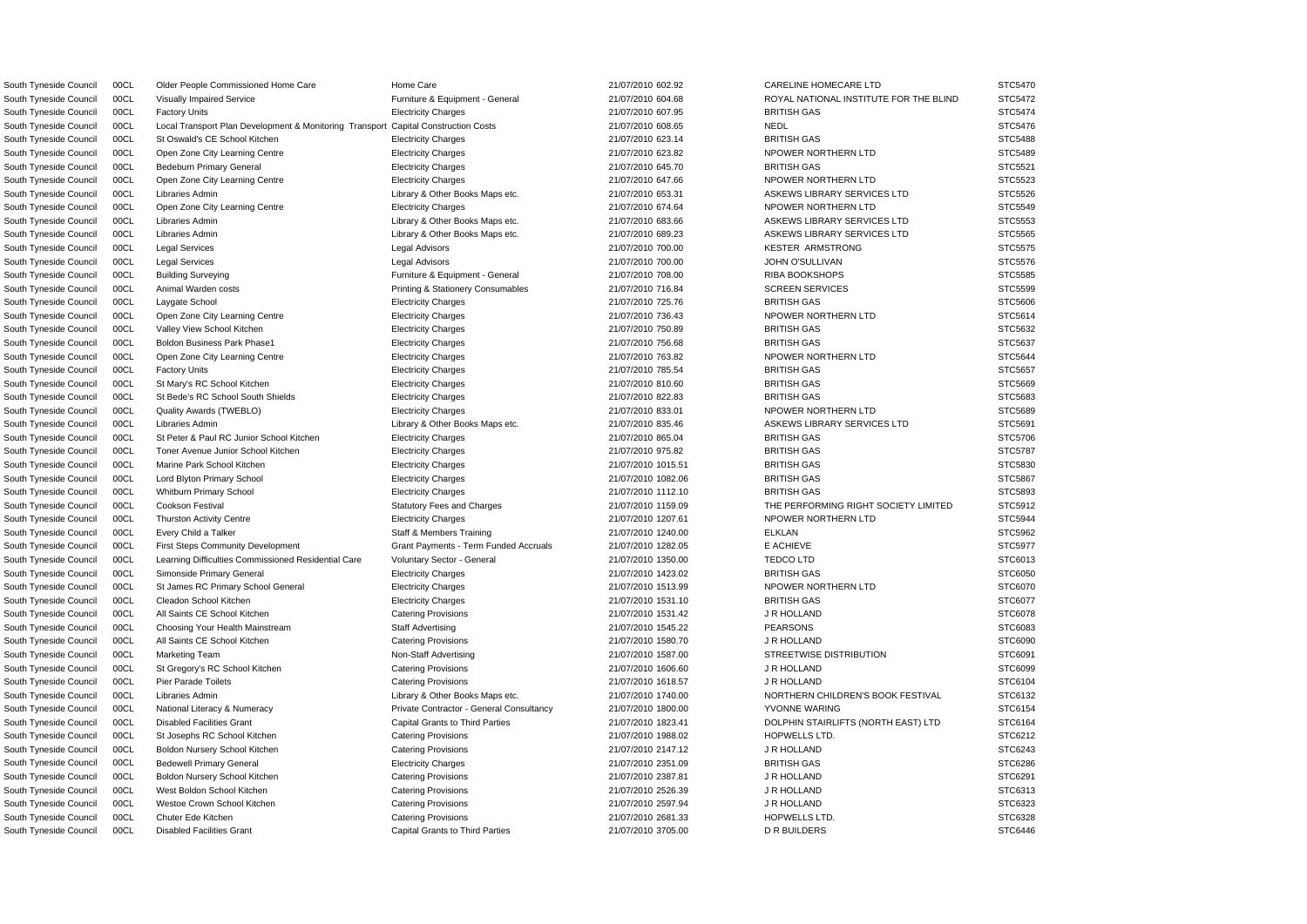South Tyneside Council 00CL Older People Commissioned Home Care Home Care Home Care 21/07/2010 602.92 CARELINE HOMECARE LTD STC5470 South Tyneside Council 00CL Disabled Facilities Grant Capital Grants to Third Parties 21/07/2010 3705.00 DR BUILDERS STC6446

South Tyneside Council 00CL Visually Impaired Service Furniture & Equipment - General 21/07/2010 604.68 ROYAL NATIONAL INSTITUTE FOR THE BLIND STC5472 South Tyneside Council 00CL Factory Units **Electricity Charges 21/07/2010 607.95 BRITISH GAS** BRITISH GAS STC5474 South Tyneside Council 00CL Local Transport Plan Development & Monitoring Transport Capital Construction Costs 21/07/2010 608.65 NEDL NEDL STC5476 South Tyneside Council 00CL St Oswald's CE School Kitchen Electricity Charges 21/07/2010 623.14 BRITISH GAS BRITISH GAS STC5488 South Tyneside Council 00CL Open Zone City Learning Centre Electricity Charges 21/07/2010 623.82 NPOWER NORTHERN LTD STC5489 South Tyneside Council 00CL Bedeburn Primary General **Electricity Charges 21/07/2010 645.70** BRITISH GAS BRITISH GAS STC5521 South Tyneside Council 00CL Open Zone City Learning Centre Electricity Charges 21/07/2010 647.66 NPOWER NORTHERN LTD STC5523 South Tyneside Council 00CL Libraries Admin 2000 2000 2000 2000 Library & Other Books Maps etc. 21/07/2010 653.31 ASKEWS LIBRARY SERVICES LTD STC5526 South Tyneside Council 00CL Open Zone City Learning Centre Electricity Charges Electricity Charges 21/07/2010 674.64 NPOWER NORTHERN LTD STC5549 South Tyneside Council 00CL Libraries Admin 2000 2000 2000 2000 Library & Other Books Maps etc. 21/07/2010 683.66 ASKEWS LIBRARY SERVICES LTD STC5553 South Tyneside Council 00CL Libraries Admin 2000 2000 2000 2000 Library & Other Books Maps etc. 21/07/2010 689.23 ASKEWS LIBRARY SERVICES LTD STC5565 South Tyneside Council 00CL Legal Services Legal Advisors 21/07/2010 700.00 KESTER ARMSTRONG STC5575 South Tyneside Council 00CL Legal Services Legal Advisors 21/07/2010 700.00 JOHN O'SULLIVAN STC5576 South Tyneside Council 00CL Building Surveying The Structure & Equipment - General 21/07/2010 708.00 RIBA BOOKSHOPS STC5585 South Tyneside Council 00CL Animal Warden costs **Printing & Stationery Consumables** 21/07/2010 716.84 SCREEN SERVICES STC5599 STC5599 South Tyneside Council 00CL Laygate School Electricity Charges 21/07/2010 725.76 BRITISH GAS STC5606 South Tyneside Council 00CL Open Zone City Learning Centre Electricity Charges 21/07/2010 736.43 NPOWER NORTHERN LTD STC5614 South Tyneside Council 00CL Valley View School Kitchen Electricity Charges BRITISH GAS STC5632 South Tyneside Council 00CL Boldon Business Park Phase1 Electricity Charges 21/07/2010 756.68 BRITISH GAS BRITISH GAS STC5637 South Tyneside Council 00CL Open Zone City Learning Centre Electricity Charges Electricity Charges 21/07/2010 763.82 NPOWER NORTHERN LTD STC5644 South Tyneside Council 00CL Factory Units **Electricity Charges** Electricity Charges 21/07/2010 785.54 BRITISH GAS STC5657 South Tyneside Council 00CL St Mary's RC School Kitchen Electricity Charges 21/07/2010 810.60 BRITISH GAS STC5669 STC5669 South Tyneside Council 00CL St Bede's RC School South Shields Electricity Charges 21/07/2010 822.83 BRITISH GAS STC5683 STC5683 South Tyneside Council 00CL Quality Awards (TWEBLO) Electricity Charges 21/07/2010 833.01 NPOWER NORTHERN LTD STC5689 South Tyneside Council 00CL Libraries Admin 2000 2000 2000 2000 Library & Other Books Maps etc. 21/07/2010 835.46 ASKEWS LIBRARY SERVICES LTD STC5691 South Tyneside Council 00CL St Peter & Paul RC Junior School Kitchen Electricity Charges 21/07/2010 865.04 BRITISH GAS BRITISH GAS STC5706 South Tyneside Council 00CL Toner Avenue Junior School Kitchen Electricity Charges 21/07/2010 975.82 BRITISH GAS BRITISH GAS STC5787 South Tyneside Council 00CL Marine Park School Kitchen Electricity Charges Electricity Charges 21/07/2010 1015.51 BRITISH GAS BRITISH GAS STC5830 South Tyneside Council 00CL Lord Blyton Primary School **Electricity Charges 21/07/2010 1082.06 BRITISH GAS STC5867** South Tyneside Council 00CL Whitburn Primary School **Electricity Charges 21/07/2010 1112.10** BRITISH GAS BRITISH GAS STC5893 South Tyneside Council 00CL Cookson Festival Statutory Fees and Charges 21/07/2010 1159.09 THE PERFORMING RIGHT SOCIETY LIMITED STC5912 South Tyneside Council 00CL Thurston Activity Centre entity Charges Electricity Charges 21/07/2010 1207.61 NPOWER NORTHERN LTD STC5944 South Tyneside Council COCL Every Child a Talker Network Staff & Members Training 21/07/2010 1240.00 ELKLAN STC5962 South Tyneside Council 00CL First Steps Community Development Grant Payments - Term Funded Accruals 21/07/2010 1282.05 E ACHIEVE E ACHIEVE STC5977 South Tyneside Council 00CL Learning Difficulties Commissioned Residential Care Voluntary Sector - General 21/07/2010 1350.00 TEDCO LTD STC6013 STC6013 South Tyneside Council 00CL Simonside Primary General **Electricity Charges 21/07/2010 1423.02** BRITISH GAS STC6050 South Tyneside Council 00CL St James RC Primary School General Electricity Charges 21/07/2010 1513.99 NPOWER NORTHERN LTD STC6070 South Tyneside Council 00CL Cleadon School Kitchen Electricity Charges 21/07/2010 1531.10 BRITISH GAS STC6077 South Tyneside Council COCL All Saints CE School Kitchen Catering Provisions Catering Provisions 21/07/2010 1531.42 J R HOLLAND STC6078 South Tyneside Council 00CL Choosing Your Health Mainstream Staff Advertising Staff Advertising 21/07/2010 1545.22 PEARSONS PEARSONS STC6083 South Tyneside Council COCL All Saints CE School Kitchen Catering Provisions Catering Provisions 21/07/2010 1580.70 JR HOLLAND STC6090 STC6090 South Tyneside Council 00CL Marketing Team Non-Staff Advertising Non-Staff Advertising 21/07/2010 1587.00 STREETWISE DISTRIBUTION STC6091 South Tyneside Council 00CL St Gregory's RC School Kitchen Catering Provisions Catering Provisions 21/07/2010 1606.60 JR HOLLAND STC6099 South Tyneside Council 00CL Pier Parade Toilets Catering Catering Provisions Catering Provisions 21/07/2010 1618.57 JR HOLLAND STC6104 South Tyneside Council 00CL Libraries Admin 2000 2000 Library & Other Books Maps etc. 21/07/2010 1740.00 NORTHERN CHILDREN'S BOOK FESTIVAL STC6132 South Tyneside Council 00CL National Literacy & Numeracy **Private Contractor - General Consultancy** 21/07/2010 1800.00 YVONNE WARING STC6154 South Tyneside Council 00CL Disabled Facilities Grant Capital Grants to Third Parties 21/07/2010 1823.41 DOLPHIN STAIRLIFTS (NORTH EAST) LTD STC6164 South Tyneside Council 00CL St Josephs RC School Kitchen Catering Provisions Catering Provisions 21/07/2010 1988.02 HOPWELLS LTD. STC6212 South Tyneside Council 00CL Boldon Nursery School Kitchen Catering Provisions Catering Provisions 21/07/2010 2147.12 JR HOLLAND STC6243 South Tyneside Council 00CL Bedewell Primary General **Electricity Charges 21/07/2010 2351.09 BRITISH GAS STC6286** South Tyneside Council COCL Boldon Nursery School Kitchen Catering Provisions Catering Provisions 21/07/2010 2387.81 JR HOLLAND STC6291 STC6291 South Tyneside Council COCL West Boldon School Kitchen Catering Provisions Catering Provisions 21/07/2010 2526.39 JR HOLLAND STC6313 South Tyneside Council 00CL Westoe Crown School Kitchen Catering Provisions Catering Provisions 21/07/2010 2597.94 J R HOLLAND STC6323 South Tyneside Council 00CL Chuter Ede Kitchen Catering Provisions Catering Provisions 21/07/2010 2681.33 HOPWELLS LTD. STC6328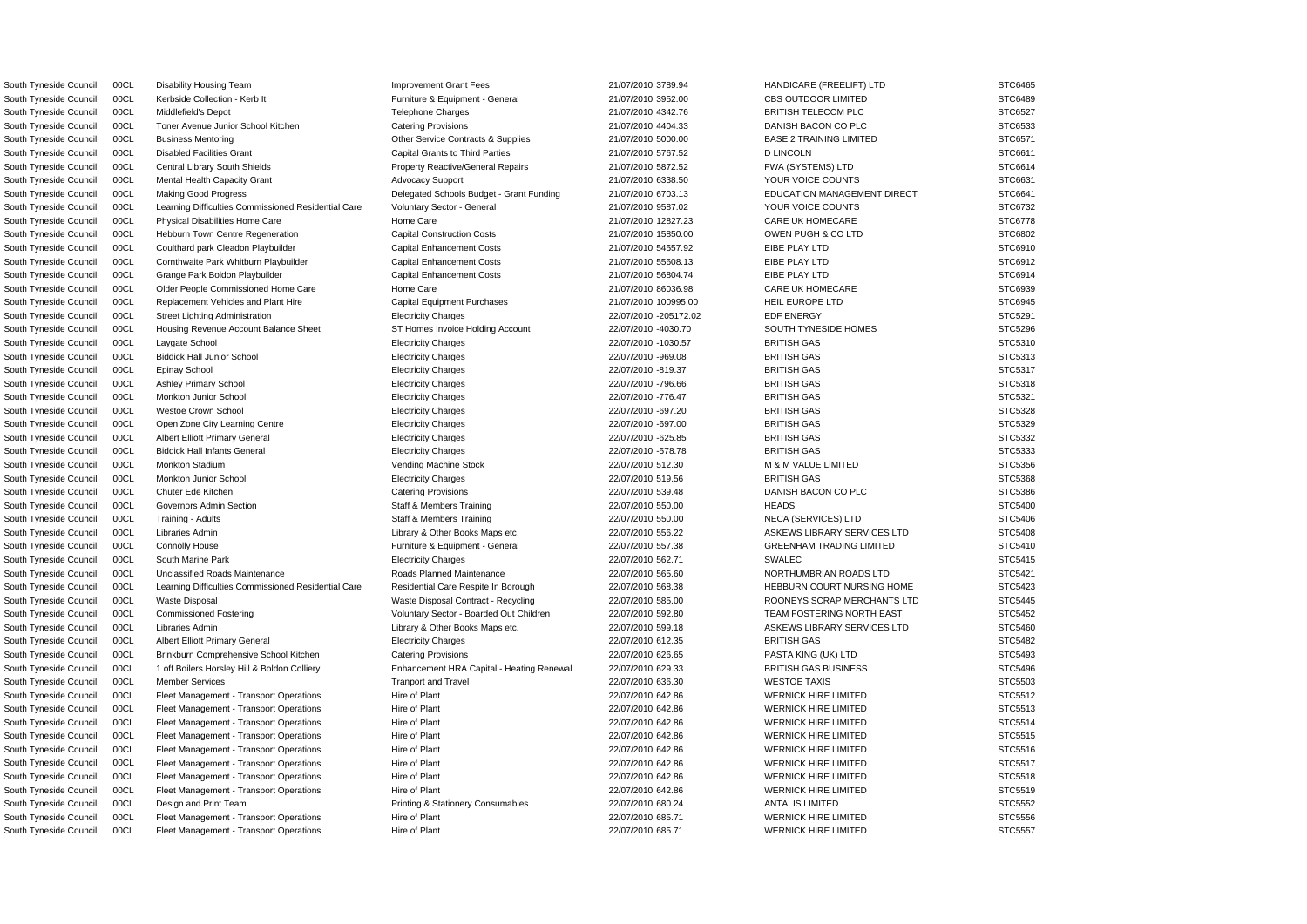South Tyneside Council 00CL Kerbside Collection - Kerb It Furniture & Equipment - General 21/07/2010 3952.00 CBS OUTDOOR LIMITED STC6489 South Tyneside Council 00CL Middlefield's Depot Telephone Charges 21/07/2010 4342.76 BRITISH TELECOM PLC STC6527 South Tyneside Council 00CL Toner Avenue Junior School Kitchen Catering Provisions 21/07/2010 4404.33 DANISH BACON CO PLC STC6533 South Tyneside Council 00CL Business Mentoring CHO Contracts & Supplies 21/07/2010 5000.00 BASE 2 TRAINING LIMITED STC6571 South Tyneside Council COCL Disabled Facilities Grant Capital Grants to Third Parties 21/07/2010 5767.52 D LINCOLN STC6611 STC6611 South Tyneside Council 00CL Central Library South Shields Property Reactive/General Repairs 21/07/2010 5872.52 FWA (SYSTEMS) LTD STC6614 South Tyneside Council 00CL Mental Health Capacity Grant Advocacy Support Advocacy Support 21/07/2010 6338.50 YOUR VOICE COUNTS STC6631 South Tyneside Council 00CL Making Good Progress Secretion Schools Budget - Grant Funding 21/07/2010 6703.13 EDUCATION MANAGEMENT DIRECT STC6641 South Tyneside Council 00CL Learning Difficulties Commissioned Residential Care Voluntary Sector - General 21/07/2010 9587.02 YOUR VOICE COUNTS STC6732 South Tyneside Council 00CL Physical Disabilities Home Care Home Care Home Care 21/07/2010 12827.23 CARE UK HOMECARE STC6778 South Tyneside Council 00CL Hebburn Town Centre Regeneration Capital Construction Costs 21/07/2010 15850.00 OWEN PUGH & CO LTD STC6802 South Tyneside Council 00CL Coulthard park Cleadon Playbuilder Capital Enhancement Costs 21/07/2010 54557.92 EIBE PLAY LTD STC6910 South Tyneside Council 00CL Cornthwaite Park Whitburn Playbuilder Capital Enhancement Costs 21/07/2010 55608.13 EIBE PLAY LTD STC6912 South Tyneside Council COCL Grange Park Boldon Playbuilder Capital Enhancement Costs 21/07/2010 56804.74 EIBE PLAY LTD STC6914 South Tyneside Council 00CL Older People Commissioned Home Care Home Care Home Care 21/07/2010 86036.98 CARE UK HOMECARE STC6939 South Tyneside Council 00CL Replacement Vehicles and Plant Hire Capital Equipment Purchases 21/07/2010 100995.00 HEIL EUROPE LTD STC6945 South Tyneside Council 00CL Street Lighting Administration **Electricity Charges** 22/07/2010 -205172.02 EDF ENERGY EDF ENERGY STC5291 South Tyneside Council 00CL Housing Revenue Account Balance Sheet ST Homes Invoice Holding Account 22/07/2010 -4030.70 SOUTH TYNESIDE HOMES STC5296 South Tyneside Council 00CL Laygate School Electricity Charges 22/07/2010 -1030.57 BRITISH GAS STC5310 South Tyneside Council 00CL Biddick Hall Junior School **Electricity Charges 22/07/2010** -969.08 BRITISH GAS STC5313 South Tyneside Council 00CL Epinay School **Electricity Charges** Electricity Charges 22/07/2010 -819.37 BRITISH GAS STC5317 South Tyneside Council 00CL Ashley Primary School excluding the Electricity Charges 22/07/2010 -796.66 BRITISH GAS BRITISH GAS STC5318 South Tyneside Council 00CL Monkton Junior School **Electricity Charges 22/07/2010** -776.47 BRITISH GAS BRITISH GAS STC5321 South Tyneside Council 00CL Westoe Crown School examples the Electricity Charges 22/07/2010 -697.20 BRITISH GAS STC5328 STC5328 South Tyneside Council 00CL Open Zone City Learning Centre Electricity Charges 22/07/2010 -697.00 BRITISH GAS STC5329 South Tyneside Council COCL Albert Elliott Primary General **Electricity Charges 22/07/2010** -625.85 BRITISH GAS STC5332 South Tyneside Council 00CL Biddick Hall Infants General **Electricity Charges 22/07/2010** -578.78 BRITISH GAS STC5333 South Tyneside Council 00CL Monkton Stadium Vending Machine Stock 22/07/2010 512.30 M & M VALUE LIMITED STC5356 South Tyneside Council 00CL Monkton Junior School **Electricity Charges 22/07/2010 519.56 BRITISH GAS** BRITISH GAS STC5368 South Tyneside Council 00CL Chuter Ede Kitchen Catering Provisions Catering Provisions 22/07/2010 539.48 DANISH BACON CO PLC STC5386 South Tyneside Council 00CL Governors Admin Section State Staff & Members Training 22/07/2010 550.00 HEADS HEADS STC5400 South Tyneside Council 00CL Training - Adults Numbers Stame Staff & Members Training 22/07/2010 550.00 NECA (SERVICES) LTD STC5406 South Tyneside Council 00CL Libraries Admin 2000 2000 2000 2000 Library & Other Books Maps etc. 22/07/2010 556.22 ASKEWS LIBRARY SERVICES LTD STC5408 South Tyneside Council 00CL Connolly House **Furniture & Equipment - General** 22/07/2010 557.38 GREENHAM TRADING LIMITED STC5410 South Tyneside Council 00CL South Marine Park **Electricity Charges 22/07/2010 562.71** SWALEC SWALEC STC5415 South Tyneside Council 00CL Unclassified Roads Maintenance Roads Planned Maintenance 22/07/2010 565.60 NORTHUMBRIAN ROADS LTD STC5421 South Tyneside Council 00CL Learning Difficulties Commissioned Residential Care Residential Care Respite In Borough 22/07/2010 568.38 HEBBURN COURT NURSING HOME STC5423 South Tyneside Council 00CL Waste Disposal Waste Disposal Waste Disposal Contract - Recycling 22/07/2010 585.00 ROONEYS SCRAP MERCHANTS LTD STC5445 South Tyneside Council 00CL Commissioned Fostering Voluntary Sector - Boarded Out Children 22/07/2010 592.80 TEAM FOSTERING NORTH EAST STC5452 South Tyneside Council 00CL Libraries Admin 2000 2000 2000 22/07/2010 599.18 ASKEWS LIBRARY SERVICES LTD STC5460 South Tyneside Council 00CL Albert Elliott Primary General Electricity Charges Electricity Charges 22/07/2010 612.35 BRITISH GAS STC5482 South Tyneside Council 00CL Brinkburn Comprehensive School Kitchen Catering Provisions 22/07/2010 626.65 PASTA KING (UK) LTD STC5493 South Tyneside Council 00CL 1 off Boilers Horsley Hill & Boldon Colliery Enhancement HRA Capital - Heating Renewal 22/07/2010 629.33 BRITISH GAS BUSINESS STC5496 South Tyneside Council COCL Member Services **Tranport and Tranport and Travel 22/07/2010** 636.30 WESTOE TAXIS STC5503 South Tyneside Council 00CL Fleet Management - Transport Operations Hire of Plant 22/07/2010 642.86 WERNICK HIRE LIMITED STC5512 South Tyneside Council 00CL Fleet Management - Transport Operations Hire of Plant Hire of Plant 22/07/2010 642.86 WERNICK HIRE LIMITED STC5513 South Tyneside Council 00CL Fleet Management - Transport Operations Hire of Plant Hire of Plant 22/07/2010 642.86 WERNICK HIRE LIMITED STC5514 South Tyneside Council 00CL Fleet Management - Transport Operations Hire of Plant Hire of Plant 22/07/2010 642.86 WERNICK HIRE LIMITED STC5515 South Tyneside Council 00CL Fleet Management - Transport Operations Hire of Plant Hire of Plant 22/07/2010 642.86 WERNICK HIRE LIMITED STC5516 South Tyneside Council 00CL Fleet Management - Transport Operations Hire of Plant 2007/2010 642.86 WERNICK HIRE LIMITED STC5517 South Tyneside Council 00CL Fleet Management - Transport Operations Hire of Plant 2007/2010 642.86 WERNICK HIRE LIMITED STC5518 South Tyneside Council 00CL Fleet Management - Transport Operations Hire of Plant Hire of Plant 22/07/2010 642.86 WERNICK HIRE LIMITED STC5519 South Tyneside Council 00CL Design and Print Team **Printing & Stationery Consumables** 22/07/2010 680.24 ANTALIS LIMITED STC5552 South Tyneside Council 00CL Fleet Management - Transport Operations Hire of Plant Hire of Plant 22/07/2010 685.71 WERNICK HIRE LIMITED STC5556 South Tyneside Council 00CL Fleet Management - Transport Operations Hire of Plant Hire of Plant 22/07/2010 685.71 WERNICK HIRE LIMITED STC5557

South Tyneside Council 00CL Disability Housing Team **Improvement Grant Fees** 21/07/2010 3789.94 HANDICARE (FREELIFT) LTD STC6465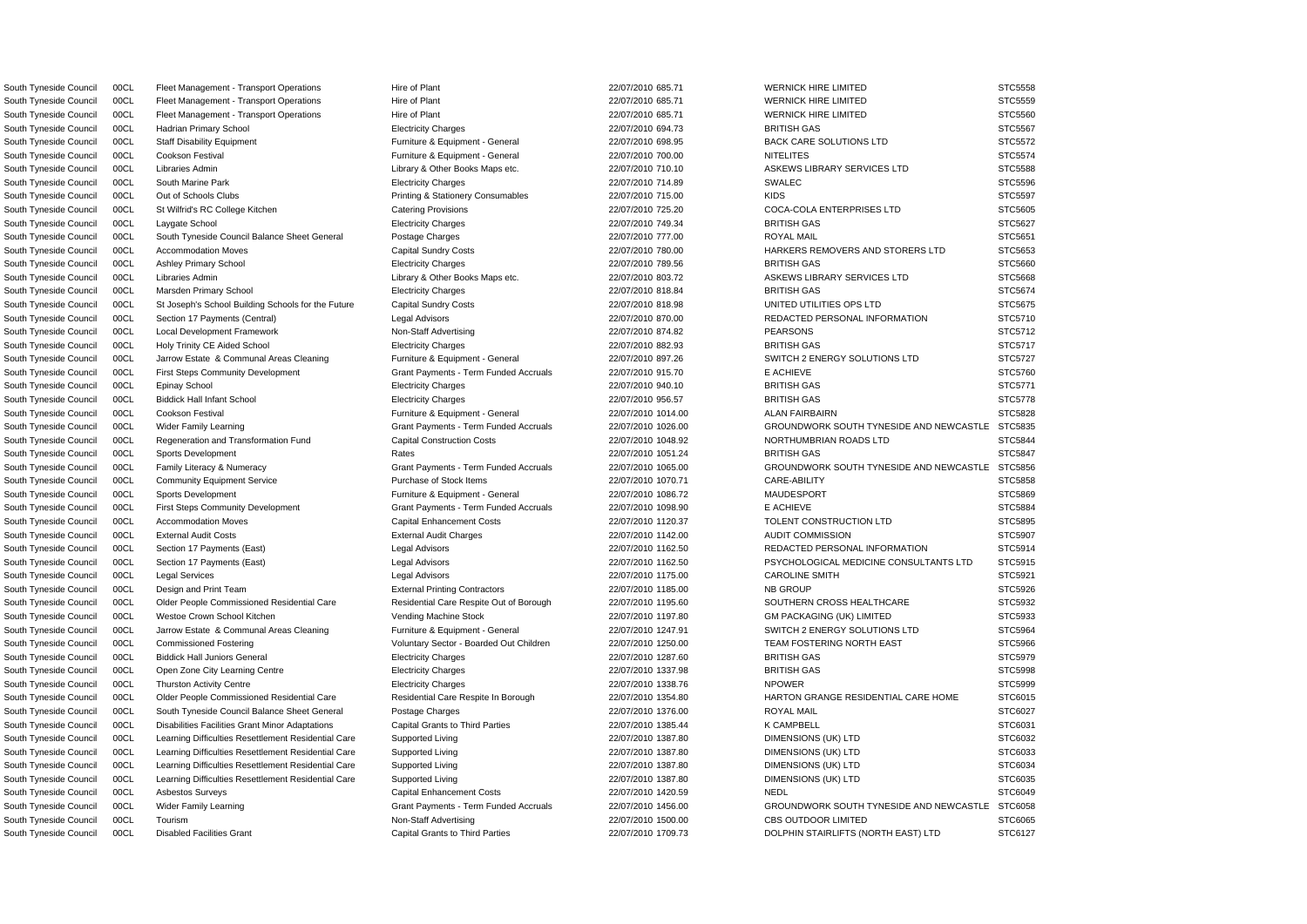South Tyneside Council 00CL Disabled Facilities Grant Capital Grants to Third Parties 22/07/2010 1709.73 DOLPHIN STAIRLIFTS (NORTH EAST) LTD STC6127

South Tyneside Council 00CL Fleet Management - Transport Operations Hire of Plant Hire of Plant 22/07/2010 685.71 WERNICK HIRE LIMITED STC5558 South Tyneside Council 00CL Fleet Management - Transport Operations Hire of Plant Hire of Plant 22/07/2010 685.71 WERNICK HIRE LIMITED STC5559 South Tyneside Council 00CL Fleet Management - Transport Operations Hire of Plant Hire of Plant 22/07/2010 685.71 WERNICK HIRE LIMITED STC5560 South Tyneside Council 00CL Hadrian Primary School **Electricity Charges 22/07/2010 694.73** BRITISH GAS BRITISH GAS STC5567 South Tyneside Council 00CL Staff Disability Equipment Furniture & Equipment - General 22/07/2010 698.95 BACK CARE SOLUTIONS LTD STC5572 South Tyneside Council 00CL Cookson Festival **Furniture & Equipment - General** 22/07/2010 700.00 NITELITES STC5574 South Tyneside Council 00CL Libraries Admin 2000 2000 2000 2000 Library & Other Books Maps etc. 22/07/2010 710.10 ASKEWS LIBRARY SERVICES LTD STC5588 South Tyneside Council COCL South Marine Park **Electricity Charges Electricity Charges** 22/07/2010 714.89 SWALEC SWALEC STC5596 South Tyneside Council 00CL Out of Schools Clubs **Printing & Stationery Consumables** 22/07/2010 715.00 KIDS STC5597 South Tyneside Council 00CL St Wilfrid's RC College Kitchen Catering Provisions Catering Provisions 22/07/2010 725.20 COCA-COLA ENTERPRISES LTD STC5605 South Tyneside Council 00CL Laygate School Electricity Charges 22/07/2010 749.34 BRITISH GAS STC5627 South Tyneside Council 00CL South Tyneside Council Balance Sheet General Postage Charges 22/07/2010 777.00 ROYAL MAIL ROYAL MAIL STC5651 South Tyneside Council 00CL Accommodation Moves Capital Sundry Costs Capital Sundry Costs 22/07/2010 780.00 HARKERS REMOVERS AND STORERS LTD STC5653 South Tyneside Council 00CL Ashley Primary School excluding the Electricity Charges 22/07/2010 789.56 BRITISH GAS BRITISH GAS STC5660 South Tyneside Council 00CL Libraries Admin 2000 2000 Library & Other Books Maps etc. 22/07/2010 803.72 ASKEWS LIBRARY SERVICES LTD STC5668 South Tyneside Council 00CL Marsden Primary School **Electricity Charges 22/07/2010 818.84** BRITISH GAS BRITISH GAS STC5674 South Tyneside Council 00CL St Joseph's School Building Schools for the Future Capital Sundry Costs 22/07/2010 818.98 UNITED UTILITIES OPS LTD STC5675 South Tyneside Council 00CL Section 17 Payments (Central) Legal Advisors Legal Advisors 22/07/2010 870.00 REDACTED PERSONAL INFORMATION STC5710 South Tyneside Council 00CL Local Development Framework Non-Staff Advertising 22/07/2010 874.82 PEARSONS PEARSONS STC5712 South Tyneside Council 00CL Holy Trinity CE Aided School Electricity Charges 22/07/2010 882.93 BRITISH GAS STC5717 South Tyneside Council 00CL Jarrow Estate & Communal Areas Cleaning Furniture & Equipment - General 22/07/2010 897.26 SWITCH 2 ENERGY SOLUTIONS LTD STC5727 South Tyneside Council 00CL First Steps Community Development Grant Payments - Term Funded Accruals 22/07/2010 915.70 E ACHIEVE E ACHIEVE STC5760 South Tyneside Council 00CL Epinay School **Electricity Charges 22/07/2010 940.10** BRITISH GAS BRITISH GAS STC5771 South Tyneside Council COCL Biddick Hall Infant School Electricity Charges Electricity Charges 22/07/2010 956.57 BRITISH GAS STC5778 BRITISH GAS STC5778 South Tyneside Council 00CL Cookson Festival **Furniture & Equipment - General** 22/07/2010 1014.00 ALAN FAIRBAIRN STC5828 STC5828 South Tyneside Council 00CL Wider Family Learning Crant Payments - Term Funded Accruals 22/07/2010 1026.00 GROUNDWORK SOUTH TYNESIDE AND NEWCASTLE STC5835 South Tyneside Council 00CL Regeneration and Transformation Fund Capital Construction Costs 22/07/2010 1048.92 NORTHUMBRIAN ROADS LTD STC5844 South Tyneside Council COCL Sports Development (CSSAT Rates Rates 22/07/2010 1051.24 BRITISH GAS STC5847 STC5847 South Tyneside Council 00CL Family Literacy & Numeracy Grant Payments - Term Funded Accruals 22/07/2010 1065.00 GROUNDWORK SOUTH TYNESIDE AND NEWCASTLE STC5856 South Tyneside Council 00CL Community Equipment Service Purchase of Stock Items 22/07/2010 1070.71 CARE-ABILITY STC5858 South Tyneside Council 00CL Sports Development **Furniture & Equipment - General** 22/07/2010 1086.72 MAUDESPORT STC5869 South Tyneside Council 00CL First Steps Community Development Grant Payments - Term Funded Accruals 22/07/2010 1098.90 E ACHIEVE STC5884 South Tyneside Council 00CL Accommodation Moves Capital Enhancement Costs 22/07/2010 1120.37 TOLENT CONSTRUCTION LTD STC5895 South Tyneside Council 00CL External Audit Costs External Audit Charges 22/07/2010 1142.00 AUDIT COMMISSION STC5907 South Tyneside Council 00CL Section 17 Payments (East) Legal Advisors 22/07/2010 1162.50 REDACTED PERSONAL INFORMATION STC5914 South Tyneside Council 00CL Section 17 Payments (East) Legal Advisors 22/07/2010 1162.50 PSYCHOLOGICAL MEDICINE CONSULTANTS LTD STC5915 South Tyneside Council 00CL Legal Services Legal Advisors 22/07/2010 1175.00 CAROLINE SMITH STC5921 South Tyneside Council 00CL Design and Print Team External Printing Contractors 22/07/2010 1185.00 NB GROUP STC5926 South Tyneside Council 00CL Older People Commissioned Residential Care Residential Care Respite Out of Borough 22/07/2010 1195.60 SOUTHERN CROSS HEALTHCARE STC5932 South Tyneside Council 00CL Westoe Crown School Kitchen Vending Machine Stock 22/07/2010 1197.80 GM PACKAGING (UK) LIMITED STC5933 South Tyneside Council 00CL Jarrow Estate & Communal Areas Cleaning Furniture & Equipment - General 22/07/2010 1247.91 SWITCH 2 ENERGY SOLUTIONS LTD STC5964 South Tyneside Council 00CL Commissioned Fostering versus voluntary Sector - Boarded Out Children 22/07/2010 1250.00 TEAM FOSTERING NORTH EAST STC5966 South Tyneside Council COCL Biddick Hall Juniors General Electricity Charges 22/07/2010 1287.60 BRITISH GAS STC5979 STC5979 South Tyneside Council 00CL Open Zone City Learning Centre Electricity Charges 22/07/2010 1337.98 BRITISH GAS STC5998 South Tyneside Council 00CL Thurston Activity Centre **Electricity Charges** Electricity Charges 22/07/2010 1338.76 NPOWER STC5999 South Tyneside Council 00CL Older People Commissioned Residential Care Residential Care Respite In Borough 22/07/2010 1354.80 HARTON GRANGE RESIDENTIAL CARE HOME STC6015 South Tyneside Council 00CL South Tyneside Council Balance Sheet General Postage Charges 22/07/2010 1376.00 ROYAL MAIL ROYAL MAIL STC6027 South Tyneside Council 00CL Disabilities Facilities Grant Minor Adaptations Capital Grants to Third Parties 22/07/2010 1385.44 K CAMPBELL STC6031 STC6031 South Tyneside Council 00CL Learning Difficulties Resettlement Residential Care Supported Living 22/07/2010 1387.80 DIMENSIONS (UK) LTD STC6032 South Tyneside Council 00CL Learning Difficulties Resettlement Residential Care Supported Living 22/07/2010 1387.80 DIMENSIONS (UK) LTD STC6033 South Tyneside Council 00CL Learning Difficulties Resettlement Residential Care Supported Living 22/07/2010 1387.80 DIMENSIONS (UK) LTD STC6034 South Tyneside Council 00CL Learning Difficulties Resettlement Residential Care Supported Living 22/07/2010 1387.80 DIMENSIONS (UK) LTD STC6035 South Tyneside Council COCL Asbestos Surveys Capital Enhancement Costs 22/07/2010 1420.59 NEDL NEDL STC6049 STC6049 South Tyneside Council 00CL Wider Family Learning Carries Crant Payments - Term Funded Accruals 22/07/2010 1456.00 GROUNDWORK SOUTH TYNESIDE AND NEWCASTLE STC6058 South Tyneside Council 00CL Tourism Non-Number 2007/2010 1500.00 CBS OUTDOOR LIMITED STC6065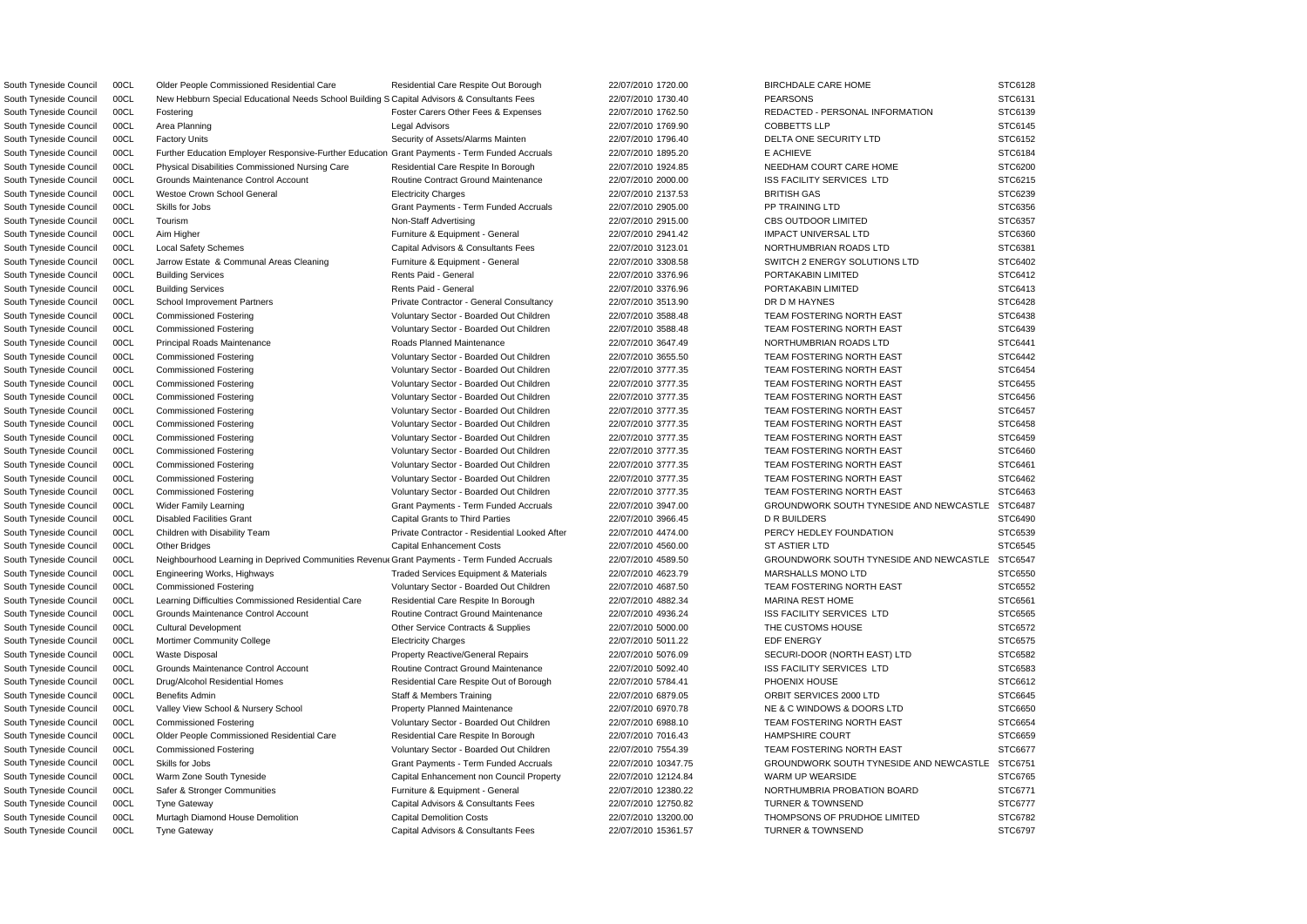South Tyneside Council COCL New Hebburn Special Educational Needs School Building S Capital Advisors & Consultants Fees 22/07/2010 1730.40 PEARSONS PEARSONS STC6131 South Tyneside Council 00CL Neighbourhood Learning in Deprived Communities Revenu Grant Payments - Term Funded Accruals 22/07/2010 4589.50 GROUNDWORK SOUTH TYNESIDE AND NEWCASTLE STC6547 South Tyneside Council 00CL Older People Commissioned Residential Care Residential Care Respite Out Borough 22/07/2010 1720.00 BIRCHDALE CARE HOME STC6128 South Tyneside Council 00CL Fostering **Foster Carers Other Fees & Expenses** 22/07/2010 1762.50 REDACTED - PERSONAL INFORMATION STC6139 South Tyneside Council 00CL Area Planning Control and Area Planning Legal Advisors Legal Advisors C2/07/2010 1769.90 COBBETTS LLP STC6145 South Tyneside Council 00CL Factory Units COL STC6152 Security of Assets/Alarms Mainten 22/07/2010 1796.40 DELTA ONE SECURITY LTD STC6152 South Tyneside Council 00CL Further Education Employer Responsive-Further Education Grant Payments - Term Funded Accruals 22/07/2010 1895.20 E ACHIEVE E ACHIEVE STC6184 South Tyneside Council 00CL Physical Disabilities Commissioned Nursing Care Residential Care Respite In Borough 22/07/2010 1924.85 NEEDHAM COURT CARE HOME STC6200 South Tyneside Council 00CL Grounds Maintenance Control Account **Routine Contract Ground Maintenance** 22/07/2010 2000.00 ISS FACILITY SERVICES LTD STC6215 South Tyneside Council 00CL Westoe Crown School General Electricity Charges 22/07/2010 2137.53 BRITISH GAS STC6239 STC6239 South Tyneside Council 00CL Skills for Jobs STC6356 Crant Payments - Term Funded Accruals 22/07/2010 2905.00 PP TRAINING LTD STC6356 South Tyneside Council 00CL Tourism Non-Staff Advertising 22/07/2010 2915.00 CBS OUTDOOR LIMITED STC6357 South Tyneside Council 00CL Aim Higher **Furniture & Equipment - General** 22/07/2010 2941.42 IMPACT UNIVERSAL LTD STC6360 South Tyneside Council COCL Local Safety Schemes Capital Advisors & Consultants Fees 22/07/2010 3123.01 NORTHUMBRIAN ROADS LTD STC6381 South Tyneside Council 00CL Jarrow Estate & Communal Areas Cleaning Furniture & Equipment - General 22/07/2010 3308.58 SWITCH 2 ENERGY SOLUTIONS LTD STC6402 South Tyneside Council 00CL Building Services entitled and the Rents Paid - General and and the 22/07/2010 3376.96 PORTAKABIN LIMITED STC6412 South Tyneside Council 00CL Building Services entitled the state of the Rents Paid - General and the 22/07/2010 3376.96 PORTAKABIN LIMITED STC6413 South Tyneside Council 00CL School Improvement Partners example and Private Contractor - General Consultancy 22/07/2010 3513.90 DR D M HAYNES STC6428 South Tyneside Council 00CL Commissioned Fostering Voluntary Sector - Boarded Out Children 22/07/2010 3588.48 TEAM FOSTERING NORTH EAST STC6438 South Tyneside Council 00CL Commissioned Fostering values of Voluntary Sector - Boarded Out Children 22/07/2010 3588.48 TEAM FOSTERING NORTH EAST STC6439 South Tyneside Council 00CL Principal Roads Maintenance Roads Planned Maintenance 22/07/2010 3647.49 NORTHUMBRIAN ROADS LTD STC6441 South Tyneside Council 00CL Commissioned Fostering values of Voluntary Sector - Boarded Out Children 22/07/2010 3655.50 TEAM FOSTERING NORTH EAST STC6442 South Tyneside Council 00CL Commissioned Fostering values of Voluntary Sector - Boarded Out Children 22/07/2010 3777.35 TEAM FOSTERING NORTH EAST STC6454 South Tyneside Council 00CL Commissioned Fostering values of Voluntary Sector - Boarded Out Children 22/07/2010 3777.35 TEAM FOSTERING NORTH EAST STC6455 South Tyneside Council 00CL Commissioned Fostering values of Voluntary Sector - Boarded Out Children 22/07/2010 3777.35 TEAM FOSTERING NORTH EAST STC6456 South Tyneside Council 00CL Commissioned Fostering values of Voluntary Sector - Boarded Out Children 22/07/2010 3777.35 TEAM FOSTERING NORTH EAST STC6457 South Tyneside Council 00CL Commissioned Fostering Voluntary Sector - Boarded Out Children 22/07/2010 3777.35 TEAM FOSTERING NORTH EAST STC6458 South Tyneside Council 00CL Commissioned Fostering versus voluntary Sector - Boarded Out Children 22/07/2010 3777.35 TEAM FOSTERING NORTH EAST STC6459 South Tyneside Council 00CL Commissioned Fostering values of Voluntary Sector - Boarded Out Children 22/07/2010 3777.35 TEAM FOSTERING NORTH EAST STC6460 South Tyneside Council 00CL Commissioned Fostering Voluntary Sector - Boarded Out Children 22/07/2010 3777.35 TEAM FOSTERING NORTH EAST STC6461 South Tyneside Council 00CL Commissioned Fostering Voluntary Sector - Boarded Out Children 22/07/2010 3777.35 TEAM FOSTERING NORTH EAST STC6462 South Tyneside Council 00CL Commissioned Fostering values of Voluntary Sector - Boarded Out Children 22/07/2010 3777.35 TEAM FOSTERING NORTH EAST STC6463 South Tyneside Council 00CL Wider Family Learning Carries Crant Payments - Term Funded Accruals 22/07/2010 3947.00 GROUNDWORK SOUTH TYNESIDE AND NEWCASTLE STC6487 South Tyneside Council 00CL Disabled Facilities Grant Capital Grants to Third Parties 22/07/2010 3966.45 D R BUILDERS STC6490 South Tyneside Council 00CL Children with Disability Team Private Contractor - Residential Looked After 22/07/2010 4474.00 PERCY HEDLEY FOUNDATION STC6539 South Tyneside Council COCL Other Bridges (STC6545 Capital Enhancement Costs 22/07/2010 4560.00 ST ASTIER LTD STC6545 ST ASTIER LTD STC6545 South Tyneside Council 00CL Engineering Works, Highways Traded Services Equipment & Materials 22/07/2010 4623.79 MARSHALLS MONO LTD STC6550 South Tyneside Council 00CL Commissioned Fostering values of Voluntary Sector - Boarded Out Children 22/07/2010 4687.50 TEAM FOSTERING NORTH EAST STC6552 South Tyneside Council 00CL Learning Difficulties Commissioned Residential Care Residential Care Respite In Borough 22/07/2010 4882.34 MARINA REST HOME STC6561 South Tyneside Council 00CL Grounds Maintenance Control Account **Routine Contract Ground Maintenance** 22/07/2010 4936.24 ISS FACILITY SERVICES LTD STC6565 South Tyneside Council 00CL Cultural Development Commeta Contracts & Supplies 22/07/2010 5000.00 THE CUSTOMS HOUSE STC6572 South Tyneside Council 00CL Mortimer Community College Electricity Charges 22/07/2010 5011.22 EDF ENERGY EDF ENERGY STC6575 South Tyneside Council 00CL Waste Disposal **Property Reactive/General Repairs** 22/07/2010 5076.09 SECURI-DOOR (NORTH EAST) LTD STC6582 South Tyneside Council 00CL Grounds Maintenance Control Account **Routine Contract Ground Maintenance** 22/07/2010 5092.40 ISS FACILITY SERVICES LTD STC6583 South Tyneside Council 00CL Drug/Alcohol Residential Homes Residential Care Respite Out of Borough 22/07/2010 5784.41 PHOENIX HOUSE STC6612 South Tyneside Council 00CL Benefits Admin Staff & Members Training 22/07/2010 6879.05 ORBIT SERVICES 2000 LTD STC6645 South Tyneside Council 00CL Valley View School & Nursery School Property Planned Maintenance 22/07/2010 6970.78 NE & C WINDOWS & DOORS LTD STC6650 South Tyneside Council 00CL Commissioned Fostering Voluntary Sector - Boarded Out Children 22/07/2010 6988.10 TEAM FOSTERING NORTH EAST STC6654 South Tyneside Council 00CL Older People Commissioned Residential Care Residential Care Respite In Borough 22/07/2010 7016.43 HAMPSHIRE COURT STC6659 South Tyneside Council 00CL Commissioned Fostering values of Voluntary Sector - Boarded Out Children 22/07/2010 7554.39 TEAM FOSTERING NORTH EAST STC6677 South Tyneside Council 00CL Skills for Jobs Scrubs Grant Payments - Term Funded Accruals 22/07/2010 10347.75 GROUNDWORK SOUTH TYNESIDE AND NEWCASTLE STC6751 South Tyneside Council 00CL Warm Zone South Tyneside Capital Enhancement non Council Property 22/07/2010 12124.84 WARM UP WEARSIDE STC6765 South Tyneside Council 00CL Safer & Stronger Communities Furniture & Equipment - General 22/07/2010 12380.22 NORTHUMBRIA PROBATION BOARD STC6771 South Tyneside Council 00CL Tyne Gateway Capital Advisors & Consultants Fees 22/07/2010 12750.82 TURNER & TOWNSEND STC6777 South Tyneside Council 00CL Murtagh Diamond House Demolition Capital Demolition Costs 22/07/2010 13200.00 THOMPSONS OF PRUDHOE LIMITED STC6782 South Tyneside Council 00CL Tyne Gateway Capital Capital Advisors & Consultants Fees 22/07/2010 15361.57 TURNER & TOWNSEND STC6797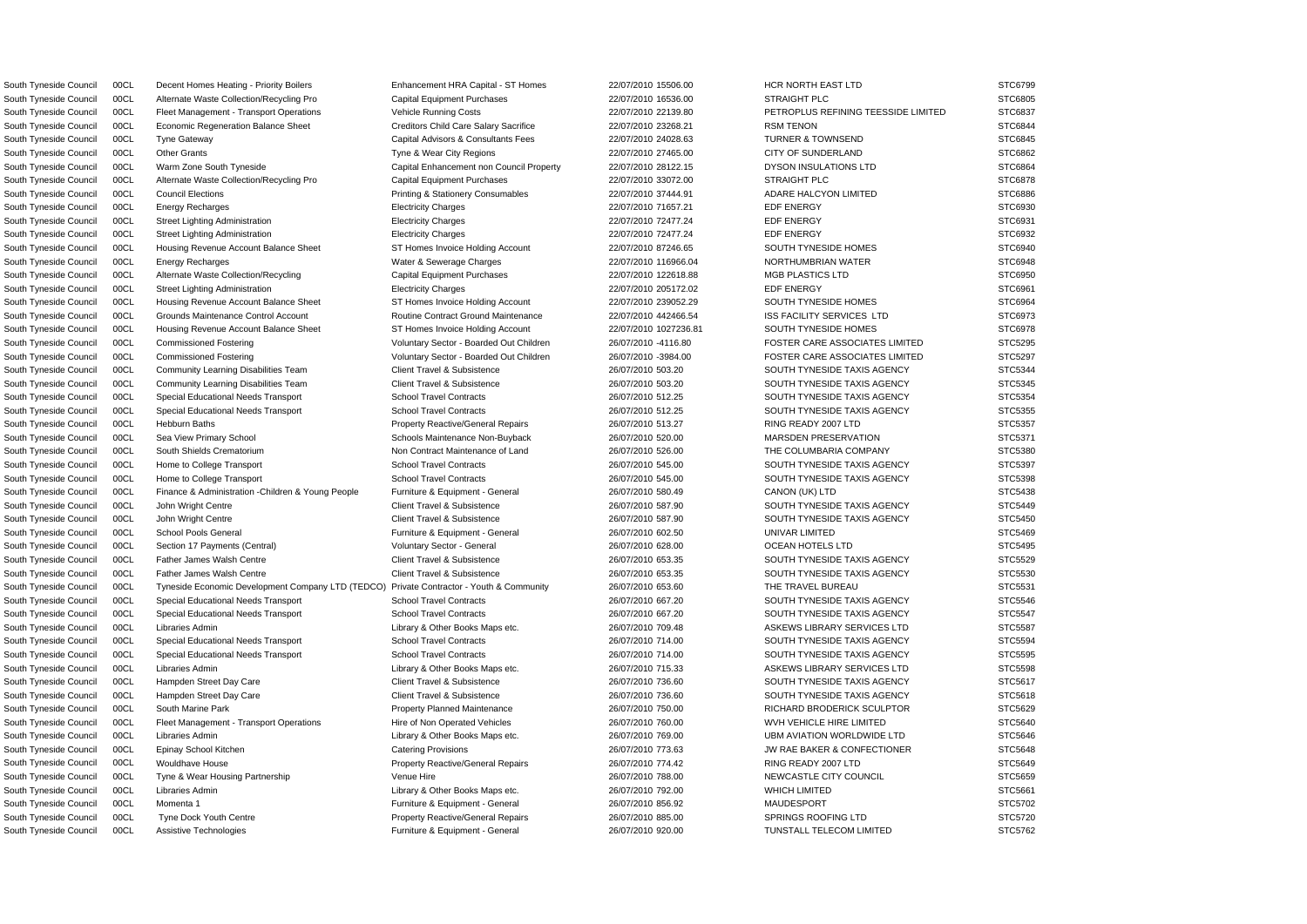South Tyneside Council 00CL Decent Homes Heating - Priority Boilers Enhancement HRA Capital - ST Homes 22/07/2010 15506.00 HCR NORTH EAST LTD STC6799 South Tyneside Council 00CL Alternate Waste Collection/Recycling Pro Capital Equipment Purchases 22/07/2010 16536.00 STRAIGHT PLC STC6805 South Tyneside Council 00CL Fleet Management - Transport Operations Vehicle Running Costs 22/07/2010 22139.80 PETROPLUS REFINING TEESSIDE LIMITED STC6837 South Tyneside Council 00CL Economic Regeneration Balance Sheet Creditors Child Care Salary Sacrifice 22/07/2010 23268.21 RSM TENON STC6844 South Tyneside Council 00CL Tyne Gateway Capital Capital Advisors & Consultants Fees 22/07/2010 24028.63 TURNER & TOWNSEND STC6845 South Tyneside Council 00CL Other Grants Tyne & Wear City Regions 22/07/2010 27465.00 CITY OF SUNDERLAND STC6862 South Tyneside Council 00CL Warm Zone South Tyneside Capital Enhancement non Council Property 22/07/2010 28122.15 DYSON INSULATIONS LTD STC6864 South Tyneside Council 00CL Alternate Waste Collection/Recycling Pro Capital Equipment Purchases 22/07/2010 33072.00 STRAIGHT PLC STC6878 South Tyneside Council 00CL Council Elections external extendions Printing & Stationery Consumables 22/07/2010 37444.91 ADARE HALCYON LIMITED STC6886 South Tyneside Council 00CL Energy Recharges Electricity Charges 22/07/2010 71657.21 EDF ENERGY STC6930 South Tyneside Council 00CL Street Lighting Administration Electricity Charges 22/07/2010 72477.24 EDF ENERGY EDF ENERGY STC6931 South Tyneside Council 00CL Street Lighting Administration **Electricity Charges 22/07/2010 72477.24** EDF ENERGY EDF ENERGY STC6932 South Tyneside Council 00CL Housing Revenue Account Balance Sheet ST Homes Invoice Holding Account 22/07/2010 87246.65 SOUTH TYNESIDE HOMES STC6940 South Tyneside Council 00CL Energy Recharges Water & Sewerage Charges 22/07/2010 116966.04 NORTHUMBRIAN WATER STC6948 South Tyneside Council 00CL Alternate Waste Collection/Recycling Capital Equipment Purchases 22/07/2010 122618.88 MGB PLASTICS LTD STC6950 South Tyneside Council 00CL Street Lighting Administration Electricity Charges 22/07/2010 205172.02 EDF ENERGY EDF ENERGY STC6961 South Tyneside Council 00CL Housing Revenue Account Balance Sheet ST Homes Invoice Holding Account 22/07/2010 239052.29 SOUTH TYNESIDE HOMES STC6964 South Tyneside Council 00CL Grounds Maintenance Control Account **Routine Contract Ground Maintenance** 22/07/2010 442466.54 ISS FACILITY SERVICES LTD STC6973 South Tyneside Council 00CL Housing Revenue Account Balance Sheet ST Homes Invoice Holding Account 22/07/2010 1027236.81 SOUTH TYNESIDE HOMES STC6978 South Tyneside Council 00CL Commissioned Fostering verboot voluntary Sector - Boarded Out Children 26/07/2010 -4116.80 FOSTER CARE ASSOCIATES LIMITED STC5295 South Tyneside Council 00CL Commissioned Fostering values of Voluntary Sector - Boarded Out Children 26/07/2010 -3984.00 FOSTER CARE ASSOCIATES LIMITED STC5297 South Tyneside Council 00CL Community Learning Disabilities Team Client Travel & Subsistence 26/07/2010 503.20 SOUTH TYNESIDE TAXIS AGENCY STC5344 South Tyneside Council 00CL Community Learning Disabilities Team Client Travel & Subsistence 26/07/2010 503.20 SOUTH TYNESIDE TAXIS AGENCY STC5345 South Tyneside Council 00CL Special Educational Needs Transport School Travel Contracts 26/07/2010 512.25 SOUTH TYNESIDE TAXIS AGENCY STC5354 South Tyneside Council 00CL Special Educational Needs Transport School Travel Contracts 26/07/2010 512.25 SOUTH TYNESIDE TAXIS AGENCY STC5355 South Tyneside Council 00CL Hebburn Baths **Property Reactive/General Repairs** 26/07/2010 513.27 RING READY 2007 LTD STC5357 South Tyneside Council 00CL Sea View Primary School School Schools Maintenance Non-Buyback 26/07/2010 520.00 MARSDEN PRESERVATION STC5371 South Tyneside Council 00CL South Shields Crematorium Non Contract Maintenance of Land 26/07/2010 526.00 THE COLUMBARIA COMPANY STC5380 South Tyneside Council 00CL Home to College Transport School Travel Contracts 26/07/2010 545.00 SOUTH TYNESIDE TAXIS AGENCY STC5397 South Tyneside Council 00CL Home to College Transport School Travel Contracts 26/07/2010 545.00 SOUTH TYNESIDE TAXIS AGENCY STC5398 South Tyneside Council 00CL Finance & Administration -Children & Young People Furniture & Equipment - General 26/07/2010 580.49 CANON (UK) LTD STC5438 STC5438 South Tyneside Council 00CL John Wright Centre Client Travel & Subsistence 26/07/2010 587.90 SOUTH TYNESIDE TAXIS AGENCY STC5449 South Tyneside Council 00CL John Wright Centre Client Travel & Subsistence 26/07/2010 587.90 SOUTH TYNESIDE TAXIS AGENCY STC5450 South Tyneside Council 00CL School Pools General Furniture & Equipment - General 26/07/2010 602.50 UNIVAR LIMITED STC5469 South Tyneside Council 00CL Section 17 Payments (Central) Voluntary Sector - General 26/07/2010 628.00 OCEAN HOTELS LTD STC5495 South Tyneside Council 00CL Father James Walsh Centre Client Travel & Subsistence 26/07/2010 653.35 SOUTH TYNESIDE TAXIS AGENCY STC5529 South Tyneside Council 00CL Father James Walsh Centre Client Travel & Subsistence 26/07/2010 653.35 SOUTH TYNESIDE TAXIS AGENCY STC5530 South Tyneside Council 00CL Tyneside Economic Development Company LTD (TEDCO) Private Contractor - Youth & Community 26/07/2010 653.60 THE TRAVEL BUREAU STC5531 South Tyneside Council 00CL Special Educational Needs Transport School Travel Contracts 26/07/2010 667.20 SOUTH TYNESIDE TAXIS AGENCY STC5546 South Tyneside Council 00CL Special Educational Needs Transport School Travel Contracts 26/07/2010 667.20 SOUTH TYNESIDE TAXIS AGENCY STC5547 South Tyneside Council 00CL Libraries Admin 2000 2000 2000 2000 Library & Other Books Maps etc. 26/07/2010 709.48 ASKEWS LIBRARY SERVICES LTD STC5587 South Tyneside Council 00CL Special Educational Needs Transport School Travel Contracts 26/07/2010 714.00 SOUTH TYNESIDE TAXIS AGENCY STC5594 South Tyneside Council 00CL Special Educational Needs Transport School Travel Contracts 26/07/2010 714.00 SOUTH TYNESIDE TAXIS AGENCY STC5595 South Tyneside Council 00CL Libraries Admin 2000 2000 2000 2000 Library & Other Books Maps etc. 26/07/2010 715.33 ASKEWS LIBRARY SERVICES LTD STC5598 South Tyneside Council 00CL Hampden Street Day Care Client Travel & Subsistence 26/07/2010 736.60 SOUTH TYNESIDE TAXIS AGENCY STC5617 South Tyneside Council 00CL Hampden Street Day Care Client Travel & Subsistence 26/07/2010 736.60 SOUTH TYNESIDE TAXIS AGENCY STC5618 South Tyneside Council 00CL South Marine Park **Property Planned Maintenance** 26/07/2010 750.00 RICHARD BRODERICK SCULPTOR STC5629 South Tyneside Council 00CL Fleet Management - Transport Operations Hire of Non Operated Vehicles 26/07/2010 760.00 WVH VEHICLE HIRE LIMITED STC5640 South Tyneside Council 00CL Libraries Admin 2000 2000 Library & Other Books Maps etc. 26/07/2010 769.00 UBM AVIATION WORLDWIDE LTD STC5646 South Tyneside Council 00CL Epinay School Kitchen Catering Provisions Catering Provisions 26/07/2010 773.63 JW RAE BAKER & CONFECTIONER STC5648 South Tyneside Council 00CL Wouldhave House **Property Reactive/General Repairs** 26/07/2010 774.42 RING READY 2007 LTD STC5649 South Tyneside Council 00CL Tyne & Wear Housing Partnership Venue Hire 26/07/2010 788.00 NEWCASTLE CITY COUNCIL STC5659 South Tyneside Council 00CL Libraries Admin 2000 Company 2000 Library & Other Books Maps etc. 26/07/2010 792.00 WHICH LIMITED STC5661 South Tyneside Council 00CL Momenta 1 Furniture & Equipment - General 26/07/2010 856.92 MAUDESPORT STC5702 South Tyneside Council 00CL Tyne Dock Youth Centre **Property Reactive/General Repairs** 26/07/2010 885.00 SPRINGS ROOFING LTD STC5720

South Tyneside Council 00CL Assistive Technologies **Furniture & Equipment - General** 26/07/2010 920.00 TUNSTALL TELECOM LIMITED STC5762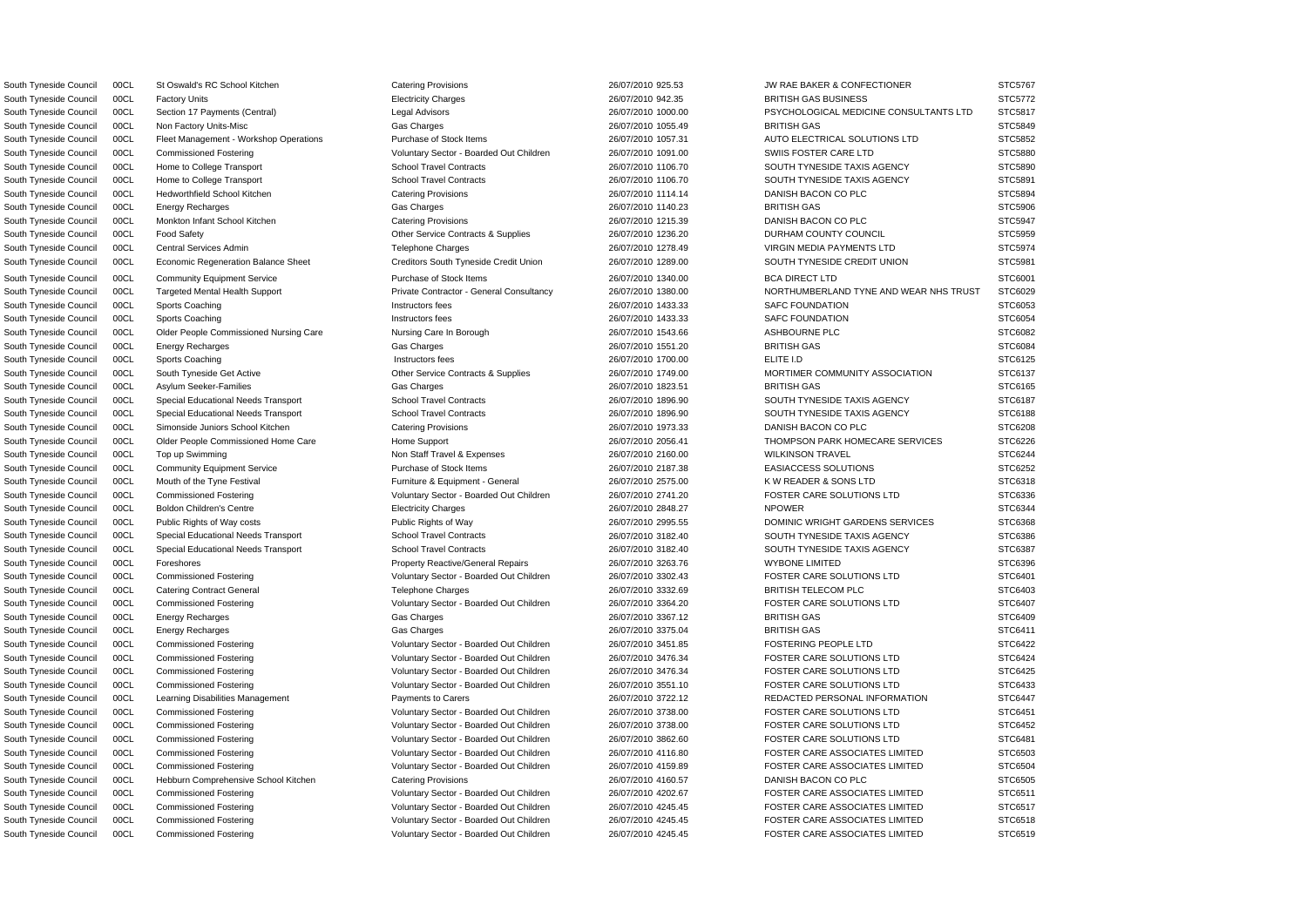South Tyneside Council 00CL St Oswald's RC School Kitchen Catering Provisions Catering Provisions 26/07/2010 925.53 JW RAE BAKER & CONFECTIONER STC5767

South Tyneside Council 00CL Factory Units extending the state of Electricity Charges 26/07/2010 942.35 BRITISH GAS BUSINESS STC5772 South Tyneside Council 00CL Section 17 Payments (Central) Legal Advisors Legal Advisors 26/07/2010 1000.00 PSYCHOLOGICAL MEDICINE CONSULTANTS LTD STC5817 South Tyneside Council COCL Non Factory Units-Misc (State Gas Charges Cass Charges 26/07/2010 1055.49 BRITISH GAS STC5849 STC5849 South Tyneside Council 00CL Fleet Management - Workshop Operations Purchase of Stock Items 26/07/2010 1057.31 AUTO ELECTRICAL SOLUTIONS LTD STC5852 South Tyneside Council 00CL Commissioned Fostering values of Voluntary Sector - Boarded Out Children 26/07/2010 1091.00 SWIIS FOSTER CARE LTD STC5880 South Tyneside Council 00CL Home to College Transport School Travel Contracts 26/07/2010 1106.70 SOUTH TYNESIDE TAXIS AGENCY STC5890 South Tyneside Council 00CL Home to College Transport School Travel Contracts 26/07/2010 1106.70 SOUTH TYNESIDE TAXIS AGENCY STC5891 South Tyneside Council 00CL Hedworthfield School Kitchen Catering Provisions Catering Provisions 26/07/2010 1114.14 DANISH BACON CO PLC STC5894 South Tyneside Council 00CL Energy Recharges Gas Charges 26/07/2010 1140.23 BRITISH GAS STC5906 South Tyneside Council 00CL Monkton Infant School Kitchen Catering Provisions Catering Provisions 26/07/2010 1215.39 DANISH BACON CO PLC STC5947 South Tyneside Council 00CL Food Safety **CHO CONTRACT CONTRACTS CONTRACTS ASSUPPLIES** 26/07/2010 1236.20 DURHAM COUNTY COUNCIL STC5959 South Tyneside Council 00CL Central Services Admin Telephone Charges 26/07/2010 1278.49 VIRGIN MEDIA PAYMENTS LTD STC5974 South Tyneside Council 00CL Economic Regeneration Balance Sheet Creditors Creditors South Tyneside Credit Union 26/07/2010 1289.00 SOUTH TYNESIDE CREDIT UNION STC5981 South Tyneside Council 00CL Community Equipment Service Purchase of Stock Items 26/07/2010 1340.00 BCA DIRECT LTD STC6001 South Tyneside Council 00CL Targeted Mental Health Support Private Contractor - General Consultancy 26/07/2010 1380.00 NORTHUMBERLAND TYNE AND WEAR NHS TRUST STC6029 South Tyneside Council COCL Sports Coaching **Instructors fees** 26/07/2010 1433.33 SAFC FOUNDATION STC6053 STC6053 South Tyneside Council COCL Sports Coaching **Instructors fees** 26/07/2010 1433.33 SAFC FOUNDATION STC6054 South Tyneside Council COOL Culder People Commissioned Nursing Care Nursing Care In Borough 26/07/2010 1543.66 ASHBOURNE PLC STC6082 South Tyneside Council 00CL Energy Recharges Gas Charges 26/07/2010 1551.20 BRITISH GAS STC6084 South Tyneside Council COCL Sports Coaching **Instructors fees** 26/07/2010 1700.00 ELITE I.D STC6125 South Tyneside Council 00CL South Tyneside Get Active Currence Contracts & Supplies 26/07/2010 1749.00 MORTIMER COMMUNITY ASSOCIATION STC6137 South Tyneside Council 00CL Asylum Seeker-Families Gas Charges 26/07/2010 1823.51 BRITISH GAS STC6165 South Tyneside Council 00CL Special Educational Needs Transport School Travel Contracts 26/07/2010 1896.90 SOUTH TYNESIDE TAXIS AGENCY STC6187 South Tyneside Council 00CL Special Educational Needs Transport School Travel Contracts 26/07/2010 1896.90 SOUTH TYNESIDE TAXIS AGENCY STC6188 South Tyneside Council 00CL Simonside Juniors School Kitchen Catering Provisions Catering Provisions 26/07/2010 1973.33 DANISH BACON CO PLC STC6208 South Tyneside Council 00CL Older People Commissioned Home Care Home Support 26/07/2010 2056.41 THOMPSON PARK HOMECARE SERVICES STC6226 South Tyneside Council 00CL Top up Swimming Non Staff Travel & Expenses 26/07/2010 2160.00 WILKINSON TRAVEL STC6244 South Tyneside Council 00CL Community Equipment Service Purchase of Stock Items 26/07/2010 2187.38 EASIACCESS SOLUTIONS STC6252 South Tyneside Council 00CL Mouth of the Tyne Festival **Furniture & Equipment - General** 26/07/2010 2575.00 KW READER & SONS LTD STC6318 South Tyneside Council 00CL Commissioned Fostering Voluntary Sector - Boarded Out Children 26/07/2010 2741.20 FOSTER CARE SOLUTIONS LTD STC6336 South Tyneside Council 00CL Boldon Children's Centre Electricity Charges Electricity Charges 26/07/2010 2848.27 NPOWER STC6344 South Tyneside Council 00CL Public Rights of Way costs Public Rights of Way Public Rights of Way 26/07/2010 2995.55 DOMINIC WRIGHT GARDENS SERVICES STC6368 South Tyneside Council 00CL Special Educational Needs Transport School Travel Contracts 26/07/2010 3182.40 SOUTH TYNESIDE TAXIS AGENCY STC6386 South Tyneside Council 00CL Special Educational Needs Transport School Travel Contracts 26/07/2010 3182.40 SOUTH TYNESIDE TAXIS AGENCY STC6387 South Tyneside Council 00CL Foreshores **Property Reactive/General Repairs** 26/07/2010 3263.76 WYBONE LIMITED STC6396 South Tyneside Council 00CL Commissioned Fostering values of Voluntary Sector - Boarded Out Children 26/07/2010 3302.43 FOSTER CARE SOLUTIONS LTD STC6401 South Tyneside Council 00CL Catering Contract General Telephone Charges 26/07/2010 3332.69 BRITISH TELECOM PLC STC6403 South Tyneside Council 00CL Commissioned Fostering values of Voluntary Sector - Boarded Out Children 26/07/2010 3364.20 FOSTER CARE SOLUTIONS LTD STC6407 South Tyneside Council 00CL Energy Recharges Gas Charges 26/07/2010 3367.12 BRITISH GAS STC6409 South Tyneside Council 00CL Energy Recharges Gas Charges 26/07/2010 3375.04 BRITISH GAS STC6411 South Tyneside Council 00CL Commissioned Fostering versus voluntary Sector - Boarded Out Children 26/07/2010 3451.85 FOSTERING PEOPLE LTD STC6422 South Tyneside Council 00CL Commissioned Fostering values of Voluntary Sector - Boarded Out Children 26/07/2010 3476.34 FOSTER CARE SOLUTIONS LTD STC6424 South Tyneside Council 00CL Commissioned Fostering versus voluntary Sector - Boarded Out Children 26/07/2010 3476.34 FOSTER CARE SOLUTIONS LTD STC6425 South Tyneside Council 00CL Commissioned Fostering values of Voluntary Sector - Boarded Out Children 26/07/2010 3551.10 FOSTER CARE SOLUTIONS LTD STC6433 South Tyneside Council 00CL Learning Disabilities Management Payments to Carers 26/07/2010 3722.12 REDACTED PERSONAL INFORMATION STC6447 South Tyneside Council 00CL Commissioned Fostering values of Voluntary Sector - Boarded Out Children 26/07/2010 3738.00 FOSTER CARE SOLUTIONS LTD STC6451 South Tyneside Council 00CL Commissioned Fostering Voluntary Sector - Boarded Out Children 26/07/2010 3738.00 FOSTER CARE SOLUTIONS LTD STC6452 South Tyneside Council 00CL Commissioned Fostering values of Voluntary Sector - Boarded Out Children 26/07/2010 3862.60 FOSTER CARE SOLUTIONS LTD STC6481 South Tyneside Council 00CL Commissioned Fostering verboot voluntary Sector - Boarded Out Children 26/07/2010 4116.80 FOSTER CARE ASSOCIATES LIMITED STC6503 South Tyneside Council 00CL Commissioned Fostering values of Voluntary Sector - Boarded Out Children 26/07/2010 4159.89 FOSTER CARE ASSOCIATES LIMITED STC6504 South Tyneside Council 00CL Hebburn Comprehensive School Kitchen Catering Provisions 26/07/2010 4160.57 DANISH BACON CO PLC STC6505 South Tyneside Council 00CL Commissioned Fostering The Voluntary Sector - Boarded Out Children 26/07/2010 4202.67 FOSTER CARE ASSOCIATES LIMITED STC6511 South Tyneside Council 00CL Commissioned Fostering vera vera veral voluntary Sector - Boarded Out Children 26/07/2010 4245.45 FOSTER CARE ASSOCIATES LIMITED STC6517 South Tyneside Council 00CL Commissioned Fostering values of Voluntary Sector - Boarded Out Children 26/07/2010 4245.45 FOSTER CARE ASSOCIATES LIMITED STC6518

South Tyneside Council 00CL Commissioned Fostering values of Voluntary Sector - Boarded Out Children 26/07/2010 4245.45 FOSTER CARE ASSOCIATES LIMITED STC6519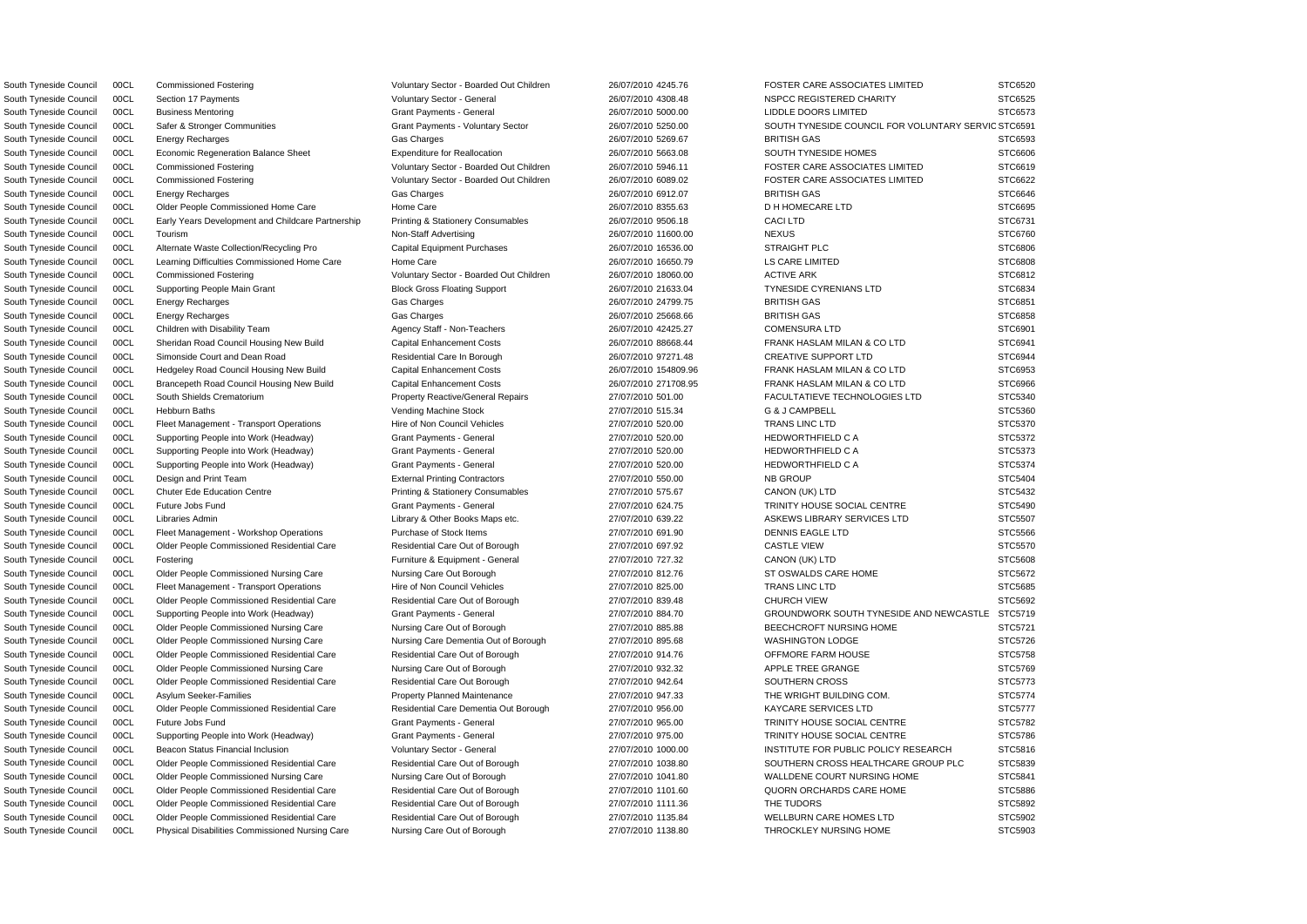South Tyneside Council COCL Safer & Stronger Communities Grant Payments - Voluntary Sector 26/07/2010 5250.00 SOUTH TYNESIDE COUNCIL FOR VOLUNTARY SERVIC STC6591 South Tyneside Council 00CL Business Mentoring Crant Payments - General Grant Payments - General 26/07/2010 5000.00 LIDDLE DOORS LIMITED STC6573 South Tyneside Council 00CL Energy Recharges Gas Charges 26/07/2010 5269.67 BRITISH GAS STC6593 STC6593 South Tyneside Council 00CL Economic Regeneration Balance Sheet Expenditure for Reallocation 26/07/2010 5663.08 SOUTH TYNESIDE HOMES STC6606 South Tyneside Council 00CL Commissioned Fostering values of Voluntary Sector - Boarded Out Children 26/07/2010 5946.11 FOSTER CARE ASSOCIATES LIMITED STC6619 South Tyneside Council 00CL Commissioned Fostering values of Voluntary Sector - Boarded Out Children 26/07/2010 6089.02 FOSTER CARE ASSOCIATES LIMITED STC6622 South Tyneside Council 00CL Energy Recharges Gas Charges 26/07/2010 6912.07 BRITISH GAS STC6646 STC6646 South Tyneside Council 00CL Older People Commissioned Home Care Home Care Home Care 26/07/2010 8355.63 D H HOMECARE LTD STC6695 South Tyneside Council 00CL Early Years Development and Childcare Partnership Printing & Stationery Consumables 26/07/2010 9506.18 CACI LTD STC6731 STC6731 South Tyneside Council 00CL Tourism Non-Staff Advertising 26/07/2010 11600.00 NEXUS STC6760 South Tyneside Council 00CL Alternate Waste Collection/Recycling Pro Capital Equipment Purchases 26/07/2010 16536.00 STRAIGHT PLC STC6806 STC6806 South Tyneside Council 00CL Learning Difficulties Commissioned Home Care Home Care Home Care 26/07/2010 16650.79 LS CARE LIMITED STC6808 South Tyneside Council 00CL Commissioned Fostering variable voluntary Sector - Boarded Out Children 26/07/2010 18060.00 ACTIVE ARK STC6812 South Tyneside Council 00CL Supporting People Main Grant Block Gross Floating Support 26/07/2010 21633.04 TYNESIDE CYRENIANS LTD STC6834 South Tyneside Council 00CL Energy Recharges Gas Charges 26/07/2010 24799.75 BRITISH GAS STC6851 South Tyneside Council 00CL Energy Recharges Gas Charges 26/07/2010 25668.66 BRITISH GAS STC6858 South Tyneside Council 00CL Children with Disability Team Agency Staff - Non-Teachers 26/07/2010 42425.27 COMENSURA LTD STC6901 South Tyneside Council 00CL Sheridan Road Council Housing New Build Capital Enhancement Costs 26/07/2010 88668.44 FRANK HASLAM MILAN & CO LTD STC6941 South Tyneside Council 00CL Simonside Court and Dean Road Residential Care In Borough 26/07/2010 97271.48 CREATIVE SUPPORT LTD STC6944 South Tyneside Council 00CL Hedgeley Road Council Housing New Build Capital Enhancement Costs 26/07/2010 154809.96 FRANK HASLAM MILAN & CO LTD STC6953 South Tyneside Council 00CL Brancepeth Road Council Housing New Build Capital Enhancement Costs 26/07/2010 271708.95 FRANK HASLAM MILAN & CO LTD STC6966 South Tyneside Council 00CL South Shields Crematorium **Property Reactive/General Repairs** 27/07/2010 501.00 FACULTATIEVE TECHNOLOGIES LTD STC5340 South Tyneside Council 00CL Hebburn Baths Vending Machine Stock 27/07/2010 515.34 G & J CAMPBELL STC5360 South Tyneside Council 00CL Fleet Management - Transport Operations Hire of Non Council Vehicles 27/07/2010 520.00 TRANS LINC LTD STC5370 South Tyneside Council 00CL Supporting People into Work (Headway) Grant Payments - General 27/07/2010 520.00 HEDWORTHFIELD C A STC5372 South Tyneside Council 00CL Supporting People into Work (Headway) Grant Payments - General 27/07/2010 520.00 HEDWORTHFIELD C A STC5373 South Tyneside Council 00CL Supporting People into Work (Headway) Grant Payments - General 27/07/2010 520.00 HEDWORTHFIELD C A STC5374 South Tyneside Council 00CL Design and Print Team External Printing Contractors 27/07/2010 550.00 NB GROUP STC5404 South Tyneside Council 00CL Chuter Ede Education Centre **Printing & Stationery Consumables** 27/07/2010 575.67 CANON (UK) LTD STC5432 South Tyneside Council 00CL Future Jobs Fund Crant Council Grant Payments - General 27/07/2010 624.75 TRINITY HOUSE SOCIAL CENTRE STC5490 South Tyneside Council 00CL Libraries Admin 2000 2000 2000 2000 Library & Other Books Maps etc. 27/07/2010 639.22 ASKEWS LIBRARY SERVICES LTD STC5507 South Tyneside Council 00CL Fleet Management - Workshop Operations Purchase of Stock Items 27/07/2010 691.90 DENNIS EAGLE LTD STC5566 South Tyneside Council 00CL Older People Commissioned Residential Care Residential Care Out of Borough 27/07/2010 697.92 CASTLE VIEW CASTLE VIEW STC5570 South Tyneside Council 00CL Fostering Cases of the Structure & Equipment - General 27/07/2010 727.32 CANON (UK) LTD STC5608 South Tyneside Council 00CL Older People Commissioned Nursing Care Nursing Care Out Borough 27/07/2010 812.76 ST OSWALDS CARE HOME STC5672 South Tyneside Council 00CL Fleet Management - Transport Operations Hire of Non Council Vehicles 27/07/2010 825.00 TRANS LINC LTD STC5685 South Tyneside Council 00CL Older People Commissioned Residential Care Residential Care Residential Care Residential Care Residential Care Residential Care Dut of Borough 27/07/2010 839.48 CHURCH VIEW CHURCH VIEW STC5692 South Tyneside Council 00CL Supporting People into Work (Headway) Grant Payments - General 27/07/2010 884.70 GROUNDWORK SOUTH TYNESIDE AND NEWCASTLE STC5719 South Tyneside Council 00CL Older People Commissioned Nursing Care Nursing Care Out of Borough 27/07/2010 885.88 BEECHCROFT NURSING HOME STC5721 South Tyneside Council 00CL Older People Commissioned Nursing Care Nursing Care Dementia Out of Borough 27/07/2010 895.68 WASHINGTON LODGE STC5726 South Tyneside Council 00CL Older People Commissioned Residential Care Residential Care Residential Care Residential Care Residential Care Residential Care Residential Care Out of Borough 27/07/2010 914.76 OFFMORE FARM HOU South Tyneside Council 00CL Older People Commissioned Nursing Care Nursing Care Out of Borough 27/07/2010 932.32 APPLE TREE GRANGE STC5769 South Tyneside Council 00CL Older People Commissioned Residential Care Residential Care Dut Borough 27/07/2010 942.64 SOUTHERN CROSS STC5773 South Tyneside Council 00CL Asylum Seeker-Families exception and Property Planned Maintenance 27/07/2010 947.33 THE WRIGHT BUILDING COM. STC5774 South Tyneside Council 00CL Older People Commissioned Residential Care Residential Care Residential Care Residential Care Dementia Out Borough 27/07/2010 956.00 KAYCARE SERVICES LTD STC5777 South Tyneside Council 00CL Future Jobs Fund Crant Payments - General Grant Payments - General 27/07/2010 965.00 TRINITY HOUSE SOCIAL CENTRE STC5782 South Tyneside Council 00CL Supporting People into Work (Headway) Grant Payments - General 27/07/2010 975.00 TRINITY HOUSE SOCIAL CENTRE STC5786 South Tyneside Council 00CL Beacon Status Financial Inclusion Voluntary Sector - General 27/07/2010 1000.00 INSTITUTE FOR PUBLIC POLICY RESEARCH STC5816 South Tyneside Council 00CL Older People Commissioned Residential Care Residential Care Residential Care Residential Care Residential Care Residential Care Residential Care Residential Care Residential Care Dut of Borough South Tyneside Council 00CL Older People Commissioned Nursing Care Nursing Care Out of Borough 27/07/2010 1041.80 WALLDENE COURT NURSING HOME STC5841 South Tyneside Council 00CL Older People Commissioned Residential Care Residential Care Residential Care Residential Care Residential Care Residential Care Residential Care Residential Care Residential Care Residential Car South Tyneside Council 00CL Older People Commissioned Residential Care Residential Care Residential Care Residential Care Residential Care Residential Care Out of Borough 27/07/2010 1111.36 THE TUDORS TES892 South Tyneside Council 00CL Older People Commissioned Residential Care Residential Care Residential Care Residential Care Residential Care Residential Care Out of Borough 27/07/2010 1135.84 WELLBURN CARE HOMES LTD STC5902 South Tyneside Council 00CL Physical Disabilities Commissioned Nursing Care Nursing Care Out of Borough 27/07/2010 1138.80 THROCKLEY NURSING HOME STC5903

South Tyneside Council 00CL Commissioned Fostering Voluntary Sector - Boarded Out Children 26/07/2010 4245.76 FOSTER CARE ASSOCIATES LIMITED STC6520

South Tyneside Council 00CL Section 17 Payments **COUNTY And Accept Council Country Sector** - General 26/07/2010 4308.48 NSPCC REGISTERED CHARITY STC6525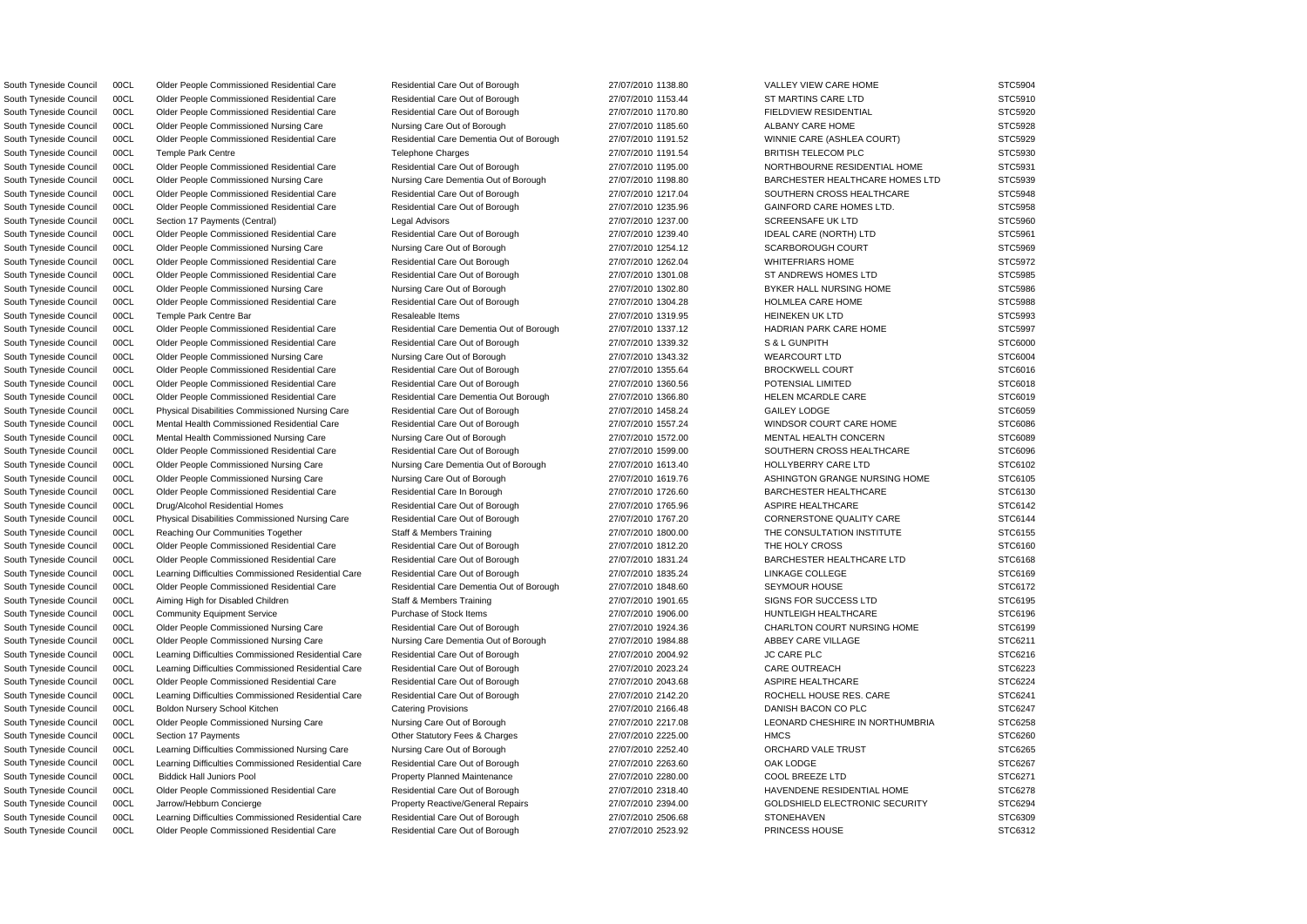South Tyneside Council 00CL Older People Commissioned Residential Care Residential Care Residential Care Residential Care Residential Care Residential Care Out of Borough 27/07/2010 1138.80 VALLEY VIEW CARE HOME STC5904 South Tyneside Council 00CL Older People Commissioned Residential Care Residential Care Residential Care Residential Care Residential Care Residential Care Out of Borough 27/07/2010 1153.44 ST MARTINS CARE LTD STC5910 South Tyneside Council 00CL Older People Commissioned Residential Care Residential Care Residential Care Residential Care Residential Care Residential Care Residential Care Out of Borough 27/07/2010 1170.80 FIELDVIEW RESID South Tyneside Council 00CL Older People Commissioned Nursing Care Nursing Care Out of Borough 27/07/2010 1185.60 ALBANY CARE HOME STC5928 South Tyneside Council 00CL Older People Commissioned Residential Care Residential Care Residential Care Residential Care Residential Care Dementia Out of Borough 27/07/2010 1191.52 WINNIE CARE (ASHLEA COURT) STC5929 South Tyneside Council 00CL Temple Park Centre Telephone Charges 27/07/2010 1191.54 BRITISH TELECOM PLC STC5930 South Tyneside Council 00CL Older People Commissioned Residential Care Residential Care Residential Care Residential Care Residential Care Residential Care Residential Care Residential Care Residential Care Residential Car South Tyneside Council 00CL Older People Commissioned Nursing Care Nursing Care Dementia Out of Borough 27/07/2010 1198.80 BARCHESTER HEALTHCARE HOMES LTD STC5939 South Tyneside Council 00CL Older People Commissioned Residential Care Residential Care Residential Care Residential Care Residential Care Residential Care Residential Care Residential Care Residential Care Residential Car South Tyneside Council 00CL Older People Commissioned Residential Care Residential Care Residential Care Residential Care Residential Care Residential Care Residential Care Residential Care Residential Care Dut of Borough South Tyneside Council 00CL Section 17 Payments (Central) Legal Advisors Legal Advisors 27/07/2010 1237.00 SCREENSAFE UK LTD STC5960 South Tyneside Council 00CL Older People Commissioned Residential Care Residential Care Residential Care Residential Care Residential Care Residential Care Out of Borough 27/07/2010 1239.40 IDEAL CARE (NORTH) LTD STC5961 South Tyneside Council 00CL Older People Commissioned Nursing Care Nursing Care Out of Borough 27/07/2010 1254.12 SCARBOROUGH COURT STC5969 South Tyneside Council 00CL Older People Commissioned Residential Care Residential Care Residential Care Residential Care Residential Care Residential Care Out Borough 27/07/2010 1262.04 WHITEFRIARS HOME STC5972 South Tyneside Council 00CL Older People Commissioned Residential Care Residential Care Residential Care Residential Care Residential Care Residential Care Residential Care Out of Borough 27/07/2010 1301.08 ST ANDREWS HOME South Tyneside Council 00CL Older People Commissioned Nursing Care Nursing Care Out of Borough 27/07/2010 1302.80 BYKER HALL NURSING HOME STC5986 South Tyneside Council COOL Culder People Commissioned Residential Care Residential Care Residential Care Residential Care Residential Care Residential Care Out of Borough 27/07/2010 1304.28 HOLMLEA CARE HOME STC5988 South Tyneside Council 00CL Temple Park Centre Bar Resaleable Items Resaleable Items 27/07/2010 1319.95 HEINEKEN UK LTD STC5993 South Tyneside Council 00CL Older People Commissioned Residential Care Residential Care Residential Care Residential Care Residential Care Dementia Out of Borough 27/07/2010 1337.12 HADRIAN PARK CARE HOME STC5997 South Tyneside Council 00CL Older People Commissioned Residential Care Residential Care Residential Care Residential Care Residential Care Residential Care Out of Borough 27/07/2010 1339.32 S & L GUNPITH STC6000 South Tyneside Council 00CL Older People Commissioned Nursing Care Nursing Care Out of Borough 27/07/2010 1343.32 WEARCOURT LTD STC6004 South Tyneside Council 00CL Older People Commissioned Residential Care Residential Care Residential Care Residential Care Residential Care Residential Care Out of Borough 27/07/2010 1355.64 BROCKWELL COURT STC6016 South Tyneside Council 00CL Older People Commissioned Residential Care Residential Care Residential Care Residential Care Residential Care Residential Care Out of Borough 27/07/2010 1360.56 POTENSIAL LIMITED STC6018 South Tyneside Council 00CL Older People Commissioned Residential Care Residential Care Residential Care Residential Care Dementia Out Borough 27/07/2010 1366.80 HELEN MCARDLE CARE STC6019 South Tyneside Council 00CL Physical Disabilities Commissioned Nursing Care Residential Care Out of Borough 27/07/2010 1458.24 GAILEY LODGE STC6059 South Tyneside Council 00CL Mental Health Commissioned Residential Care Residential Care Residential Care Residential Care Residential Care Residential Care Dut of Borough 27/07/2010 1557.24 WINDSOR COURT CARE HOME STC6086 South Tyneside Council 00CL Mental Health Commissioned Nursing Care Nursing Care Out of Borough 27/07/2010 1572.00 MENTAL HEALTH CONCERN STC6089 South Tyneside Council 00CL Older People Commissioned Residential Care Residential Care Residential Care Residential Care Residential Care Residential Care Residential Care Residential Care Residential Care Dut of Borough South Tyneside Council 00CL Older People Commissioned Nursing Care Nursing Care Dementia Out of Borough 27/07/2010 1613.40 HOLLYBERRY CARE LTD STC6102 South Tyneside Council 00CL Older People Commissioned Nursing Care Nursing Care Out of Borough 27/07/2010 1619.76 ASHINGTON GRANGE NURSING HOME STC6105 South Tyneside Council 00CL Older People Commissioned Residential Care Residential Care Residential Care Residential Care Residential Care Residential Care In Borough 27/07/2010 1726.60 BARCHESTER HEALTHCARE STC6130 South Tyneside Council 00CL Drug/Alcohol Residential Homes Residential Care Out of Borough 27/07/2010 1765.96 ASPIRE HEALTHCARE STC6142 South Tyneside Council 00CL Physical Disabilities Commissioned Nursing Care Residential Care Out of Borough 27/07/2010 1767.20 CORNERSTONE QUALITY CARE STC6144 South Tyneside Council 00CL Reaching Our Communities Together Staff & Members Training 27/07/2010 1800.00 THE CONSULTATION INSTITUTE STC6155 South Tyneside Council 00CL Older People Commissioned Residential Care Residential Care Out of Borough 27/07/2010 1812.20 THE HOLY CROSS STC6160 STC6160 South Tyneside Council 00CL Older People Commissioned Residential Care Residential Care Residential Care Residential Care Residential Care Residential Care Residential Care Residential Care Residential Care Residential Car South Tyneside Council 00CL Learning Difficulties Commissioned Residential Care Residential Care Out of Borough 27/07/2010 1835.24 LINKAGE COLLEGE STC6169 STC6169 South Tyneside Council 00CL Older People Commissioned Residential Care Residential Care Residential Care Residential Care Dementia Out of Borough 27/07/2010 1848.60 SEYMOUR HOUSE STC6172 South Tyneside Council 00CL Aiming High for Disabled Children Staff & Members Training 27/07/2010 1901.65 SIGNS FOR SUCCESS LTD STC6195 South Tyneside Council 00CL Community Equipment Service Purchase of Stock Items 27/07/2010 1906.00 HUNTLEIGH HEALTHCARE STC6196 South Tyneside Council 00CL Older People Commissioned Nursing Care Residential Care Out of Borough 27/07/2010 1924.36 CHARLTON COURT NURSING HOME STC6199 South Tyneside Council 00CL Older People Commissioned Nursing Care Nursing Care Dementia Out of Borough 27/07/2010 1984.88 ABBEY CARE VILLAGE STC6211 South Tyneside Council 00CL Learning Difficulties Commissioned Residential Care Residential Care Out of Borough 27/07/2010 2004.92 JC CARE PLC 3TC6216 South Tyneside Council 00CL Learning Difficulties Commissioned Residential Care Residential Care Out of Borough 27/07/2010 2023.24 CARE OUTREACH STC6223 South Tyneside Council 00CL Older People Commissioned Residential Care Residential Care Residential Care Residential Care Residential Care Residential Care Residential Care Out of Borough 27/07/2010 2043.68 ASPIRE HEALTHCA South Tyneside Council 00CL Learning Difficulties Commissioned Residential Care Residential Care Out of Borough 27/07/2010 2142.20 ROCHELL HOUSE RES. CARE STC6241 South Tyneside Council 00CL Boldon Nursery School Kitchen Catering Provisions Catering Provisions 27/07/2010 2166.48 DANISH BACON CO PLC STC6247 South Tyneside Council 00CL Older People Commissioned Nursing Care Nursing Care Out of Borough 27/07/2010 2217.08 LEONARD CHESHIRE IN NORTHUMBRIA STC6258 South Tyneside Council 00CL Section 17 Payments **CHARGE COUNTS CONTENTS Other Statutory Fees & Charges** 27/07/2010 2225.00 HMCS HMCS STC6260 South Tyneside Council 00CL Learning Difficulties Commissioned Nursing Care Nursing Care Out of Borough 27/07/2010 2252.40 ORCHARD VALE TRUST STC6265 South Tyneside Council 00CL Learning Difficulties Commissioned Residential Care Residential Care Out of Borough 27/07/2010 2263.60 OAK LODGE STC6267 South Tyneside Council 00CL Biddick Hall Juniors Pool Property Planned Maintenance 27/07/2010 2280.00 COOL BREEZE LTD STC6271 South Tyneside Council 00CL Older People Commissioned Residential Care Residential Care Residential Care Residential Care Residential Care Residential Care Residential Care Residential Care Residential Care Residential Car South Tyneside Council 00CL Jarrow/Hebburn Concierge **Property Reactive/General Repairs** 27/07/2010 2394.00 GOLDSHIELD ELECTRONIC SECURITY STC6294 South Tyneside Council 00CL Learning Difficulties Commissioned Residential Care Residential Care Out of Borough 27/07/2010 2506.68 STONEHAVEN STOREHAVEN STC6309 South Tyneside Council 00CL Older People Commissioned Residential Care Residential Care Residential Care Residential Care Residential Care Residential Care Dut of Borough 27/07/2010 2523.92 PRINCESS HOUSE PRINCESS HOUSE ST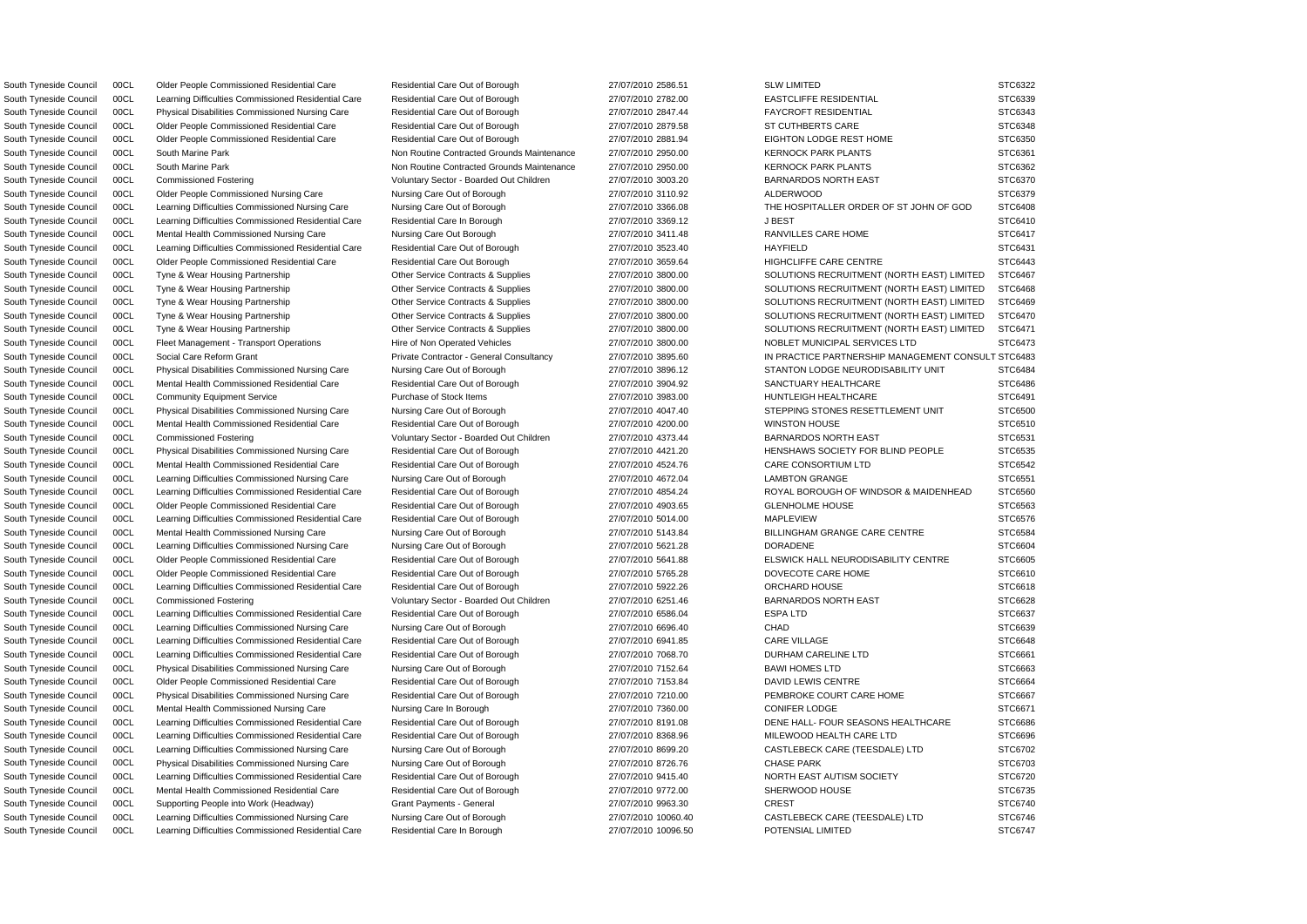South Tyneside Council 00CL Learning Difficulties Commissioned Residential Care Residential Care Out of Borough 27/07/2010 2782.00 EASTCLIFFE RESIDENTIAL STC6339 South Tyneside Council 00CL Physical Disabilities Commissioned Nursing Care Residential Care Out of Borough 27/07/2010 2847.44 FAYCROFT RESIDENTIAL STC6343 South Tyneside Council 00CL Older People Commissioned Residential Care Residential Care Residential Care Residential Care Residential Care Residential Care Dut of Borough 27/07/2010 2879.58 ST CUTHBERTS CARE STC6348 South Tyneside Council 00CL Older People Commissioned Residential Care Residential Care Residential Care Residential Care Residential Care Residential Care Residential Care Residential Care Residential Care Residential Car South Tyneside Council 00CL South Marine Park Non Noutine Contracted Grounds Maintenance 27/07/2010 2950.00 KERNOCK PARK PLANTS STC6361 South Tyneside Council 00CL South Marine Park Non Noutine Contracted Grounds Maintenance 27/07/2010 2950.00 KERNOCK PARK PLANTS STC6362 South Tyneside Council 00CL Commissioned Fostering values of Voluntary Sector - Boarded Out Children 27/07/2010 3003.20 BARNARDOS NORTH EAST STC6370 South Tyneside Council 00CL Older People Commissioned Nursing Care Nursing Care Out of Borough 27/07/2010 3110.92 ALDERWOOD STC6379 South Tyneside Council 00CL Learning Difficulties Commissioned Nursing Care Nursing Care Out of Borough 27/07/2010 3366.08 THE HOSPITALLER ORDER OF ST JOHN OF GOD STC6408 South Tyneside Council 00CL Learning Difficulties Commissioned Residential Care Residential Care In Borough 27/07/2010 3369.12 J BEST J J BEST STC6410 South Tyneside Council 00CL Mental Health Commissioned Nursing Care Nursing Care Out Borough 27/07/2010 3411.48 RANVILLES CARE HOME STC6417 South Tyneside Council 00CL Learning Difficulties Commissioned Residential Care Residential Care Out of Borough 27/07/2010 3523.40 HAYFIELD HAYFIELD STC6431 South Tyneside Council 00CL Older People Commissioned Residential Care Residential Care Residential Care Residential Care Residential Care Residential Care Dut Borough 27/07/2010 3659.64 HIGHCLIFFE CARE CENTRE STC6443 South Tyneside Council 00CL Tyne & Wear Housing Partnership Other Service Contracts & Supplies 27/07/2010 3800.00 SOLUTIONS RECRUITMENT (NORTH EAST) LIMITED STC6467 South Tyneside Council 00CL Tyne & Wear Housing Partnership Other Service Contracts & Supplies 27/07/2010 3800.00 SOLUTIONS RECRUITMENT (NORTH EAST) LIMITED STC6468 South Tyneside Council 00CL Tyne & Wear Housing Partnership Other Service Contracts & Supplies 27/07/2010 3800.00 SOLUTIONS RECRUITMENT (NORTH EAST) LIMITED STC6469 South Tyneside Council 00CL Tyne & Wear Housing Partnership Other Service Contracts & Supplies 27/07/2010 3800.00 SOLUTIONS RECRUITMENT (NORTH EAST) LIMITED STC6470 South Tyneside Council 00CL Tyne & Wear Housing Partnership Other Service Contracts & Supplies 27/07/2010 3800.00 SOLUTIONS RECRUITMENT (NORTH EAST) LIMITED STC6471 South Tyneside Council 00CL Fleet Management - Transport Operations Hire of Non Operated Vehicles 27/07/2010 3800.00 NOBLET MUNICIPAL SERVICES LTD STC6473 South Tyneside Council 00CL Social Care Reform Grant Private Contractor - General Consultancy 27/07/2010 3895.60 IN PRACTICE PARTNERSHIP MANAGEMENT CONSULT STC6483 South Tyneside Council 00CL Physical Disabilities Commissioned Nursing Care Nursing Care Out of Borough 27/07/2010 3896.12 STANTON LODGE NEURODISABILITY UNIT STC6484 South Tyneside Council 00CL Mental Health Commissioned Residential Care Residential Care Residential Care Residential Care Residential Care Residential Care Out of Borough 27/07/2010 3904.92 SANCTUARY HEALTHCARE STC6486 South Tyneside Council 00CL Community Equipment Service Purchase of Stock Items 27/07/2010 3983.00 HUNTLEIGH HEALTHCARE STC6491 South Tyneside Council 00CL Physical Disabilities Commissioned Nursing Care Nursing Care Out of Borough 27/07/2010 4047.40 STEPPING STONES RESETTLEMENT UNIT STC6500 South Tyneside Council 00CL Mental Health Commissioned Residential Care Residential Care Residential Care Residential Care Residential Care Residential Care Out of Borough 27/07/2010 4200.00 WINSTON HOUSE STC6510 South Tyneside Council 00CL Commissioned Fostering version of Voluntary Sector - Boarded Out Children 27/07/2010 4373.44 BARNARDOS NORTH EAST STC6531 South Tyneside Council 00CL Physical Disabilities Commissioned Nursing Care Residential Care Out of Borough 27/07/2010 4421.20 HENSHAWS SOCIETY FOR BLIND PEOPLE STC6535 South Tyneside Council 00CL Mental Health Commissioned Residential Care Residential Care Residential Care Residential Care Residential Care Out of Borough 27/07/2010 4524.76 CARE CONSORTIUM LTD STC6542 South Tyneside Council 00CL Learning Difficulties Commissioned Nursing Care Nursing Care Out of Borough 27/07/2010 4672.04 LAMBTON GRANGE STC6551 South Tyneside Council 00CL Learning Difficulties Commissioned Residential Care Residential Care Out of Borough 27/07/2010 4854.24 ROYAL BOROUGH OF WINDSOR & MAIDENHEAD STC6560 South Tyneside Council 00CL Older People Commissioned Residential Care Residential Care Residential Care Residential Care Residential Care Residential Care Residential Care Out of Borough 27/07/2010 4903.65 GLENHOLME HOUSE South Tyneside Council 00CL Learning Difficulties Commissioned Residential Care Residential Care Out of Borough 27/07/2010 5014.00 MAPLEVIEW MAPLEVIEW STC6576 South Tyneside Council 00CL Mental Health Commissioned Nursing Care Nursing Care Out of Borough 27/07/2010 5143.84 BILLINGHAM GRANGE CARE CENTRE STC6584 South Tyneside Council 00CL Learning Difficulties Commissioned Nursing Care Nursing Care Out of Borough 27/07/2010 5621.28 DORADENE STC6604 South Tyneside Council 00CL Older People Commissioned Residential Care Residential Care Residential Care Residential Care Residential Care Residential Care Residential Care Residential Care Residential Care Residential Car South Tyneside Council 00CL Older People Commissioned Residential Care Residential Care Residential Care Residential Care Residential Care Residential Care Out of Borough 27/07/2010 5765.28 DOVECOTE CARE HOME STC6610 South Tyneside Council 00CL Learning Difficulties Commissioned Residential Care Residential Care Out of Borough 27/07/2010 5922.26 ORCHARD HOUSE STC6618 South Tyneside Council 00CL Commissioned Fostering vera vera veral voluntary Sector - Boarded Out Children 27/07/2010 6251.46 BARNARDOS NORTH EAST STC6628 South Tyneside Council 00CL Learning Difficulties Commissioned Residential Care Residential Care Out of Borough 27/07/2010 6586.04 ESPA LTD STC6637 South Tyneside Council 00CL Learning Difficulties Commissioned Nursing Care Nursing Care Out of Borough 27/07/2010 6696.40 CHAD CHAD STC6639 South Tyneside Council 00CL Learning Difficulties Commissioned Residential Care Residential Care Out of Borough 27/07/2010 6941.85 CARE VILLAGE STC6648 South Tyneside Council 00CL Learning Difficulties Commissioned Residential Care Residential Care Out of Borough 27/07/2010 7068.70 DURHAM CARELINE LTD STC6661 South Tyneside Council 00CL Physical Disabilities Commissioned Nursing Care Nursing Care Out of Borough 27/07/2010 7152.64 BAWI HOMES LTD STC6663 South Tyneside Council 00CL Older People Commissioned Residential Care Residential Care Residential Care Residential Care Residential Care Residential Care Residential Care Out of Borough 27/07/2010 7153.84 DAVID LEWIS CEN South Tyneside Council 00CL Physical Disabilities Commissioned Nursing Care Residential Care Out of Borough 27/07/2010 7210.00 PEMBROKE COURT CARE HOME STC6667 South Tyneside Council 00CL Mental Health Commissioned Nursing Care Nursing Care In Borough 27/07/2010 7360.00 CONIFER LODGE STC6671 South Tyneside Council 00CL Learning Difficulties Commissioned Residential Care Residential Care Out of Borough 27/07/2010 8191.08 DENE HALL- FOUR SEASONS HEALTHCARE STC6686 South Tyneside Council 00CL Learning Difficulties Commissioned Residential Care Residential Care Out of Borough 27/07/2010 8368.96 MILEWOOD HEALTH CARE LTD STC6696 South Tyneside Council 00CL Learning Difficulties Commissioned Nursing Care Nursing Care Out of Borough 27/07/2010 8699.20 CASTLEBECK CARE (TEESDALE) LTD STC6702 South Tyneside Council 00CL Physical Disabilities Commissioned Nursing Care Nursing Care Out of Borough 27/07/2010 8726.76 CHASE PARK STC6703 South Tyneside Council 00CL Learning Difficulties Commissioned Residential Care Residential Care Out of Borough 27/07/2010 9415.40 NORTH EAST AUTISM SOCIETY STC6720 South Tyneside Council 00CL Mental Health Commissioned Residential Care Residential Care Residential Care Residential Care Residential Care Residential Care Dut of Borough 27/07/2010 9772.00 SHERWOOD HOUSE STC6735 South Tyneside Council 00CL Supporting People into Work (Headway) Grant Payments - General 27/07/2010 9963.30 CREST CREST STC6740 South Tyneside Council 00CL Learning Difficulties Commissioned Nursing Care Nursing Care Out of Borough 27/07/2010 10060.40 CASTLEBECK CARE (TEESDALE) LTD STC6746

South Tyneside Council 00CL Learning Difficulties Commissioned Residential Care Residential Care In Borough 27/07/2010 10096.50 POTENSIAL LIMITED STC6747

South Tyneside Council 00CL Older People Commissioned Residential Care Residential Care Residential Care Out of Borough 27/07/2010 2586.51 SLW LIMITED STC6322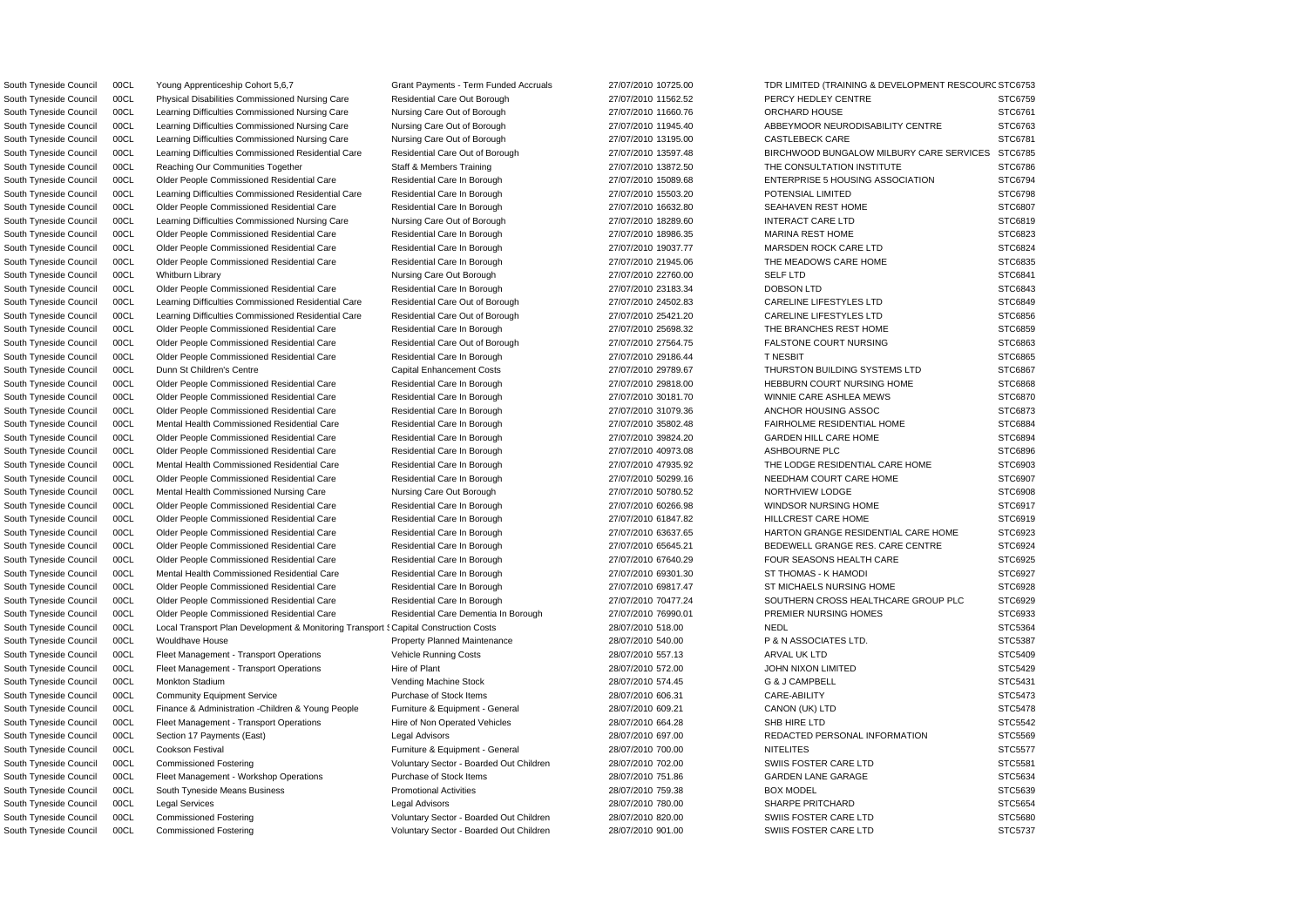South Tyneside Council COCL Local Transport Plan Development & Monitoring Transport { Capital Construction Costs 28/07/2010 518.00 NEDL NEDL STC5364 South Tyneside Council 00CL Physical Disabilities Commissioned Nursing Care Residential Care Out Borough 27/07/2010 11562.52 PERCY HEDLEY CENTRE STC6759 South Tyneside Council 00CL Learning Difficulties Commissioned Nursing Care Nursing Care Out of Borough 27/07/2010 11660.76 ORCHARD HOUSE STC6761 South Tyneside Council 00CL Learning Difficulties Commissioned Nursing Care Nursing Care Out of Borough 27/07/2010 11945.40 ABBEYMOOR NEURODISABILITY CENTRE STC6763 South Tyneside Council 00CL Learning Difficulties Commissioned Nursing Care Nursing Care Out of Borough 27/07/2010 13195.00 CASTLEBECK CARE STC6781 South Tyneside Council 00CL Learning Difficulties Commissioned Residential Care Residential Care Out of Borough 27/07/2010 13597.48 BIRCHWOOD BUNGALOW MILBURY CARE SERVICES STC6785 South Tyneside Council 00CL Reaching Our Communities Together Staff & Members Training 27/07/2010 13872.50 THE CONSULTATION INSTITUTE STC6786 South Tyneside Council 00CL Older People Commissioned Residential Care Residential Care Residential Care Residential Care Residential Care Residential Care In Borough 27/07/2010 15089.68 ENTERPRISE 5 HOUSING ASSOCIATION ST South Tyneside Council 00CL Learning Difficulties Commissioned Residential Care Residential Care In Borough 27/07/2010 15503.20 POTENSIAL LIMITED STC6798 South Tyneside Council 00CL Older People Commissioned Residential Care Residential Care Residential Care Residential Care Residential Care Residential Care Residential Care In Borough 27/07/2010 16632.80 SEAHAVEN REST HOME South Tyneside Council 00CL Learning Difficulties Commissioned Nursing Care Nursing Care Out of Borough 27/07/2010 18289.60 INTERACT CARE LTD STC6819 South Tyneside Council COOL Culter People Commissioned Residential Care Residential Care Residential Care Residential Care Residential Care Residential Care In Borough 27/07/2010 18986.35 MARINA REST HOME STC6823 South Tyneside Council COOL Culder People Commissioned Residential Care Residential Care Residential Care Residential Care Residential Care Residential Care Residential Care In Borough 27/07/2010 19037.77 MARSDEN ROCK CARE South Tyneside Council 00CL Older People Commissioned Residential Care Residential Care Residential Care Residential Care Residential Care Residential Care In Borough 27/07/2010 21945.06 THE MEADOWS CARE HOME STC6835 South Tyneside Council 00CL Whitburn Library Nursing Care Out Borough 27/07/2010 22760.00 SELF LTD STC6841 STC6841 South Tyneside Council 00CL Older People Commissioned Residential Care Residential Care Residential Care Residential Care Residential Care Residential Care Residential Care In Borough 27/07/2010 23183.34 DOBSON LTD STC6843 South Tyneside Council 00CL Learning Difficulties Commissioned Residential Care Residential Care Out of Borough 27/07/2010 24502.83 CARELINE LIFESTYLES LTD STC6849 South Tyneside Council 00CL Learning Difficulties Commissioned Residential Care Residential Care Out of Borough 27/07/2010 25421.20 CARELINE LIFESTYLES LTD STC6856 South Tyneside Council 00CL Older People Commissioned Residential Care Residential Care Residential Care Residential Care Residential Care Residential Care Residential Care In Borough 27/07/2010 25698.32 THE BRANCHES REST South Tyneside Council 00CL Older People Commissioned Residential Care Residential Care Residential Care Residential Care Residential Care Residential Care Residential Care Residential Care Residential Care Dut of Borough South Tyneside Council COOL Culter People Commissioned Residential Care Residential Care In Borough 27/07/2010 29186.44 TNESBIT STC6865 South Tyneside Council 00CL Dunn St Children's Centre Capital Enhancement Costs 27/07/2010 29789.67 THURSTON BUILDING SYSTEMS LTD STC6867 South Tyneside Council 00CL Older People Commissioned Residential Care Residential Care Residential Care Residential Care Residential Care Residential Care Residential Care Residential Care Residential Care Residential Car South Tyneside Council 00CL Older People Commissioned Residential Care Residential Care Residential Care Residential Care Residential Care Residential Care Residential Care In Borough 27/07/2010 30181.70 WINNIE CARE ASHLEA South Tyneside Council 00CL Older People Commissioned Residential Care Residential Care Residential Care Residential Care Residential Care Residential Care Residential Care In Borough 27/07/2010 31079.36 ANCHOR HOUSING ASS South Tyneside Council 00CL Mental Health Commissioned Residential Care Residential Care Residential Care Residential Care Residential Care Residential Care In Borough 27/07/2010 35802.48 FAIRHOLME RESIDENTIAL HOME STC6884 South Tyneside Council 00CL Older People Commissioned Residential Care Residential Care Residential Care Residential Care Residential Care Residential Care Residential Care In Borough 27/07/2010 39824.20 GARDEN HILL CARE H South Tyneside Council 00CL Older People Commissioned Residential Care Residential Care Residential Care Residential Care Residential Care Residential Care Residential Care In Borough 27/07/2010 40973.08 ASHBOURNE PLC STC6 South Tyneside Council 00CL Mental Health Commissioned Residential Care Residential Care In Borough 27/07/2010 47935.92 THE LODGE RESIDENTIAL CARE HOME STC6903 South Tyneside Council 00CL Older People Commissioned Residential Care Residential Care Residential Care Residential Care Residential Care Residential Care Residential Care Residential Care Residential Care Residential Car South Tyneside Council 00CL Mental Health Commissioned Nursing Care Nursing Care Out Borough 27/07/2010 50780.52 NORTHVIEW LODGE STC6908 South Tyneside Council 00CL Older People Commissioned Residential Care Residential Care Residential Care Residential Care Residential Care Residential Care In Borough 27/07/2010 60266.98 WINDSOR NURSING HOME STC6917 South Tyneside Council 00CL Older People Commissioned Residential Care Residential Care Residential Care Residential Care Residential Care Residential Care In Borough 27/07/2010 61847.82 HILLCREST CARE HOME STC6919 South Tyneside Council 00CL Older People Commissioned Residential Care Residential Care Residential Care Residential Care Residential Care Residential Care Residential Care Residential Care Residential Care Residential Car South Tyneside Council 00CL Older People Commissioned Residential Care Residential Care Residential Care Residential Care Residential Care Residential Care In Borough 27/07/2010 65645.21 BEDEWELL GRANGE RES. CARE CENTRE ST South Tyneside Council 00CL Older People Commissioned Residential Care Residential Care Residential Care Residential Care Residential Care Residential Care Residential Care In Borough 27/07/2010 67640.29 FOUR SEASONS HEALT South Tyneside Council 00CL Mental Health Commissioned Residential Care Residential Care In Borough 27/07/2010 69301.30 ST THOMAS - K HAMODI STC6927 South Tyneside Council 00CL Older People Commissioned Residential Care Residential Care Residential Care Residential Care Residential Care Residential Care In Borough 27/07/2010 69817.47 ST MICHAELS NURSING HOME STC6928 South Tyneside Council 00CL Older People Commissioned Residential Care Residential Care Residential Care Residential Care Residential Care Residential Care In Borough 27/07/2010 70477.24 SOUTHERN CROSS HEALTHCARE GROUP PLC South Tyneside Council 00CL Older People Commissioned Residential Care Residential Care Residential Care Residential Care Residential Care Dementia In Borough 27/07/2010 76990.01 PREMIER NURSING HOMES STC6933 South Tyneside Council 00CL Wouldhave House **Property Planned Maintenance** 28/07/2010 540.00 P& N ASSOCIATES LTD. STC5387 South Tyneside Council 00CL Fleet Management - Transport Operations Vehicle Running Costs 28/07/2010 557.13 ARVAL UK LTD STC5409 South Tyneside Council 00CL Fleet Management - Transport Operations Hire of Plant 28/07/2010 572.00 JOHN NIXON LIMITED STC5429 South Tyneside Council 00CL Monkton Stadium Vending Machine Stock 28/07/2010 574.45 G & J CAMPBELL STC5431 South Tyneside Council 00CL Community Equipment Service Purchase of Stock Items 28/07/2010 606.31 CARE-ABILITY STC5473 South Tyneside Council 00CL Finance & Administration -Children & Young People Furniture & Equipment - General 28/07/2010 609.21 CANON (UK) LTD STC5478 South Tyneside Council 00CL Fleet Management - Transport Operations Hire of Non Operated Vehicles 28/07/2010 664.28 SHB HIRE LTD STC5542 South Tyneside Council 00CL Section 17 Payments (East) Cases Cheap Advisors Legal Advisors 28/07/2010 697.00 REDACTED PERSONAL INFORMATION STC5569 South Tyneside Council 00CL Cookson Festival **Furniture & Equipment - General** 28/07/2010 700.00 NITELITES NITELITES STC5577 South Tyneside Council 00CL Commissioned Fostering values of Voluntary Sector - Boarded Out Children 28/07/2010 702.00 SWIIS FOSTER CARE LTD STC5581 South Tyneside Council COOL Fleet Management - Workshop Operations Purchase of Stock Items 28/07/2010 751.86 GARDEN LANE GARAGE STC5634 South Tyneside Council 00CL South Tyneside Means Business **Promotional Activities 28/07/2010 759.38** BOX MODEL SOUT STC5639 South Tyneside Council COCL Legal Services (STC5654 Legal Advisors Legal Advisors 28/07/2010 780.00 SHARPE PRITCHARD STC5654 STC5654 South Tyneside Council 00CL Commissioned Fostering values of Voluntary Sector - Boarded Out Children 28/07/2010 820.00 SWIIS FOSTER CARE LTD STC5680 South Tyneside Council 00CL Commissioned Fostering values of Voluntary Sector - Boarded Out Children 28/07/2010 901.00 SWIIS FOSTER CARE LTD STC5737

South Tyneside Council 00CL Young Apprenticeship Cohort 5,6,7 Grant Payments - Term Funded Accruals 27/07/2010 10725.00 TDR LIMITED (TRAINING & DEVELOPMENT RESCOURC STC6753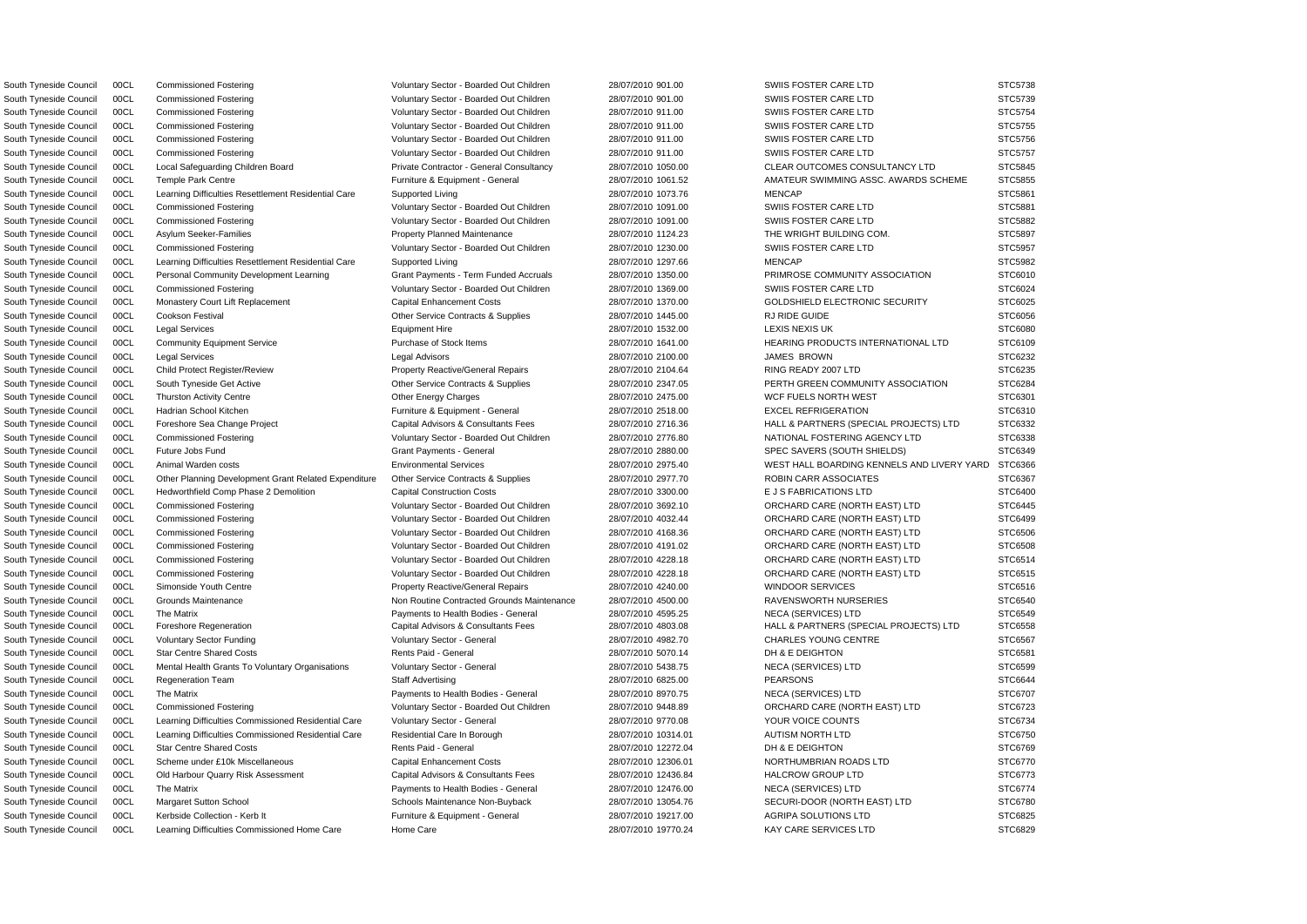South Tyneside Council 00CL Commissioned Fostering values of Voluntary Sector - Boarded Out Children 28/07/2010 901.00 SWIIS FOSTER CARE LTD STC5738 South Tyneside Council 00CL Commissioned Fostering values of Voluntary Sector - Boarded Out Children 28/07/2010 901.00 SWIIS FOSTER CARE LTD STC5739 South Tyneside Council 00CL Commissioned Fostering Voluntary Sector - Boarded Out Children 28/07/2010 911.00 SWIIS FOSTER CARE LTD STC5754 South Tyneside Council 00CL Commissioned Fostering values of Voluntary Sector - Boarded Out Children 28/07/2010 911.00 SWIIS FOSTER CARE LTD STC5755 South Tyneside Council 00CL Commissioned Fostering values of Voluntary Sector - Boarded Out Children 28/07/2010 911.00 SWIIS FOSTER CARE LTD STC5756 South Tyneside Council 00CL Commissioned Fostering values of Voluntary Sector - Boarded Out Children 28/07/2010 911.00 SWIIS FOSTER CARE LTD STC5757 South Tyneside Council 00CL Local Safeguarding Children Board Private Contractor - General Consultancy 28/07/2010 1050.00 CLEAR OUTCOMES CONSULTANCY LTD STC5845 South Tyneside Council 00CL Temple Park Centre **Furniture A Equipment - General** 28/07/2010 1061.52 AMATEUR SWIMMING ASSC. AWARDS SCHEME STC5855 South Tyneside Council 00CL Learning Difficulties Resettlement Residential Care Supported Living 28/07/2010 1073.76 MENCAP STC5861 South Tyneside Council 00CL Commissioned Fostering values of Voluntary Sector - Boarded Out Children 28/07/2010 1091.00 SWIIS FOSTER CARE LTD STC5881 South Tyneside Council 00CL Commissioned Fostering values of Voluntary Sector - Boarded Out Children 28/07/2010 1091.00 SWIIS FOSTER CARE LTD STC5882 South Tyneside Council 00CL Asylum Seeker-Families **Property Planned Maintenance** 28/07/2010 1124.23 THE WRIGHT BUILDING COM. STC5897 South Tyneside Council 00CL Commissioned Fostering values of Voluntary Sector - Boarded Out Children 28/07/2010 1230.00 SWIIS FOSTER CARE LTD STC5957 South Tyneside Council 00CL Learning Difficulties Resettlement Residential Care Supported Living 28/07/2010 1297.66 MENCAP MENCAP STC5982 South Tyneside Council 00CL Personal Community Development Learning Grant Payments - Term Funded Accruals 28/07/2010 1350.00 PRIMROSE COMMUNITY ASSOCIATION STC6010 South Tyneside Council 00CL Commissioned Fostering values of Voluntary Sector - Boarded Out Children 28/07/2010 1369.00 SWIIS FOSTER CARE LTD STC6024 South Tyneside Council 00CL Monastery Court Lift Replacement Capital Enhancement Costs 28/07/2010 1370.00 GOLDSHIELD ELECTRONIC SECURITY STC6025 South Tyneside Council 00CL Cookson Festival **Other Service Contracts & Supplies** 28/07/2010 1445.00 RJ RIDE GUIDE STC6056 STC6056 South Tyneside Council 00CL Legal Services 28/07/2010 1532.00 LEXIS NEXIS UK STC6080 STC6080 South Tyneside Council 00CL Community Equipment Service Purchase of Stock Items 28/07/2010 1641.00 HEARING PRODUCTS INTERNATIONAL LTD STC6109 South Tyneside Council 00CL Legal Services Legal Advisors 28/07/2010 2100.00 JAMES BROWN STC6232 South Tyneside Council 00CL Child Protect Register/Review Property Reactive/General Repairs 28/07/2010 2104.64 RING READY 2007 LTD STC6235 South Tyneside Council 00CL South Tyneside Get Active Currence Contracts & Supplies 28/07/2010 2347.05 PERTH GREEN COMMUNITY ASSOCIATION STC6284 South Tyneside Council 00CL Thurston Activity Centre **Other Energy Charges 28/07/2010 2475.00** WCF FUELS NORTH WEST STC6301 South Tyneside Council 00CL Hadrian School Kitchen **Furniture & Equipment - General** 28/07/2010 2518.00 EXCEL REFRIGERATION STC6310 South Tyneside Council 00CL Foreshore Sea Change Project Capital Advisors & Consultants Fees 28/07/2010 2716.36 HALL & PARTNERS (SPECIAL PROJECTS) LTD STC6332 South Tyneside Council 00CL Commissioned Fostering version of Voluntary Sector - Boarded Out Children 28/07/2010 2776.80 NATIONAL FOSTERING AGENCY LTD STC6338 South Tyneside Council 00CL Future Jobs Fund STC6349 Crant Payments - General 28/07/2010 2880.00 SPEC SAVERS (SOUTH SHIELDS) STC6349 South Tyneside Council 00CL Animal Warden costs **Environmental Services** Environmental Services 28/07/2010 2975.40 WEST HALL BOARDING KENNELS AND LIVERY YARD STC6366 South Tyneside Council 00CL Other Planning Development Grant Related Expenditure Other Service Contracts & Supplies 28/07/2010 2977.70 ROBIN CARR ASSOCIATES STC6367 South Tyneside Council 00CL Hedworthfield Comp Phase 2 Demolition Capital Construction Costs 28/07/2010 3300.00 E J S FABRICATIONS LTD STC6400 South Tyneside Council 00CL Commissioned Fostering Voluntary Sector - Boarded Out Children 28/07/2010 3692.10 ORCHARD CARE (NORTH EAST) LTD STC6445 South Tyneside Council 00CL Commissioned Fostering Voluntary Sector - Boarded Out Children 28/07/2010 4032.44 ORCHARD CARE (NORTH EAST) LTD STC6499 South Tyneside Council 00CL Commissioned Fostering Voluntary Sector - Boarded Out Children 28/07/2010 4168.36 ORCHARD CARE (NORTH EAST) LTD STC6506 South Tyneside Council 00CL Commissioned Fostering Voluntary Sector - Boarded Out Children 28/07/2010 4191.02 ORCHARD CARE (NORTH EAST) LTD STC6508 South Tyneside Council 00CL Commissioned Fostering Voluntary Sector - Boarded Out Children 28/07/2010 4228.18 ORCHARD CARE (NORTH EAST) LTD STC6514 South Tyneside Council 00CL Commissioned Fostering values of Voluntary Sector - Boarded Out Children 28/07/2010 4228.18 ORCHARD CARE (NORTH EAST) LTD STC6515 South Tyneside Council 00CL Simonside Youth Centre **Property Reactive/General Repairs** 28/07/2010 4240.00 WINDOOR SERVICES STC6516 South Tyneside Council 00CL Grounds Maintenance Non Non Routine Contracted Grounds Maintenance 28/07/2010 4500.00 RAVENSWORTH NURSERIES STC6540 South Tyneside Council 00CL The Matrix exception of the Matrix Payments to Health Bodies - General 28/07/2010 4595.25 NECA (SERVICES) LTD STC6549 South Tyneside Council 00CL Foreshore Regeneration Capital Advisors & Consultants Fees 28/07/2010 4803.08 HALL & PARTNERS (SPECIAL PROJECTS) LTD STC6558 South Tyneside Council 00CL Voluntary Sector Funding Voluntary Sector - General 28/07/2010 4982.70 CHARLES YOUNG CENTRE STC6567 South Tyneside Council 00CL Star Centre Shared Costs National Rents Paid - General 28/07/2010 5070.14 DH & E DEIGHTON STC6581 STC6581 South Tyneside Council 00CL Mental Health Grants To Voluntary Organisations Voluntary Sector - General 28/07/2010 5438.75 NECA (SERVICES) LTD STC6599 STC6599 South Tyneside Council 00CL Regeneration Team Staff Advertising 28/07/2010 6825.00 PEARSONS STC6644 South Tyneside Council 00CL The Matrix example and the Payments to Health Bodies - General 28/07/2010 8970.75 NECA (SERVICES) LTD STC6707 South Tyneside Council 00CL Commissioned Fostering values of Voluntary Sector - Boarded Out Children 28/07/2010 9448.89 ORCHARD CARE (NORTH EAST) LTD STC6723 South Tyneside Council 00CL Learning Difficulties Commissioned Residential Care Voluntary Sector - General 28/07/2010 9770.08 YOUR VOICE COUNTS STC6734 South Tyneside Council 00CL Learning Difficulties Commissioned Residential Care Residential Care In Borough 28/07/2010 10314.01 AUTISM NORTH LTD STC6750 South Tyneside Council 00CL Star Centre Shared Costs National Rents Paid - General 28/07/2010 12272.04 DH & E DEIGHTON STC6769 STC6769 South Tyneside Council 00CL Scheme under £10k Miscellaneous Capital Enhancement Costs 28/07/2010 12306.01 NORTHUMBRIAN ROADS LTD STC6770 South Tyneside Council 00CL Old Harbour Quarry Risk Assessment Capital Advisors & Consultants Fees 28/07/2010 12436.84 HALCROW GROUP LTD STC6773 South Tyneside Council 00CL The Matrix examples and the Payments to Health Bodies - General 28/07/2010 12476.00 NECA (SERVICES) LTD STC6774 South Tyneside Council 00CL Margaret Sutton School School Schools Maintenance Non-Buyback 28/07/2010 13054.76 SECURI-DOOR (NORTH EAST) LTD STC6780 South Tyneside Council 00CL Kerbside Collection - Kerb It Furniture & Equipment - General 28/07/2010 19217.00 AGRIPA SOLUTIONS LTD STC6825

South Tyneside Council 00CL Learning Difficulties Commissioned Home Care Home Care 28/07/2010 19770.24 KAY CARE SERVICES LTD STC6829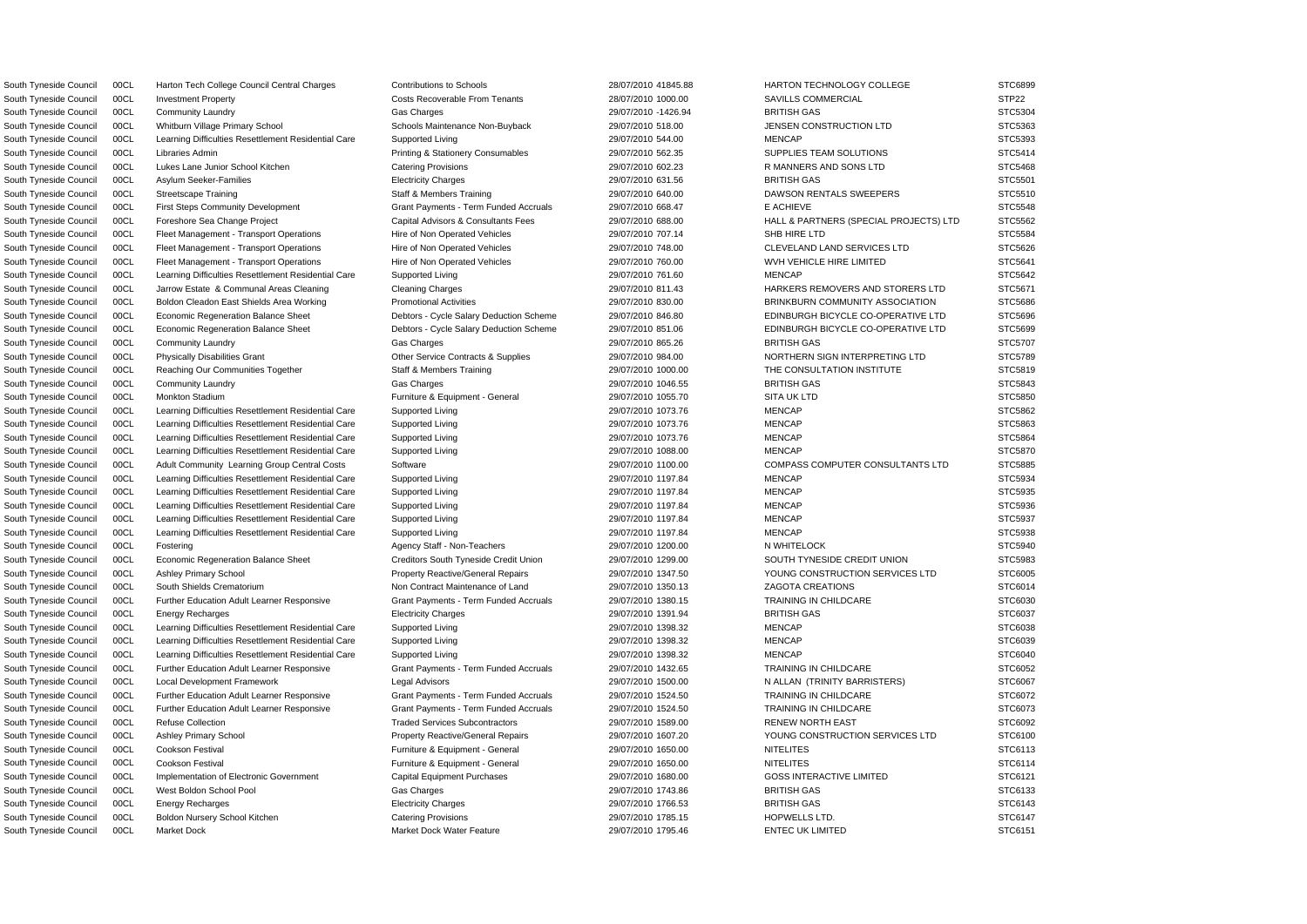South Tyneside Council COCL Harton Tech College Council Central Charges Contributions to Schools 28/07/2010 41845.88 HARTON TECHNOLOGY COLLEGE STC6899 South Tyneside Council 00CL Investment Property **Costs Recoverable From Tenants** 28/07/2010 1000.00 SAVILLS COMMERCIAL STP22 South Tyneside Council 00CL Community Laundry Gas Charges 29/07/2010 -1426.94 BRITISH GAS STC5304 South Tyneside Council 00CL Whitburn Village Primary School Schools Maintenance Non-Buyback 29/07/2010 518.00 JENSEN CONSTRUCTION LTD STC5363 South Tyneside Council 00CL Learning Difficulties Resettlement Residential Care Supported Living 29/07/2010 544.00 MENCAP MENCAP STC5393 South Tyneside Council 00CL Libraries Admin Printing & Stationery Consumables 29/07/2010 562.35 SUPPLIES TEAM SOLUTIONS STC5414 South Tyneside Council 00CL Lukes Lane Junior School Kitchen Catering Provisions Catering Provisions 29/07/2010 602.23 R MANNERS AND SONS LTD STC5468 South Tyneside Council 00CL Asylum Seeker-Families Electricity Charges 29/07/2010 631.56 BRITISH GAS STC5501 South Tyneside Council 00CL Streetscape Training Staff & Members Training 29/07/2010 640.00 DAWSON RENTALS SWEEPERS STC5510 South Tyneside Council 00CL First Steps Community Development Grant Payments - Term Funded Accruals 29/07/2010 668.47 E ACHIEVE E ACHIEVE STC5548 South Tyneside Council 00CL Foreshore Sea Change Project Capital Advisors & Consultants Fees 29/07/2010 688.00 HALL & PARTNERS (SPECIAL PROJECTS) LTD STC5562 South Tyneside Council 00CL Fleet Management - Transport Operations Hire of Non Operated Vehicles 29/07/2010 707.14 SHB HIRE LTD STC5584 South Tyneside Council 00CL Fleet Management - Transport Operations Hire of Non Operated Vehicles 29/07/2010 748.00 CLEVELAND LAND SERVICES LTD STC5626 South Tyneside Council 00CL Fleet Management - Transport Operations Hire of Non Operated Vehicles 29/07/2010 760.00 WVH VEHICLE HIRE LIMITED STC5641 South Tyneside Council 00CL Learning Difficulties Resettlement Residential Care Supported Living 29/07/2010 761.60 MENCAP MENCAP STC5642 South Tyneside Council 00CL Jarrow Estate & Communal Areas Cleaning Cleaning Charges 29/07/2010 811.43 HARKERS REMOVERS AND STORERS LTD STC5671 South Tyneside Council 00CL Boldon Cleadon East Shields Area Working Promotional Activities 29/07/2010 830.00 BRINKBURN COMMUNITY ASSOCIATION STC5686 South Tyneside Council 00CL Economic Regeneration Balance Sheet Debtors - Cycle Salary Deduction Scheme 29/07/2010 846.80 EDINBURGH BICYCLE CO-OPERATIVE LTD STC5696 South Tyneside Council 00CL Economic Regeneration Balance Sheet Debtors - Cycle Salary Deduction Scheme 29/07/2010 851.06 EDINBURGH BICYCLE CO-OPERATIVE LTD STC5699 South Tyneside Council 00CL Community Laundry Gas Charges 29/07/2010 865.26 BRITISH GAS STC5707 South Tyneside Council 00CL Physically Disabilities Grant Christian Other Service Contracts & Supplies 29/07/2010 984.00 NORTHERN SIGN INTERPRETING LTD STC5789 South Tyneside Council 00CL Reaching Our Communities Together Staff & Members Training 29/07/2010 1000.00 THE CONSULTATION INSTITUTE STC5819 South Tyneside Council 00CL Community Laundry Gas Charges 29/07/2010 1046.55 BRITISH GAS STC5843 South Tyneside Council 00CL Monkton Stadium **Furniture & Equipment - General** 29/07/2010 1055.70 SITA UK LTD STC5850 STA STC5850 South Tyneside Council 00CL Learning Difficulties Resettlement Residential Care Supported Living 29/07/2010 1073.76 MENCAP MENCAP STC5862 South Tyneside Council 00CL Learning Difficulties Resettlement Residential Care Supported Living 29/07/2010 1073.76 MENCAP MENCAP STC5863 South Tyneside Council 00CL Learning Difficulties Resettlement Residential Care Supported Living 29/07/2010 1073.76 MENCAP MENCAP STC5864 South Tyneside Council 00CL Learning Difficulties Resettlement Residential Care Supported Living 29/07/2010 1088.00 MENCAP MENCAP STC5870 South Tyneside Council 00CL Adult Community Learning Group Central Costs Software Software 29/07/2010 1100.00 COMPASS COMPUTER CONSULTANTS LTD STC5885 South Tyneside Council 00CL Learning Difficulties Resettlement Residential Care Supported Living 29/07/2010 1197.84 MENCAP MENCAP STC5934 South Tyneside Council 00CL Learning Difficulties Resettlement Residential Care Supported Living 29/07/2010 1197.84 MENCAP MENCAP STC5935 South Tyneside Council 00CL Learning Difficulties Resettlement Residential Care Supported Living 29/07/2010 1197.84 MENCAP MENCAP STC5936 South Tyneside Council 00CL Learning Difficulties Resettlement Residential Care Supported Living 29/07/2010 1197.84 MENCAP MENCAP STC5937 South Tyneside Council 00CL Learning Difficulties Resettlement Residential Care Supported Living 29/07/2010 1197.84 MENCAP MENCAP STC5938 South Tyneside Council 00CL Fostering Agency Staff - Non-Teachers 29/07/2010 1200.00 N WHITELOCK STC5940 South Tyneside Council 00CL Economic Regeneration Balance Sheet Creditors Creditors South Tyneside Credit Union 29/07/2010 1299.00 SOUTH TYNESIDE CREDIT UNION STC5983 South Tyneside Council 00CL Ashley Primary School **Property Reactive/General Repairs** 29/07/2010 1347.50 YOUNG CONSTRUCTION SERVICES LTD STC6005 South Tyneside Council 00CL South Shields Crematorium Non Contract Maintenance of Land 29/07/2010 1350.13 ZAGOTA CREATIONS STC6014 South Tyneside Council 00CL Further Education Adult Learner Responsive Grant Payments - Term Funded Accruals 29/07/2010 1380.15 TRAINING IN CHILDCARE STC6030 South Tyneside Council 00CL Energy Recharges Electricity Charges 29/07/2010 1391.94 BRITISH GAS STC6037 South Tyneside Council 00CL Learning Difficulties Resettlement Residential Care Supported Living 29/07/2010 1398.32 MENCAP STC6038 South Tyneside Council 00CL Learning Difficulties Resettlement Residential Care Supported Living 29/07/2010 1398.32 MENCAP STC6039 STC6039 South Tyneside Council 00CL Learning Difficulties Resettlement Residential Care Supported Living 29/07/2010 1398.32 MENCAP STC6040 South Tyneside Council 00CL Further Education Adult Learner Responsive Grant Payments - Term Funded Accruals 29/07/2010 1432.65 TRAINING IN CHILDCARE STC6052 South Tyneside Council 00CL Local Development Framework Legal Advisors Legal Advisors 29/07/2010 1500.00 N ALLAN (TRINITY BARRISTERS) STC6067 South Tyneside Council 00CL Further Education Adult Learner Responsive Grant Payments - Term Funded Accruals 29/07/2010 1524.50 TRAINING IN CHILDCARE STC6072 South Tyneside Council 00CL Further Education Adult Learner Responsive Grant Payments - Term Funded Accruals 29/07/2010 1524.50 TRAINING IN CHILDCARE STC6073 South Tyneside Council 00CL Refuse Collection Collection Traded Services Subcontractors 29/07/2010 1589.00 RENEW NORTH EAST STC6092 South Tyneside Council 00CL Ashley Primary School **Property Reactive/General Repairs** 29/07/2010 1607.20 YOUNG CONSTRUCTION SERVICES LTD STC6100 South Tyneside Council 00CL Cookson Festival **Furniture & Equipment - General** 29/07/2010 1650.00 NITELITES NITELITES STC6113 South Tyneside Council 00CL Cookson Festival **Furniture & Equipment - General** 29/07/2010 1650.00 NITELITES NITELITES STC6114 South Tyneside Council 00CL Implementation of Electronic Government Capital Equipment Purchases 29/07/2010 1680.00 GOSS INTERACTIVE LIMITED STC6121 South Tyneside Council 00CL West Boldon School Pool Gas Charges 29/07/2010 1743.86 BRITISH GAS STC6133 South Tyneside Council 00CL Energy Recharges **Exercicity Charges Electricity Charges** 29/07/2010 1766.53 BRITISH GAS STC6143 South Tyneside Council 00CL Boldon Nursery School Kitchen Catering Provisions Catering Provisions 29/07/2010 1785.15 HOPWELLS LTD. STC6147 South Tyneside Council 00CL Market Dock Market Dock Market Dock Water Feature 29/07/2010 1795.46 ENTEC UK LIMITED STC6151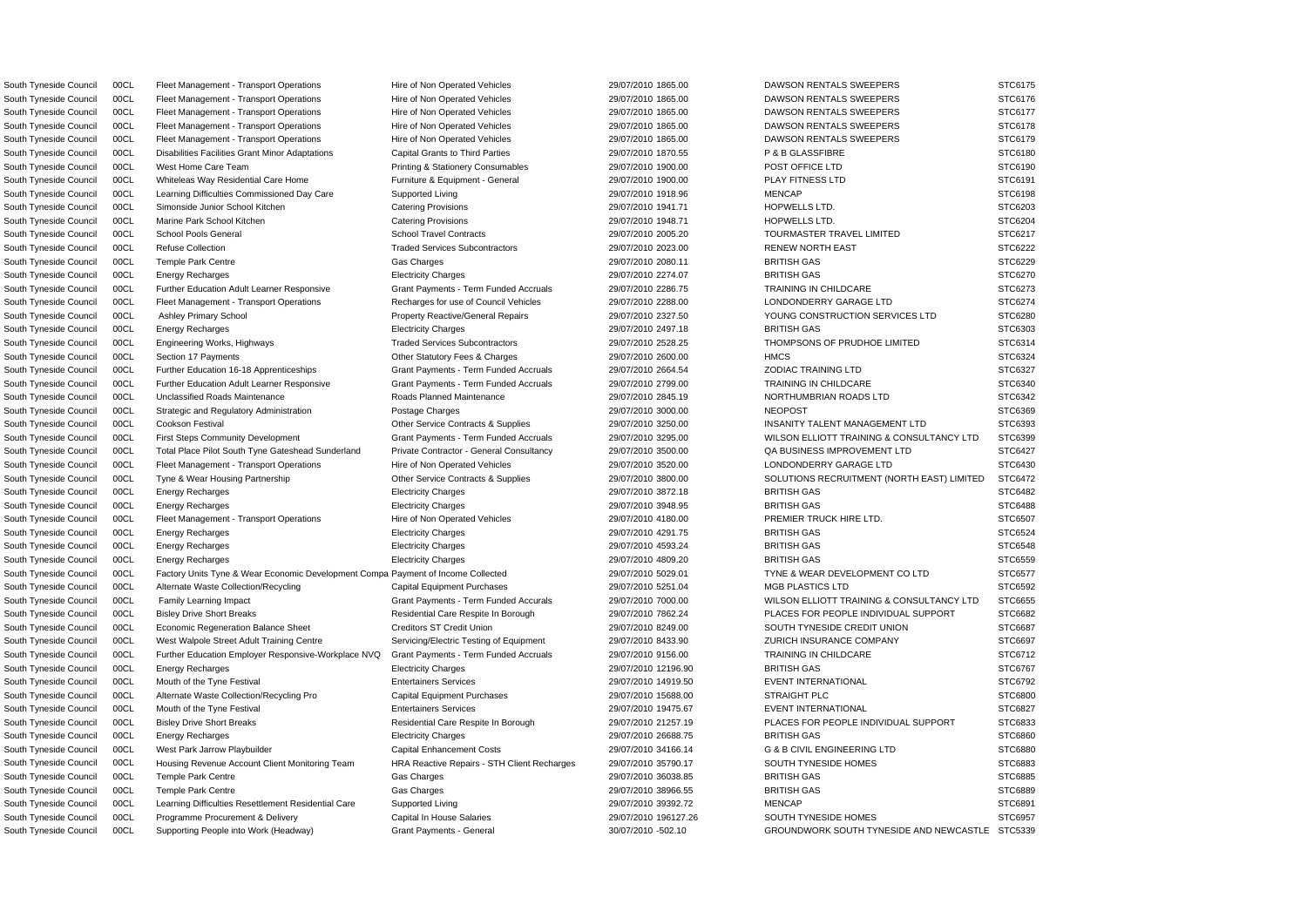South Tyneside Council 00CL Fleet Management - Transport Operations Hire of Non Operated Vehicles 29/07/2010 1865.00 DAWSON RENTALS SWEEPERS STC6175 South Tyneside Council 00CL Fleet Management - Transport Operations Hire of Non Operated Vehicles 29/07/2010 1865.00 DAWSON RENTALS SWEEPERS STC6176 South Tyneside Council 00CL Fleet Management - Transport Operations Hire of Non Operated Vehicles 29/07/2010 1865.00 DAWSON RENTALS SWEEPERS STC6177 South Tyneside Council 00CL Fleet Management - Transport Operations Hire of Non Operated Vehicles 29/07/2010 1865.00 DAWSON RENTALS SWEEPERS STC6178 South Tyneside Council 00CL Fleet Management - Transport Operations Hire of Non Operated Vehicles 29/07/2010 1865.00 DAWSON RENTALS SWEEPERS STC6179 South Tyneside Council 00CL Disabilities Facilities Grant Minor Adaptations Capital Grants to Third Parties 29/07/2010 1870.55 P & B GLASSFIBRE STC6180 South Tyneside Council 00CL West Home Care Team **Printing & Stationery Consumables** 29/07/2010 1900.00 POST OFFICE LTD STC6190 South Tyneside Council 00CL Whiteleas Way Residential Care Home Furniture & Equipment - General 29/07/2010 1900.00 PLAY FITNESS LTD STC6191 South Tyneside Council 00CL Learning Difficulties Commissioned Day Care Supported Living 29/07/2010 1918.96 MENCAP MENCAP STC6198 South Tyneside Council 00CL Simonside Junior School Kitchen Catering Provisions Catering Provisions 29/07/2010 1941.71 HOPWELLS LTD. STC6203 South Tyneside Council 00CL Marine Park School Kitchen Catering Provisions Catering Provisions 29/07/2010 1948.71 HOPWELLS LTD. STC6204 South Tyneside Council 00CL School Pools General School Travel Contracts 29/07/2010 2005.20 TOURMASTER TRAVEL LIMITED STC6217 South Tyneside Council 00CL Refuse Collection Case of the Collection Traded Services Subcontractors 29/07/2010 2023.00 RENEW NORTH EAST STC6222 South Tyneside Council 00CL Temple Park Centre Gas Charges 29/07/2010 2080.11 BRITISH GAS STC6229 STC6229 South Tyneside Council 00CL Energy Recharges Electricity Charges 29/07/2010 2274.07 BRITISH GAS STC6270 South Tyneside Council 00CL Further Education Adult Learner Responsive Grant Payments - Term Funded Accruals 29/07/2010 2286.75 TRAINING IN CHILDCARE STC6273 South Tyneside Council 00CL Fleet Management - Transport Operations Recharges for use of Council Vehicles 29/07/2010 2288.00 LONDONDERRY GARAGE LTD STC6274 South Tyneside Council 00CL Ashley Primary School **Property Reactive/General Repairs** 29/07/2010 2327.50 YOUNG CONSTRUCTION SERVICES LTD STC6280 South Tyneside Council 00CL Energy Recharges Electricity Charges 29/07/2010 2497.18 BRITISH GAS STC6303 South Tyneside Council 00CL Engineering Works, Highways The Traded Services Subcontractors 29/07/2010 2528.25 THOMPSONS OF PRUDHOE LIMITED STC6314 South Tyneside Council 00CL Section 17 Payments **CHARGE COUNTS CONTENTS Other Statutory Fees & Charges** 29/07/2010 2600.00 HMCS HMCS STC6324 South Tyneside Council 00CL Further Education 16-18 Apprenticeships Grant Payments - Term Funded Accruals 29/07/2010 2664.54 ZODIAC TRAINING LTD STC6327 South Tyneside Council 00CL Further Education Adult Learner Responsive Grant Payments - Term Funded Accruals 29/07/2010 2799.00 TRAINING IN CHILDCARE STC6340 South Tyneside Council 00CL Unclassified Roads Maintenance Roads Planned Maintenance 29/07/2010 2845.19 NORTHUMBRIAN ROADS LTD STC6342 South Tyneside Council 00CL Strategic and Regulatory Administration Postage Charges 29/07/2010 3000.00 NEOPOST NEOPOST STC6369 South Tyneside Council 00CL Cookson Festival Contracts Contracts & Supplies 29/07/2010 3250.00 INSANITY TALENT MANAGEMENT LTD STC6393 South Tyneside Council 00CL First Steps Community Development Grant Payments - Term Funded Accruals 29/07/2010 3295.00 WILSON ELLIOTT TRAINING & CONSULTANCY LTD STC6399 South Tyneside Council 00CL Total Place Pilot South Tyne Gateshead Sunderland Private Contractor - General Consultancy 29/07/2010 3500.00 QA BUSINESS IMPROVEMENT LTD STC6427 South Tyneside Council 00CL Fleet Management - Transport Operations Hire of Non Operated Vehicles 29/07/2010 3520.00 LONDONDERRY GARAGE LTD STC6430 South Tyneside Council 00CL Tyne & Wear Housing Partnership Other Service Contracts & Supplies 29/07/2010 3800.00 SOLUTIONS RECRUITMENT (NORTH EAST) LIMITED STC6472 South Tyneside Council 00CL Energy Recharges Electricity Charges 29/07/2010 3872.18 BRITISH GAS STC6482 South Tyneside Council 00CL Energy Recharges Electricity Charges 29/07/2010 3948.95 BRITISH GAS STC6488 South Tyneside Council 00CL Fleet Management - Transport Operations Hire of Non Operated Vehicles 29/07/2010 4180.00 PREMIER TRUCK HIRE LTD. STC6507 South Tyneside Council 00CL Energy Recharges Electricity Charges 29/07/2010 4291.75 BRITISH GAS STC6524 South Tyneside Council 00CL Energy Recharges Electricity Charges 29/07/2010 4593.24 BRITISH GAS STC6548 South Tyneside Council 00CL Energy Recharges Electricity Charges 29/07/2010 4809.20 BRITISH GAS STC6559 South Tyneside Council 00CL Factory Units Tyne & Wear Economic Development Compa Payment of Income Collected 29/07/2010 5029.01 TYNE & WEAR DEVELOPMENT CO LTD STC6577 South Tyneside Council 00CL Alternate Waste Collection/Recycling Capital Equipment Purchases 29/07/2010 5251.04 MGB PLASTICS LTD STC6592 South Tyneside Council 00CL Family Learning Impact Crant Compact Grant Payments - Term Funded Accurals 29/07/2010 7000.00 WILSON ELLIOTT TRAINING & CONSULTANCY LTD STC6655 South Tyneside Council 00CL Bisley Drive Short Breaks **Residential Care Respite In Borough 29/07/2010 7862.24** PLACES FOR PEOPLE INDIVIDUAL SUPPORT STC6682 South Tyneside Council 00CL Economic Regeneration Balance Sheet Creditors Creditors ST Credit Union 29/07/2010 8249.00 SOUTH TYNESIDE CREDIT UNION STC6687 South Tyneside Council 00CL West Walpole Street Adult Training Centre Servicing/Electric Testing of Equipment 29/07/2010 8433.90 ZURICH INSURANCE COMPANY STC6697 South Tyneside Council 00CL Further Education Employer Responsive-Workplace NVQ Grant Payments - Term Funded Accruals 29/07/2010 9156.00 TRAINING IN CHILDCARE STC6712 South Tyneside Council 00CL Energy Recharges Electricity Charges 29/07/2010 12196.90 BRITISH GAS STC6767 South Tyneside Council COCL Mouth of the Tyne Festival **Entertainers Services 29/07/2010 14919.50** EVENT INTERNATIONAL STC6792 South Tyneside Council 00CL Alternate Waste Collection/Recycling Pro Capital Equipment Purchases 29/07/2010 15688.00 STRAIGHT PLC STC6800 STC6800 South Tyneside Council COCL Mouth of the Tyne Festival **Entertainers Services 29/07/2010 19475.67** EVENT INTERNATIONAL STC6827 STC6827 South Tyneside Council 00CL Bisley Drive Short Breaks **Residential Care Respite In Borough** 29/07/2010 21257.19 PLACES FOR PEOPLE INDIVIDUAL SUPPORT STC6833 South Tyneside Council 00CL Energy Recharges Electricity Charges 29/07/2010 26688.75 BRITISH GAS STC6860 South Tyneside Council 00CL West Park Jarrow Playbuilder Capital Enhancement Costs 29/07/2010 34166.14 G & B CIVIL ENGINEERING LTD STC6880 South Tyneside Council 00CL Housing Revenue Account Client Monitoring Team HRA Reactive Repairs - STH Client Recharges 29/07/2010 35790.17 SOUTH TYNESIDE HOMES STC6883 South Tyneside Council 00CL Temple Park Centre Gas Charges 29/07/2010 36038.85 BRITISH GAS STC6885 STC6885 South Tyneside Council 00CL Temple Park Centre Gas Charges 29/07/2010 38966.55 BRITISH GAS STC6889 STC6889 South Tyneside Council 00CL Learning Difficulties Resettlement Residential Care Supported Living 29/07/2010 39392.72 MENCAP MENCAP STC6891 South Tyneside Council 00CL Programme Procurement & Delivery Capital In House Salaries 29/07/2010 196127.26 SOUTH TYNESIDE HOMES STC6957

South Tyneside Council 00CL Supporting People into Work (Headway) Grant Payments - General 30/07/2010 -502.10 GROUNDWORK SOUTH TYNESIDE AND NEWCASTLE STC5339